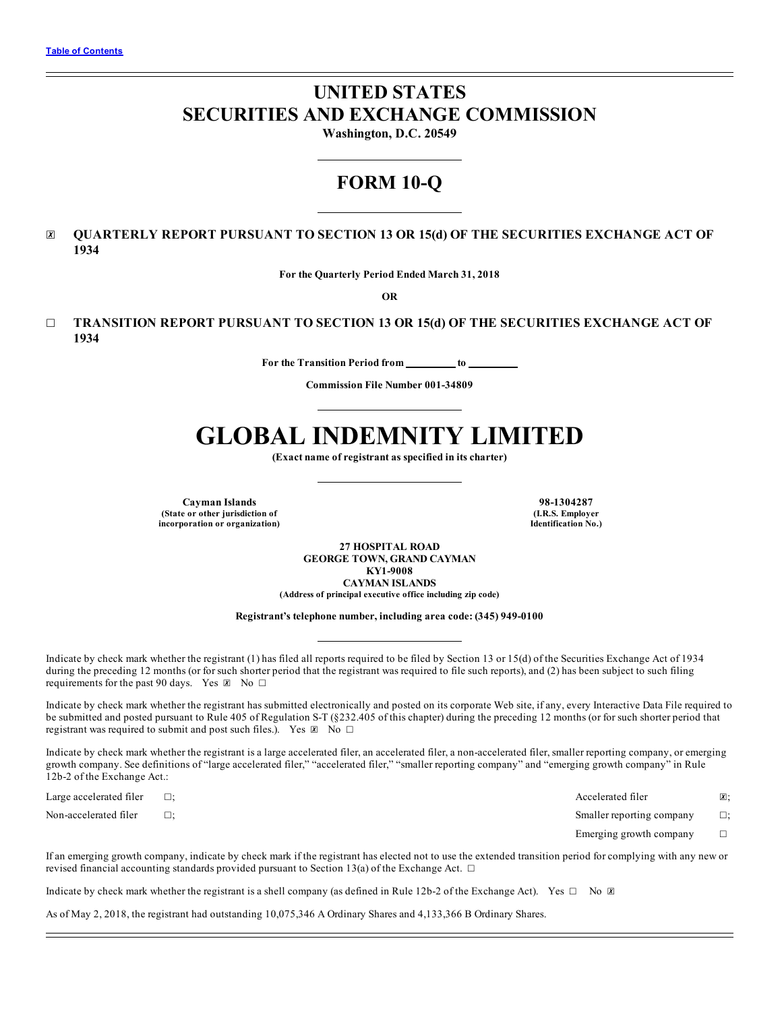# **UNITED STATES SECURITIES AND EXCHANGE COMMISSION**

**Washington, D.C. 20549**

# **FORM 10-Q**

# ☒ **QUARTERLY REPORT PURSUANT TO SECTION 13 OR 15(d) OF THE SECURITIES EXCHANGE ACT OF 1934**

**For the Quarterly Period Ended March 31, 2018**

**OR**

☐ **TRANSITION REPORT PURSUANT TO SECTION 13 OR 15(d) OF THE SECURITIES EXCHANGE ACT OF 1934**

**For the Transition Period from to**

**Commission File Number 001-34809**

# **GLOBAL INDEMNITY LIMITED**

**(Exact name of registrant as specified in its charter)**

**Cayman Islands 98-1304287 (State or other jurisdiction of incorporation or organization)**

**(I.R.S. Employer Identification No.)**

**27 HOSPITAL ROAD GEORGE TOWN, GRAND CAYMAN KY1-9008 CAYMAN ISLANDS (Address of principal executive office including zip code)**

**Registrant's telephone number, including area code: (345) 949-0100**

Indicate by check mark whether the registrant (1) has filed all reports required to be filed by Section 13 or 15(d) of the Securities Exchange Act of 1934 during the preceding 12 months (or for such shorter period that the registrant was required to file such reports), and (2) has been subject to such filing requirements for the past 90 days. Yes  $\boxtimes$  No  $\Box$ 

Indicate by check mark whether the registrant has submitted electronically and posted on its corporate Web site, if any, every Interactive Data File required to be submitted and posted pursuant to Rule 405 of Regulation S-T (§232.405 of this chapter) during the preceding 12 months (or for such shorter period that registrant was required to submit and post such files.). Yes  $\boxtimes$  No  $\Box$ 

Indicate by check mark whether the registrant is a large accelerated filer, an accelerated filer, a non-accelerated filer, smaller reporting company, or emerging growth company. See definitions of "large accelerated filer," "accelerated filer," "smaller reporting company" and "emerging growth company" in Rule 12b-2 of the Exchange Act.:

Large accelerated filer □;  $□$ ; Accelerated filer  $□$ ;

Non-accelerated filer <del>□</del>; □

Emerging growth company  $\Box$ 

If an emerging growth company, indicate by check mark if the registrant has elected not to use the extended transition period for complying with any new or revised financial accounting standards provided pursuant to Section 13(a) of the Exchange Act.  $\Box$ 

Indicate by check mark whether the registrant is a shell company (as defined in Rule 12b-2 of the Exchange Act). Yes  $\Box$  No  $\Box$ 

As of May 2, 2018, the registrant had outstanding 10,075,346 A Ordinary Shares and 4,133,366 B Ordinary Shares.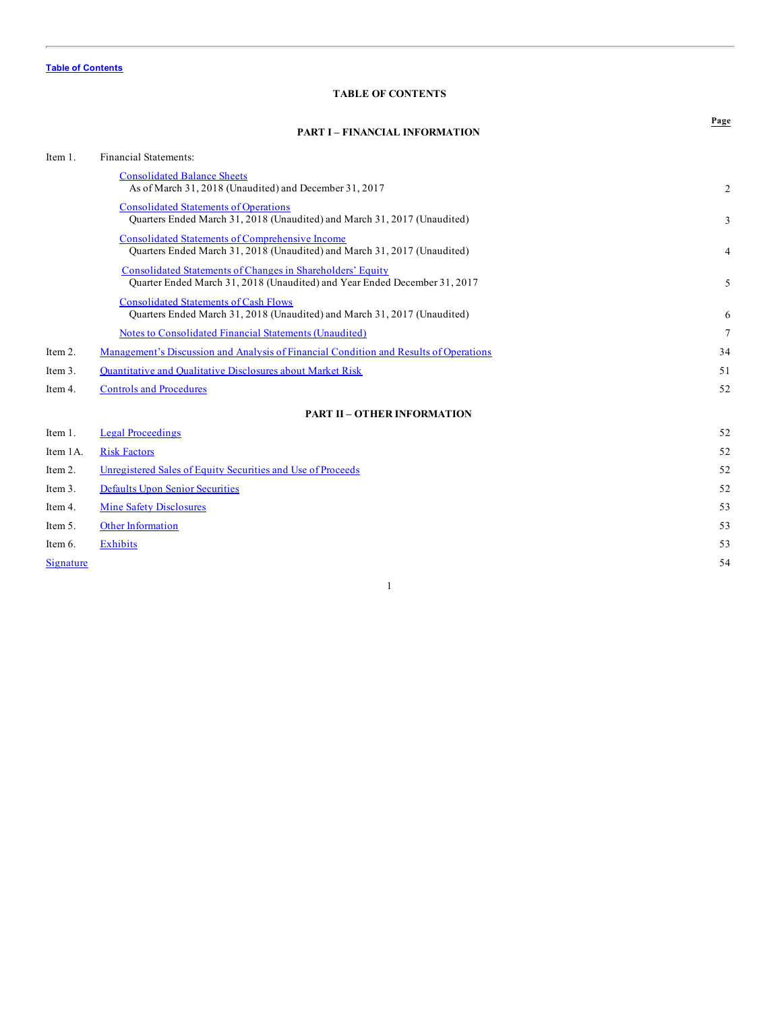# **TABLE OF CONTENTS**

# **PART I – FINANCIAL INFORMATION**

**Page**

<span id="page-1-0"></span>

| Item 1.  | Financial Statements:                                                                                                                   |                |
|----------|-----------------------------------------------------------------------------------------------------------------------------------------|----------------|
|          | <b>Consolidated Balance Sheets</b><br>As of March 31, 2018 (Unaudited) and December 31, 2017                                            | $\overline{2}$ |
|          | <b>Consolidated Statements of Operations</b><br>Ouarters Ended March 31, 2018 (Unaudited) and March 31, 2017 (Unaudited)                | 3              |
|          | <b>Consolidated Statements of Comprehensive Income</b><br>Ouarters Ended March 31, 2018 (Unaudited) and March 31, 2017 (Unaudited)      | $\overline{4}$ |
|          | Consolidated Statements of Changes in Shareholders' Equity<br>Ouarter Ended March 31, 2018 (Unaudited) and Year Ended December 31, 2017 | 5              |
|          | <b>Consolidated Statements of Cash Flows</b><br>Quarters Ended March 31, 2018 (Unaudited) and March 31, 2017 (Unaudited)                | 6              |
|          | Notes to Consolidated Financial Statements (Unaudited)                                                                                  | 7              |
| Item 2.  | Management's Discussion and Analysis of Financial Condition and Results of Operations                                                   | 34             |
| Item 3.  | Quantitative and Qualitative Disclosures about Market Risk                                                                              | 51             |
| Item 4.  | <b>Controls and Procedures</b>                                                                                                          | 52             |
|          | <b>PART II - OTHER INFORMATION</b>                                                                                                      |                |
| Item 1.  | <b>Legal Proceedings</b>                                                                                                                | 52             |
| Item 1A. | <b>Risk Factors</b>                                                                                                                     | 52             |
| Item 2.  | Unregistered Sales of Equity Securities and Use of Proceeds                                                                             | 52             |
| Item 3.  | <b>Defaults Upon Senior Securities</b>                                                                                                  | 52             |
| Item 4.  | <b>Mine Safety Disclosures</b>                                                                                                          | 53             |
| Item 5.  | Other Information                                                                                                                       | 53             |
| Item 6.  | Exhibits                                                                                                                                | 53             |

1

**[Signature](#page-54-0)** 54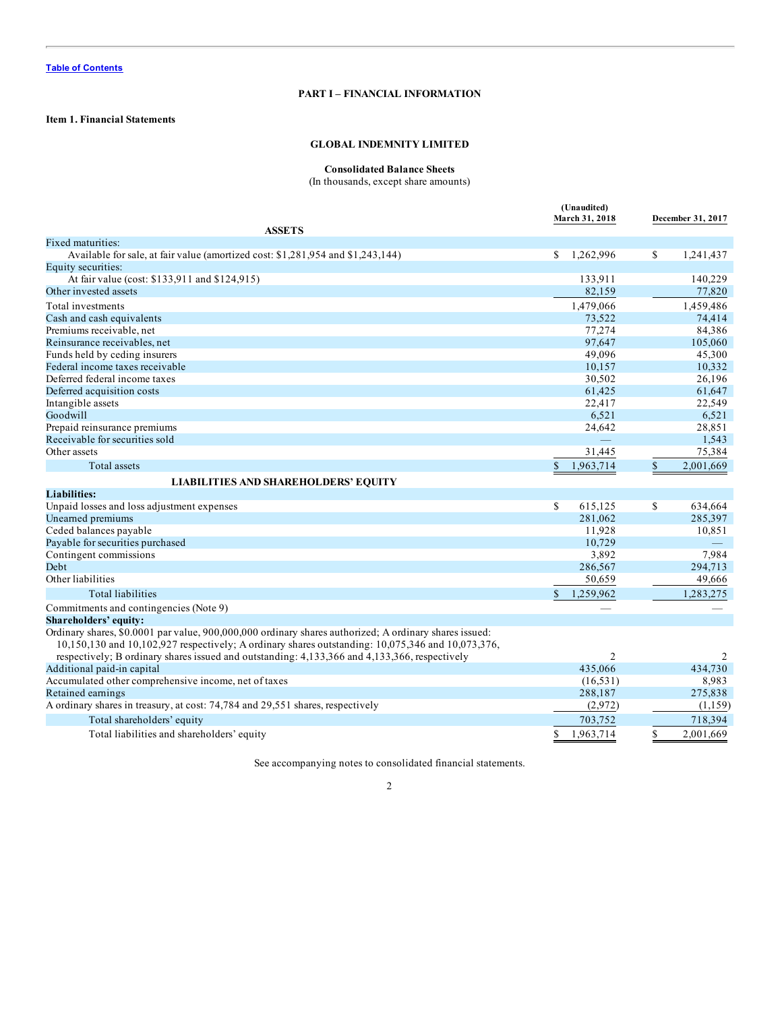# **PART I – FINANCIAL INFORMATION**

# <span id="page-2-0"></span>**Item 1. Financial Statements**

# **GLOBAL INDEMNITY LIMITED**

# **Consolidated Balance Sheets**

(In thousands, except share amounts)

|                                                                                                                                                                                                             | (Unaudited)<br><b>March 31, 2018</b> |              | December 31, 2017 |
|-------------------------------------------------------------------------------------------------------------------------------------------------------------------------------------------------------------|--------------------------------------|--------------|-------------------|
| <b>ASSETS</b>                                                                                                                                                                                               |                                      |              |                   |
| Fixed maturities:                                                                                                                                                                                           |                                      |              |                   |
| Available for sale, at fair value (amortized cost: \$1,281,954 and \$1,243,144)                                                                                                                             | \$<br>1,262,996                      | $\mathbb{S}$ | 1,241,437         |
| Equity securities:                                                                                                                                                                                          |                                      |              |                   |
| At fair value (cost: \$133,911 and \$124,915)                                                                                                                                                               | 133,911                              |              | 140,229           |
| Other invested assets                                                                                                                                                                                       | 82,159                               |              | 77,820            |
| Total investments                                                                                                                                                                                           | 1,479,066                            |              | 1,459,486         |
| Cash and cash equivalents                                                                                                                                                                                   | 73.522                               |              | 74.414            |
| Premiums receivable, net                                                                                                                                                                                    | 77,274                               |              | 84,386            |
| Reinsurance receivables, net                                                                                                                                                                                | 97,647                               |              | 105,060           |
| Funds held by ceding insurers                                                                                                                                                                               | 49.096                               |              | 45,300            |
| Federal income taxes receivable                                                                                                                                                                             | 10,157                               |              | 10,332            |
| Deferred federal income taxes                                                                                                                                                                               | 30,502                               |              | 26,196            |
| Deferred acquisition costs                                                                                                                                                                                  | 61,425                               |              | 61,647            |
| Intangible assets                                                                                                                                                                                           | 22,417                               |              | 22,549            |
| Goodwill                                                                                                                                                                                                    | 6,521                                |              | 6,521             |
| Prepaid reinsurance premiums                                                                                                                                                                                | 24,642                               |              | 28,851            |
| Receivable for securities sold                                                                                                                                                                              | $\overline{\phantom{m}}$             |              | 1,543             |
| Other assets                                                                                                                                                                                                | 31,445                               |              | 75,384            |
| Total assets                                                                                                                                                                                                | \$<br>1,963,714                      | $\mathbb{S}$ | 2,001,669         |
| <b>LIABILITIES AND SHAREHOLDERS' EQUITY</b>                                                                                                                                                                 |                                      |              |                   |
| <b>Liabilities:</b>                                                                                                                                                                                         |                                      |              |                   |
| Unpaid losses and loss adjustment expenses                                                                                                                                                                  | \$<br>615,125                        | \$           | 634,664           |
| Unearned premiums                                                                                                                                                                                           | 281,062                              |              | 285,397           |
| Ceded balances payable                                                                                                                                                                                      | 11,928                               |              | 10,851            |
| Payable for securities purchased                                                                                                                                                                            | 10,729                               |              |                   |
| Contingent commissions                                                                                                                                                                                      | 3,892                                |              | 7,984             |
| <b>Debt</b>                                                                                                                                                                                                 | 286,567                              |              | 294,713           |
| Other liabilities                                                                                                                                                                                           | 50,659                               |              | 49,666            |
| Total liabilities                                                                                                                                                                                           | \$<br>1,259,962                      |              | 1,283,275         |
| Commitments and contingencies (Note 9)                                                                                                                                                                      |                                      |              |                   |
| Shareholders' equity:                                                                                                                                                                                       |                                      |              |                   |
| Ordinary shares, \$0,0001 par value, 900,000,000 ordinary shares authorized; A ordinary shares issued:<br>10,150,130 and 10,102,927 respectively; A ordinary shares outstanding: 10,075,346 and 10,073,376, |                                      |              |                   |
| respectively; B ordinary shares issued and outstanding: 4,133,366 and 4,133,366, respectively                                                                                                               | $\overline{2}$                       |              |                   |
| Additional paid-in capital                                                                                                                                                                                  | 435.066                              |              | 434,730           |
| Accumulated other comprehensive income, net of taxes                                                                                                                                                        | (16, 531)                            |              | 8,983             |
| Retained earnings                                                                                                                                                                                           | 288,187                              |              | 275,838           |
| A ordinary shares in treasury, at cost: 74,784 and 29,551 shares, respectively                                                                                                                              | (2,972)                              |              | (1, 159)          |
| Total shareholders' equity                                                                                                                                                                                  | 703,752                              |              | 718,394           |
| Total liabilities and shareholders' equity                                                                                                                                                                  | 1,963,714                            | \$           | 2,001,669         |

See accompanying notes to consolidated financial statements.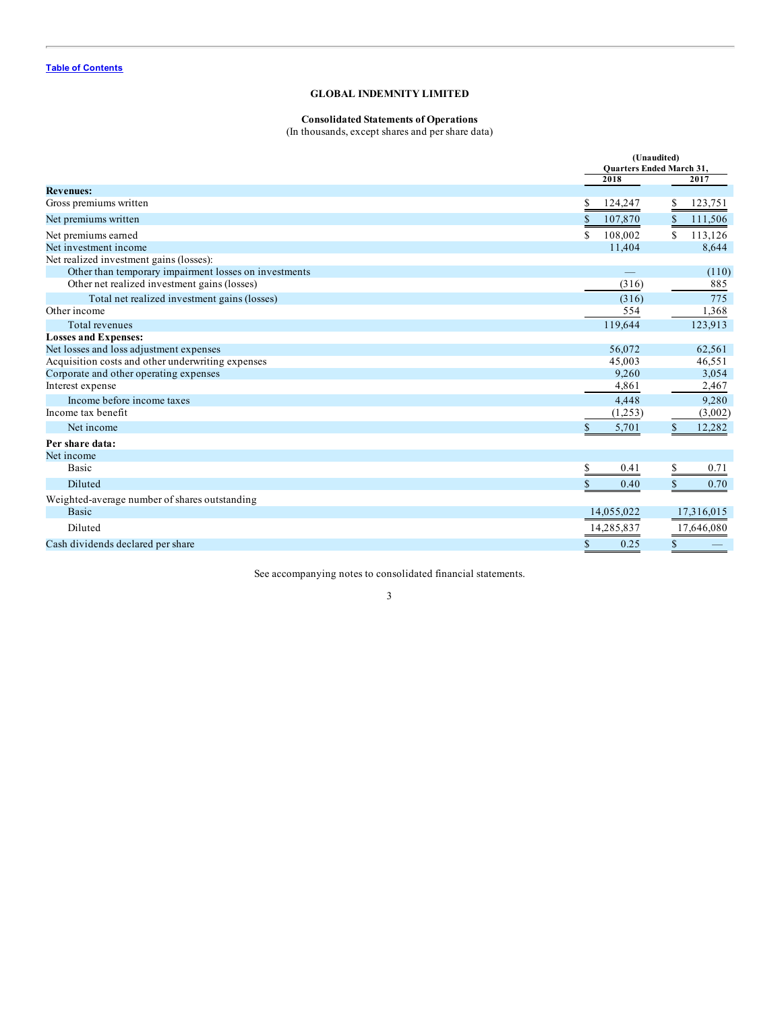# **Consolidated Statements of Operations**

(In thousands, except shares and per share data)

<span id="page-3-0"></span>

|                                                       | (Unaudited)                     |                      |
|-------------------------------------------------------|---------------------------------|----------------------|
|                                                       | <b>Ouarters Ended March 31,</b> |                      |
|                                                       | 2018                            | 2017                 |
| <b>Revenues:</b>                                      |                                 |                      |
| Gross premiums written                                | \$<br>124,247                   | \$<br>123,751        |
| Net premiums written                                  | 107,870<br>S                    | \$<br>111,506        |
| Net premiums earned                                   | \$<br>108,002                   | \$<br>113,126        |
| Net investment income                                 | 11,404                          | 8,644                |
| Net realized investment gains (losses):               |                                 |                      |
| Other than temporary impairment losses on investments |                                 | (110)                |
| Other net realized investment gains (losses)          | (316)                           | 885                  |
| Total net realized investment gains (losses)          | (316)                           | 775                  |
| Other income                                          | 554                             | 1,368                |
| Total revenues                                        | 119,644                         | 123,913              |
| <b>Losses and Expenses:</b>                           |                                 |                      |
| Net losses and loss adjustment expenses               | 56,072                          | 62,561               |
| Acquisition costs and other underwriting expenses     | 45,003                          | 46,551               |
| Corporate and other operating expenses                | 9,260                           | 3,054                |
| Interest expense                                      | 4,861                           | 2,467                |
| Income before income taxes                            | 4,448                           | 9,280                |
| Income tax benefit                                    | (1,253)                         | (3,002)              |
| Net income                                            | 5,701<br>S                      | 12,282<br>\$         |
| Per share data:                                       |                                 |                      |
| Net income                                            |                                 |                      |
| <b>Basic</b>                                          | 0.41                            | \$<br>0.71           |
| Diluted                                               | 0.40                            | $\mathbb{S}$<br>0.70 |
| Weighted-average number of shares outstanding         |                                 |                      |
| <b>Basic</b>                                          | 14,055,022                      | 17,316,015           |
| Diluted                                               | 14,285,837                      | 17,646,080           |
| Cash dividends declared per share                     | \$<br>0.25                      | \$                   |

See accompanying notes to consolidated financial statements.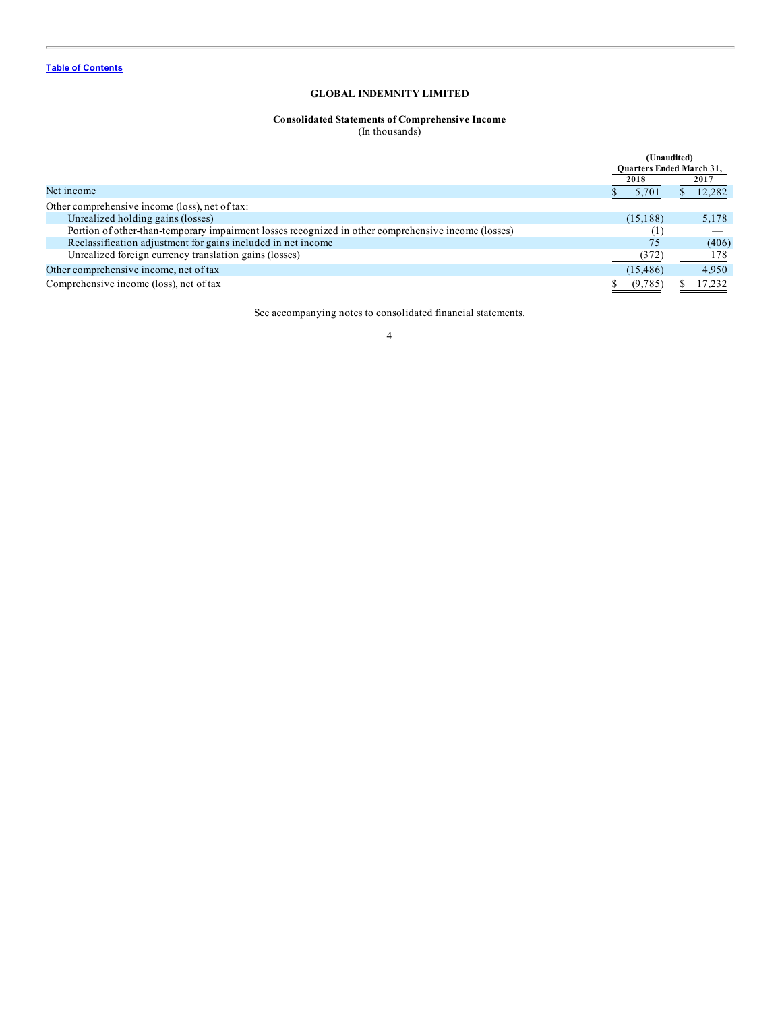# **Consolidated Statements of Comprehensive Income**

(In thousands)

<span id="page-4-0"></span>

|                                                                                                     | (Unaudited)<br><b>Ouarters Ended March 31,</b> |        |
|-----------------------------------------------------------------------------------------------------|------------------------------------------------|--------|
|                                                                                                     | 2018                                           | 2017   |
| Net income                                                                                          | 5,701                                          | 12,282 |
| Other comprehensive income (loss), net of tax:                                                      |                                                |        |
| Unrealized holding gains (losses)                                                                   | (15, 188)                                      | 5,178  |
| Portion of other-than-temporary impairment losses recognized in other comprehensive income (losses) |                                                |        |
| Reclassification adjustment for gains included in net income                                        | 75                                             | (406)  |
| Unrealized foreign currency translation gains (losses)                                              | (372)                                          | 178    |
| Other comprehensive income, net of tax                                                              | (15, 486)                                      | 4,950  |
| Comprehensive income (loss), net of tax                                                             | (9,785)                                        | 17,232 |

See accompanying notes to consolidated financial statements.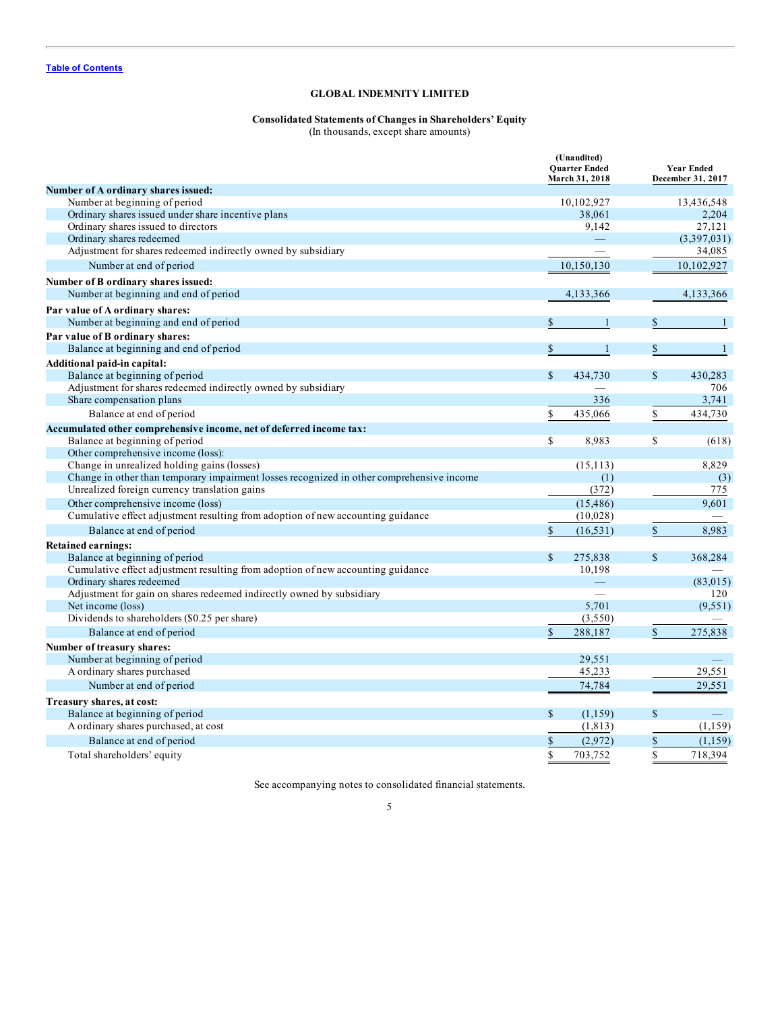# **Consolidated Statements of Changes in Shareholders' Equity**

(In thousands, except share amounts)

<span id="page-5-0"></span>

|                                                                                           |              | (Unaudited)<br><b>Quarter Ended</b><br>March 31, 2018 |              | <b>Year Ended</b><br>December 31, 2017 |
|-------------------------------------------------------------------------------------------|--------------|-------------------------------------------------------|--------------|----------------------------------------|
| Number of A ordinary shares issued:                                                       |              |                                                       |              |                                        |
| Number at beginning of period                                                             |              | 10,102,927                                            |              | 13,436,548                             |
| Ordinary shares issued under share incentive plans                                        |              | 38,061                                                |              | 2,204                                  |
| Ordinary shares issued to directors                                                       |              | 9,142                                                 |              | 27,121                                 |
| Ordinary shares redeemed                                                                  |              |                                                       |              | (3,397,031)                            |
| Adjustment for shares redeemed indirectly owned by subsidiary                             |              |                                                       |              | 34,085                                 |
| Number at end of period                                                                   |              | 10,150,130                                            |              | 10,102,927                             |
| Number of B ordinary shares issued:                                                       |              |                                                       |              |                                        |
| Number at beginning and end of period                                                     |              | 4,133,366                                             |              | 4,133,366                              |
| Par value of A ordinary shares:                                                           |              |                                                       |              |                                        |
| Number at beginning and end of period                                                     | \$           | 1                                                     | \$           |                                        |
| Par value of B ordinary shares:                                                           |              |                                                       |              |                                        |
| Balance at beginning and end of period                                                    | \$           | 1                                                     | \$           | $\mathbf{1}$                           |
| Additional paid-in capital:                                                               |              |                                                       |              |                                        |
| Balance at beginning of period                                                            | $\mathbb{S}$ | 434,730                                               | $\mathbb{S}$ | 430,283                                |
| Adjustment for shares redeemed indirectly owned by subsidiary                             |              |                                                       |              | 706                                    |
| Share compensation plans                                                                  |              | 336                                                   |              | 3,741                                  |
| Balance at end of period                                                                  | \$           | 435,066                                               | \$           | 434,730                                |
| Accumulated other comprehensive income, net of deferred income tax:                       |              |                                                       |              |                                        |
| Balance at beginning of period                                                            | \$           | 8,983                                                 | \$           | (618)                                  |
| Other comprehensive income (loss):                                                        |              |                                                       |              |                                        |
| Change in unrealized holding gains (losses)                                               |              | (15, 113)                                             |              | 8,829                                  |
| Change in other than temporary impairment losses recognized in other comprehensive income |              | (1)                                                   |              | (3)                                    |
| Unrealized foreign currency translation gains                                             |              | (372)                                                 |              | 775                                    |
| Other comprehensive income (loss)                                                         |              | (15, 486)                                             |              | 9,601                                  |
| Cumulative effect adjustment resulting from adoption of new accounting guidance           |              | (10,028)                                              |              |                                        |
| Balance at end of period                                                                  | \$           | (16, 531)                                             | \$           | 8,983                                  |
| <b>Retained earnings:</b>                                                                 |              |                                                       |              |                                        |
| Balance at beginning of period                                                            | $\mathbb{S}$ | 275,838                                               | \$           | 368,284                                |
| Cumulative effect adjustment resulting from adoption of new accounting guidance           |              | 10,198                                                |              |                                        |
| Ordinary shares redeemed                                                                  |              | ÷                                                     |              | (83, 015)                              |
| Adjustment for gain on shares redeemed indirectly owned by subsidiary                     |              |                                                       |              | 120                                    |
| Net income (loss)                                                                         |              | 5,701                                                 |              | (9,551)                                |
| Dividends to shareholders (\$0.25 per share)                                              |              | (3,550)                                               |              |                                        |
| Balance at end of period                                                                  | \$           | 288,187                                               | \$           | 275,838                                |
| <b>Number of treasury shares:</b>                                                         |              |                                                       |              |                                        |
| Number at beginning of period                                                             |              | 29,551                                                |              |                                        |
| A ordinary shares purchased                                                               |              | 45,233                                                |              | 29,551                                 |
| Number at end of period                                                                   |              | 74,784                                                |              | 29,551                                 |
| Treasury shares, at cost:                                                                 |              |                                                       |              |                                        |
| Balance at beginning of period                                                            | $\mathbb{S}$ | (1,159)                                               | $\mathbb{S}$ |                                        |
| A ordinary shares purchased, at cost                                                      |              | (1, 813)                                              |              | (1,159)                                |
| Balance at end of period                                                                  | \$           | (2,972)                                               | \$           | (1, 159)                               |
| Total shareholders' equity                                                                | \$           | 703,752                                               | \$           | 718,394                                |
|                                                                                           |              |                                                       |              |                                        |

See accompanying notes to consolidated financial statements.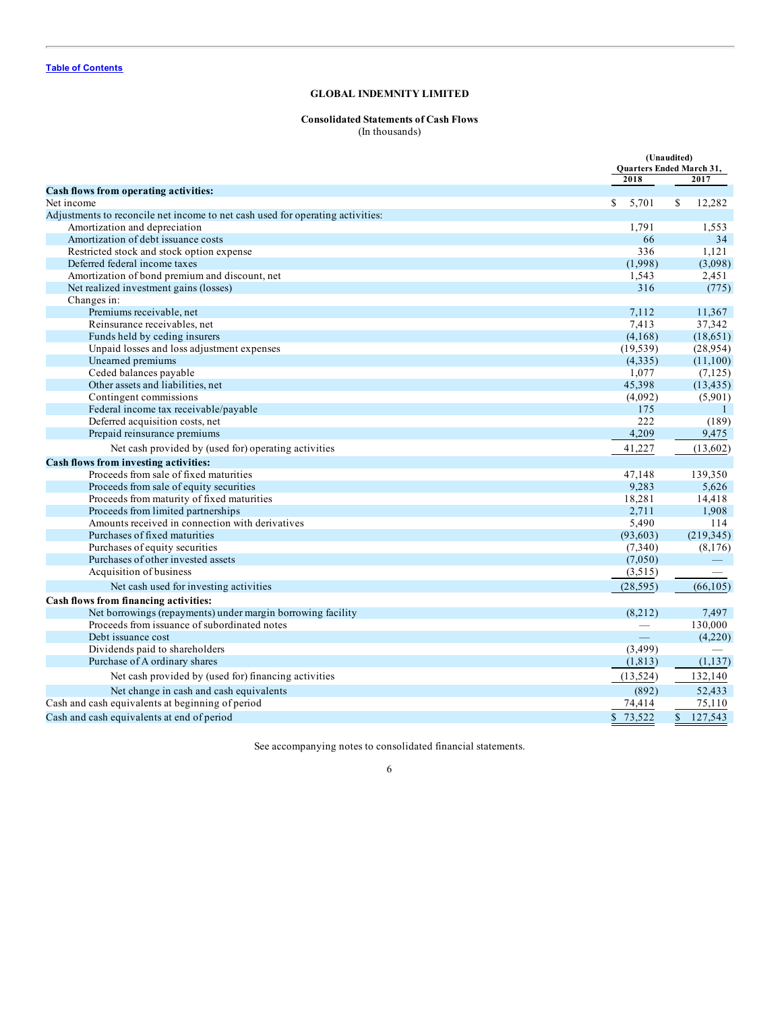# **Consolidated Statements of Cash Flows**

(In thousands)

<span id="page-6-0"></span>

| 2018<br>2017<br>Cash flows from operating activities:<br>$\mathbb{S}$<br>Net income<br>\$<br>5,701<br>12,282<br>Adjustments to reconcile net income to net cash used for operating activities:<br>Amortization and depreciation<br>1,791<br>1,553<br>Amortization of debt issuance costs<br>34<br>66<br>336<br>Restricted stock and stock option expense<br>1,121<br>Deferred federal income taxes<br>(1,998)<br>(3,098)<br>Amortization of bond premium and discount, net<br>1,543<br>2,451<br>Net realized investment gains (losses)<br>316<br>(775)<br>Changes in:<br>Premiums receivable, net<br>7.112<br>11,367<br>Reinsurance receivables, net<br>7,413<br>37,342<br>Funds held by ceding insurers<br>(4,168)<br>(18,651)<br>Unpaid losses and loss adjustment expenses<br>(19, 539)<br>(28, 954)<br>Unearned premiums<br>(4, 335)<br>(11,100)<br>Ceded balances payable<br>1,077<br>(7, 125)<br>Other assets and liabilities, net<br>45,398<br>(13, 435)<br>Contingent commissions<br>(4,092)<br>(5,901)<br>Federal income tax receivable/payable<br>175<br>-1<br>Deferred acquisition costs, net<br>222<br>(189)<br>Prepaid reinsurance premiums<br>4,209<br>9,475<br>41,227<br>Net cash provided by (used for) operating activities<br>(13,602)<br>Cash flows from investing activities:<br>Proceeds from sale of fixed maturities<br>47,148<br>139,350<br>Proceeds from sale of equity securities<br>9.283<br>5,626<br>Proceeds from maturity of fixed maturities<br>18,281<br>14,418<br>Proceeds from limited partnerships<br>2,711<br>1,908<br>Amounts received in connection with derivatives<br>114<br>5,490<br>Purchases of fixed maturities<br>(219, 345)<br>(93,603)<br>Purchases of equity securities<br>(7,340)<br>(8,176)<br>Purchases of other invested assets<br>(7,050)<br>Acquisition of business<br>(3,515)<br>Net cash used for investing activities<br>(28, 595)<br>(66, 105)<br>Cash flows from financing activities: |
|---------------------------------------------------------------------------------------------------------------------------------------------------------------------------------------------------------------------------------------------------------------------------------------------------------------------------------------------------------------------------------------------------------------------------------------------------------------------------------------------------------------------------------------------------------------------------------------------------------------------------------------------------------------------------------------------------------------------------------------------------------------------------------------------------------------------------------------------------------------------------------------------------------------------------------------------------------------------------------------------------------------------------------------------------------------------------------------------------------------------------------------------------------------------------------------------------------------------------------------------------------------------------------------------------------------------------------------------------------------------------------------------------------------------------------------------------------------------------------------------------------------------------------------------------------------------------------------------------------------------------------------------------------------------------------------------------------------------------------------------------------------------------------------------------------------------------------------------------------------------------------------------------------------------------------------------------|
|                                                                                                                                                                                                                                                                                                                                                                                                                                                                                                                                                                                                                                                                                                                                                                                                                                                                                                                                                                                                                                                                                                                                                                                                                                                                                                                                                                                                                                                                                                                                                                                                                                                                                                                                                                                                                                                                                                                                                   |
|                                                                                                                                                                                                                                                                                                                                                                                                                                                                                                                                                                                                                                                                                                                                                                                                                                                                                                                                                                                                                                                                                                                                                                                                                                                                                                                                                                                                                                                                                                                                                                                                                                                                                                                                                                                                                                                                                                                                                   |
|                                                                                                                                                                                                                                                                                                                                                                                                                                                                                                                                                                                                                                                                                                                                                                                                                                                                                                                                                                                                                                                                                                                                                                                                                                                                                                                                                                                                                                                                                                                                                                                                                                                                                                                                                                                                                                                                                                                                                   |
|                                                                                                                                                                                                                                                                                                                                                                                                                                                                                                                                                                                                                                                                                                                                                                                                                                                                                                                                                                                                                                                                                                                                                                                                                                                                                                                                                                                                                                                                                                                                                                                                                                                                                                                                                                                                                                                                                                                                                   |
|                                                                                                                                                                                                                                                                                                                                                                                                                                                                                                                                                                                                                                                                                                                                                                                                                                                                                                                                                                                                                                                                                                                                                                                                                                                                                                                                                                                                                                                                                                                                                                                                                                                                                                                                                                                                                                                                                                                                                   |
|                                                                                                                                                                                                                                                                                                                                                                                                                                                                                                                                                                                                                                                                                                                                                                                                                                                                                                                                                                                                                                                                                                                                                                                                                                                                                                                                                                                                                                                                                                                                                                                                                                                                                                                                                                                                                                                                                                                                                   |
|                                                                                                                                                                                                                                                                                                                                                                                                                                                                                                                                                                                                                                                                                                                                                                                                                                                                                                                                                                                                                                                                                                                                                                                                                                                                                                                                                                                                                                                                                                                                                                                                                                                                                                                                                                                                                                                                                                                                                   |
|                                                                                                                                                                                                                                                                                                                                                                                                                                                                                                                                                                                                                                                                                                                                                                                                                                                                                                                                                                                                                                                                                                                                                                                                                                                                                                                                                                                                                                                                                                                                                                                                                                                                                                                                                                                                                                                                                                                                                   |
|                                                                                                                                                                                                                                                                                                                                                                                                                                                                                                                                                                                                                                                                                                                                                                                                                                                                                                                                                                                                                                                                                                                                                                                                                                                                                                                                                                                                                                                                                                                                                                                                                                                                                                                                                                                                                                                                                                                                                   |
|                                                                                                                                                                                                                                                                                                                                                                                                                                                                                                                                                                                                                                                                                                                                                                                                                                                                                                                                                                                                                                                                                                                                                                                                                                                                                                                                                                                                                                                                                                                                                                                                                                                                                                                                                                                                                                                                                                                                                   |
|                                                                                                                                                                                                                                                                                                                                                                                                                                                                                                                                                                                                                                                                                                                                                                                                                                                                                                                                                                                                                                                                                                                                                                                                                                                                                                                                                                                                                                                                                                                                                                                                                                                                                                                                                                                                                                                                                                                                                   |
|                                                                                                                                                                                                                                                                                                                                                                                                                                                                                                                                                                                                                                                                                                                                                                                                                                                                                                                                                                                                                                                                                                                                                                                                                                                                                                                                                                                                                                                                                                                                                                                                                                                                                                                                                                                                                                                                                                                                                   |
|                                                                                                                                                                                                                                                                                                                                                                                                                                                                                                                                                                                                                                                                                                                                                                                                                                                                                                                                                                                                                                                                                                                                                                                                                                                                                                                                                                                                                                                                                                                                                                                                                                                                                                                                                                                                                                                                                                                                                   |
|                                                                                                                                                                                                                                                                                                                                                                                                                                                                                                                                                                                                                                                                                                                                                                                                                                                                                                                                                                                                                                                                                                                                                                                                                                                                                                                                                                                                                                                                                                                                                                                                                                                                                                                                                                                                                                                                                                                                                   |
|                                                                                                                                                                                                                                                                                                                                                                                                                                                                                                                                                                                                                                                                                                                                                                                                                                                                                                                                                                                                                                                                                                                                                                                                                                                                                                                                                                                                                                                                                                                                                                                                                                                                                                                                                                                                                                                                                                                                                   |
|                                                                                                                                                                                                                                                                                                                                                                                                                                                                                                                                                                                                                                                                                                                                                                                                                                                                                                                                                                                                                                                                                                                                                                                                                                                                                                                                                                                                                                                                                                                                                                                                                                                                                                                                                                                                                                                                                                                                                   |
|                                                                                                                                                                                                                                                                                                                                                                                                                                                                                                                                                                                                                                                                                                                                                                                                                                                                                                                                                                                                                                                                                                                                                                                                                                                                                                                                                                                                                                                                                                                                                                                                                                                                                                                                                                                                                                                                                                                                                   |
|                                                                                                                                                                                                                                                                                                                                                                                                                                                                                                                                                                                                                                                                                                                                                                                                                                                                                                                                                                                                                                                                                                                                                                                                                                                                                                                                                                                                                                                                                                                                                                                                                                                                                                                                                                                                                                                                                                                                                   |
|                                                                                                                                                                                                                                                                                                                                                                                                                                                                                                                                                                                                                                                                                                                                                                                                                                                                                                                                                                                                                                                                                                                                                                                                                                                                                                                                                                                                                                                                                                                                                                                                                                                                                                                                                                                                                                                                                                                                                   |
|                                                                                                                                                                                                                                                                                                                                                                                                                                                                                                                                                                                                                                                                                                                                                                                                                                                                                                                                                                                                                                                                                                                                                                                                                                                                                                                                                                                                                                                                                                                                                                                                                                                                                                                                                                                                                                                                                                                                                   |
|                                                                                                                                                                                                                                                                                                                                                                                                                                                                                                                                                                                                                                                                                                                                                                                                                                                                                                                                                                                                                                                                                                                                                                                                                                                                                                                                                                                                                                                                                                                                                                                                                                                                                                                                                                                                                                                                                                                                                   |
|                                                                                                                                                                                                                                                                                                                                                                                                                                                                                                                                                                                                                                                                                                                                                                                                                                                                                                                                                                                                                                                                                                                                                                                                                                                                                                                                                                                                                                                                                                                                                                                                                                                                                                                                                                                                                                                                                                                                                   |
|                                                                                                                                                                                                                                                                                                                                                                                                                                                                                                                                                                                                                                                                                                                                                                                                                                                                                                                                                                                                                                                                                                                                                                                                                                                                                                                                                                                                                                                                                                                                                                                                                                                                                                                                                                                                                                                                                                                                                   |
|                                                                                                                                                                                                                                                                                                                                                                                                                                                                                                                                                                                                                                                                                                                                                                                                                                                                                                                                                                                                                                                                                                                                                                                                                                                                                                                                                                                                                                                                                                                                                                                                                                                                                                                                                                                                                                                                                                                                                   |
|                                                                                                                                                                                                                                                                                                                                                                                                                                                                                                                                                                                                                                                                                                                                                                                                                                                                                                                                                                                                                                                                                                                                                                                                                                                                                                                                                                                                                                                                                                                                                                                                                                                                                                                                                                                                                                                                                                                                                   |
|                                                                                                                                                                                                                                                                                                                                                                                                                                                                                                                                                                                                                                                                                                                                                                                                                                                                                                                                                                                                                                                                                                                                                                                                                                                                                                                                                                                                                                                                                                                                                                                                                                                                                                                                                                                                                                                                                                                                                   |
|                                                                                                                                                                                                                                                                                                                                                                                                                                                                                                                                                                                                                                                                                                                                                                                                                                                                                                                                                                                                                                                                                                                                                                                                                                                                                                                                                                                                                                                                                                                                                                                                                                                                                                                                                                                                                                                                                                                                                   |
|                                                                                                                                                                                                                                                                                                                                                                                                                                                                                                                                                                                                                                                                                                                                                                                                                                                                                                                                                                                                                                                                                                                                                                                                                                                                                                                                                                                                                                                                                                                                                                                                                                                                                                                                                                                                                                                                                                                                                   |
|                                                                                                                                                                                                                                                                                                                                                                                                                                                                                                                                                                                                                                                                                                                                                                                                                                                                                                                                                                                                                                                                                                                                                                                                                                                                                                                                                                                                                                                                                                                                                                                                                                                                                                                                                                                                                                                                                                                                                   |
|                                                                                                                                                                                                                                                                                                                                                                                                                                                                                                                                                                                                                                                                                                                                                                                                                                                                                                                                                                                                                                                                                                                                                                                                                                                                                                                                                                                                                                                                                                                                                                                                                                                                                                                                                                                                                                                                                                                                                   |
|                                                                                                                                                                                                                                                                                                                                                                                                                                                                                                                                                                                                                                                                                                                                                                                                                                                                                                                                                                                                                                                                                                                                                                                                                                                                                                                                                                                                                                                                                                                                                                                                                                                                                                                                                                                                                                                                                                                                                   |
|                                                                                                                                                                                                                                                                                                                                                                                                                                                                                                                                                                                                                                                                                                                                                                                                                                                                                                                                                                                                                                                                                                                                                                                                                                                                                                                                                                                                                                                                                                                                                                                                                                                                                                                                                                                                                                                                                                                                                   |
|                                                                                                                                                                                                                                                                                                                                                                                                                                                                                                                                                                                                                                                                                                                                                                                                                                                                                                                                                                                                                                                                                                                                                                                                                                                                                                                                                                                                                                                                                                                                                                                                                                                                                                                                                                                                                                                                                                                                                   |
|                                                                                                                                                                                                                                                                                                                                                                                                                                                                                                                                                                                                                                                                                                                                                                                                                                                                                                                                                                                                                                                                                                                                                                                                                                                                                                                                                                                                                                                                                                                                                                                                                                                                                                                                                                                                                                                                                                                                                   |
| Net borrowings (repayments) under margin borrowing facility<br>7,497<br>(8,212)                                                                                                                                                                                                                                                                                                                                                                                                                                                                                                                                                                                                                                                                                                                                                                                                                                                                                                                                                                                                                                                                                                                                                                                                                                                                                                                                                                                                                                                                                                                                                                                                                                                                                                                                                                                                                                                                   |
| Proceeds from issuance of subordinated notes<br>130,000                                                                                                                                                                                                                                                                                                                                                                                                                                                                                                                                                                                                                                                                                                                                                                                                                                                                                                                                                                                                                                                                                                                                                                                                                                                                                                                                                                                                                                                                                                                                                                                                                                                                                                                                                                                                                                                                                           |
| Debt issuance cost<br>(4,220)                                                                                                                                                                                                                                                                                                                                                                                                                                                                                                                                                                                                                                                                                                                                                                                                                                                                                                                                                                                                                                                                                                                                                                                                                                                                                                                                                                                                                                                                                                                                                                                                                                                                                                                                                                                                                                                                                                                     |
| Dividends paid to shareholders<br>(3, 499)                                                                                                                                                                                                                                                                                                                                                                                                                                                                                                                                                                                                                                                                                                                                                                                                                                                                                                                                                                                                                                                                                                                                                                                                                                                                                                                                                                                                                                                                                                                                                                                                                                                                                                                                                                                                                                                                                                        |
| Purchase of A ordinary shares<br>(1, 813)<br>(1, 137)                                                                                                                                                                                                                                                                                                                                                                                                                                                                                                                                                                                                                                                                                                                                                                                                                                                                                                                                                                                                                                                                                                                                                                                                                                                                                                                                                                                                                                                                                                                                                                                                                                                                                                                                                                                                                                                                                             |
| 132,140<br>Net cash provided by (used for) financing activities<br>(13, 524)                                                                                                                                                                                                                                                                                                                                                                                                                                                                                                                                                                                                                                                                                                                                                                                                                                                                                                                                                                                                                                                                                                                                                                                                                                                                                                                                                                                                                                                                                                                                                                                                                                                                                                                                                                                                                                                                      |
| (892)<br>52,433<br>Net change in cash and cash equivalents                                                                                                                                                                                                                                                                                                                                                                                                                                                                                                                                                                                                                                                                                                                                                                                                                                                                                                                                                                                                                                                                                                                                                                                                                                                                                                                                                                                                                                                                                                                                                                                                                                                                                                                                                                                                                                                                                        |
| Cash and cash equivalents at beginning of period<br>74,414<br>75,110                                                                                                                                                                                                                                                                                                                                                                                                                                                                                                                                                                                                                                                                                                                                                                                                                                                                                                                                                                                                                                                                                                                                                                                                                                                                                                                                                                                                                                                                                                                                                                                                                                                                                                                                                                                                                                                                              |
| \$127,543<br>\$73,522<br>Cash and cash equivalents at end of period                                                                                                                                                                                                                                                                                                                                                                                                                                                                                                                                                                                                                                                                                                                                                                                                                                                                                                                                                                                                                                                                                                                                                                                                                                                                                                                                                                                                                                                                                                                                                                                                                                                                                                                                                                                                                                                                               |

See accompanying notes to consolidated financial statements.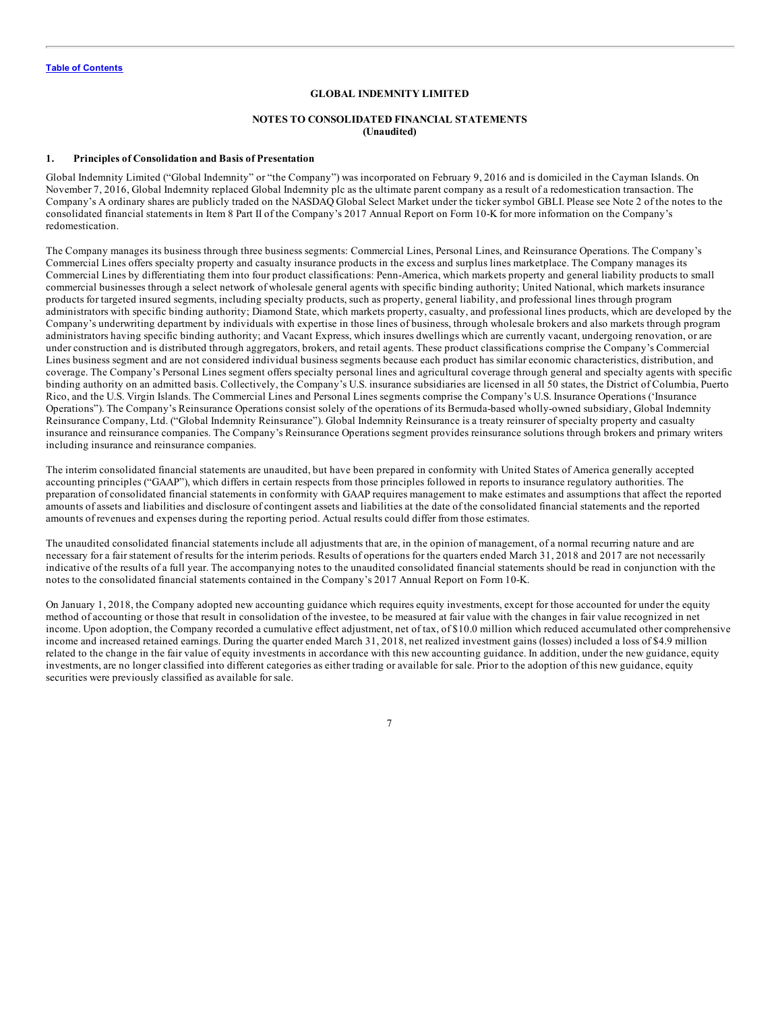# **NOTES TO CONSOLIDATED FINANCIAL STATEMENTS (Unaudited)**

# <span id="page-7-0"></span>**1. Principles of Consolidation and Basis of Presentation**

Global Indemnity Limited ("Global Indemnity" or "the Company") was incorporated on February 9, 2016 and is domiciled in the Cayman Islands. On November 7, 2016, Global Indemnity replaced Global Indemnity plc as the ultimate parent company as a result of a redomestication transaction. The Company's A ordinary shares are publicly traded on the NASDAQ Global Select Market under the ticker symbol GBLI. Please see Note 2 of the notes to the consolidated financial statements in Item 8 Part II of the Company's 2017 Annual Report on Form 10-K for more information on the Company's redomestication.

The Company manages its business through three business segments: Commercial Lines, Personal Lines, and Reinsurance Operations. The Company's Commercial Lines offers specialty property and casualty insurance products in the excess and surplus lines marketplace. The Company manages its Commercial Lines by differentiating them into four product classifications: Penn-America, which markets property and general liability products to small commercial businesses through a select network of wholesale general agents with specific binding authority; United National, which markets insurance products for targeted insured segments, including specialty products, such as property, general liability, and professional lines through program administrators with specific binding authority; Diamond State, which markets property, casualty, and professional lines products, which are developed by the Company's underwriting department by individuals with expertise in those lines of business, through wholesale brokers and also markets through program administrators having specific binding authority; and Vacant Express, which insures dwellings which are currently vacant, undergoing renovation, or are under construction and is distributed through aggregators, brokers, and retail agents. These product classifications comprise the Company's Commercial Lines business segment and are not considered individual business segments because each product has similar economic characteristics, distribution, and coverage. The Company's Personal Lines segment offers specialty personal lines and agricultural coverage through general and specialty agents with specific binding authority on an admitted basis. Collectively, the Company's U.S. insurance subsidiaries are licensed in all 50 states, the District of Columbia, Puerto Rico, and the U.S. Virgin Islands. The Commercial Lines and Personal Lines segments comprise the Company's U.S. Insurance Operations ('Insurance Operations"). The Company's Reinsurance Operations consist solely of the operations of its Bermuda-based wholly-owned subsidiary, Global Indemnity Reinsurance Company, Ltd. ("Global Indemnity Reinsurance"). Global Indemnity Reinsurance is a treaty reinsurer of specialty property and casualty insurance and reinsurance companies. The Company's Reinsurance Operations segment provides reinsurance solutions through brokers and primary writers including insurance and reinsurance companies.

The interim consolidated financial statements are unaudited, but have been prepared in conformity with United States of America generally accepted accounting principles ("GAAP"), which differs in certain respects from those principles followed in reports to insurance regulatory authorities. The preparation of consolidated financial statements in conformity with GAAP requires management to make estimates and assumptions that affect the reported amounts of assets and liabilities and disclosure of contingent assets and liabilities at the date of the consolidated financial statements and the reported amounts of revenues and expenses during the reporting period. Actual results could differ from those estimates.

The unaudited consolidated financial statements include all adjustments that are, in the opinion of management, of a normal recurring nature and are necessary for a fair statement of results for the interim periods. Results of operations for the quarters ended March 31, 2018 and 2017 are not necessarily indicative of the results of a full year. The accompanying notes to the unaudited consolidated financial statements should be read in conjunction with the notes to the consolidated financial statements contained in the Company's 2017 Annual Report on Form 10-K.

On January 1, 2018, the Company adopted new accounting guidance which requires equity investments, except for those accounted for under the equity method of accounting or those that result in consolidation of the investee, to be measured at fair value with the changes in fair value recognized in net income. Upon adoption, the Company recorded a cumulative effect adjustment, net of tax, of \$10.0 million which reduced accumulated other comprehensive income and increased retained earnings. During the quarter ended March 31, 2018, net realized investment gains (losses) included a loss of \$4.9 million related to the change in the fair value of equity investments in accordance with this new accounting guidance. In addition, under the new guidance, equity investments, are no longer classified into different categories as either trading or available for sale. Prior to the adoption of this new guidance, equity securities were previously classified as available for sale.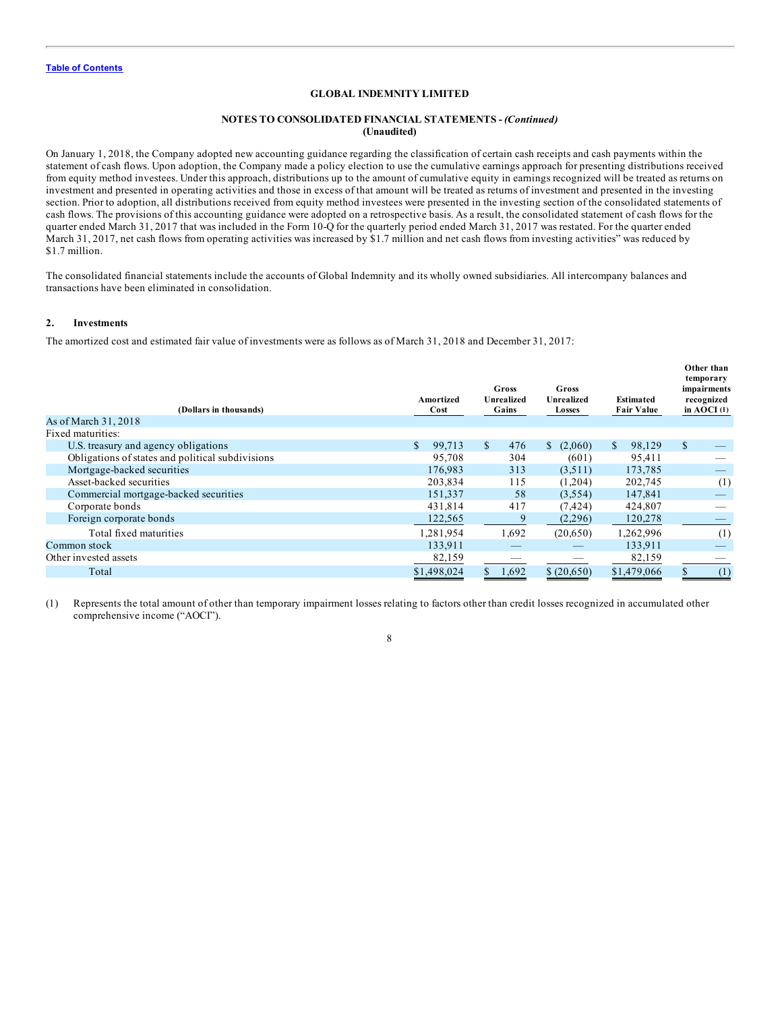# **NOTES TO CONSOLIDATED FINANCIAL STATEMENTS -** *(Continued)* **(Unaudited)**

On January 1, 2018, the Company adopted new accounting guidance regarding the classification of certain cash receipts and cash payments within the statement of cash flows. Upon adoption, the Company made a policy election to use the cumulative earnings approach for presenting distributions received from equity method investees. Under this approach, distributions up to the amount of cumulative equity in earnings recognized will be treated as returns on investment and presented in operating activities and those in excess of that amount will be treated as returns of investment and presented in the investing section. Prior to adoption, all distributions received from equity method investees were presented in the investing section of the consolidated statements of cash flows. The provisions of this accounting guidance were adopted on a retrospective basis. As a result, the consolidated statement of cash flows for the quarter ended March 31, 2017 that was included in the Form 10-Q for the quarterly period ended March 31, 2017 was restated. For the quarter ended March 31, 2017, net cash flows from operating activities was increased by \$1.7 million and net cash flows from investing activities" was reduced by \$1.7 million.

The consolidated financial statements include the accounts of Global Indemnity and its wholly owned subsidiaries. All intercompany balances and transactions have been eliminated in consolidation.

#### **2. Investments**

The amortized cost and estimated fair value of investments were as follows as of March 31, 2018 and December 31, 2017:

| (Dollars in thousands)<br>As of March 31, 2018   | Amortized<br>Cost | Gross<br>Unrealized<br>Gains | Gross<br>Unrealized<br>Losses | Estimated<br><b>Fair Value</b> | Other than<br>temporary<br>impairments<br>recognized<br>in AOCI $(1)$ |
|--------------------------------------------------|-------------------|------------------------------|-------------------------------|--------------------------------|-----------------------------------------------------------------------|
| Fixed maturities:                                |                   |                              |                               |                                |                                                                       |
| U.S. treasury and agency obligations             | \$<br>99,713      | $\mathbb{S}$<br>476          | (2,060)<br><sup>\$</sup>      | 98,129<br>\$.                  | <sup>\$</sup>                                                         |
| Obligations of states and political subdivisions | 95,708            | 304                          | (601)                         | 95,411                         |                                                                       |
| Mortgage-backed securities                       | 176,983           | 313                          | (3,511)                       | 173,785                        |                                                                       |
| Asset-backed securities                          | 203,834           | 115                          | (1,204)                       | 202,745                        | (1)                                                                   |
| Commercial mortgage-backed securities            | 151,337           | 58                           | (3,554)                       | 147,841                        |                                                                       |
| Corporate bonds                                  | 431,814           | 417                          | (7, 424)                      | 424,807                        |                                                                       |
| Foreign corporate bonds                          | 122,565           | 9                            | (2,296)                       | 120,278                        |                                                                       |
| Total fixed maturities                           | 1,281,954         | 1,692                        | (20,650)                      | 1,262,996                      | (1)                                                                   |
| Common stock                                     | 133,911           |                              |                               | 133,911                        |                                                                       |
| Other invested assets                            | 82,159            |                              |                               | 82,159                         |                                                                       |
| Total                                            | \$1,498,024       | 1,692                        | \$ (20,650)                   | \$1,479,066                    | (1)                                                                   |
|                                                  |                   |                              |                               |                                |                                                                       |

(1) Represents the total amount of other than temporary impairment losses relating to factors other than credit losses recognized in accumulated other comprehensive income ("AOCI").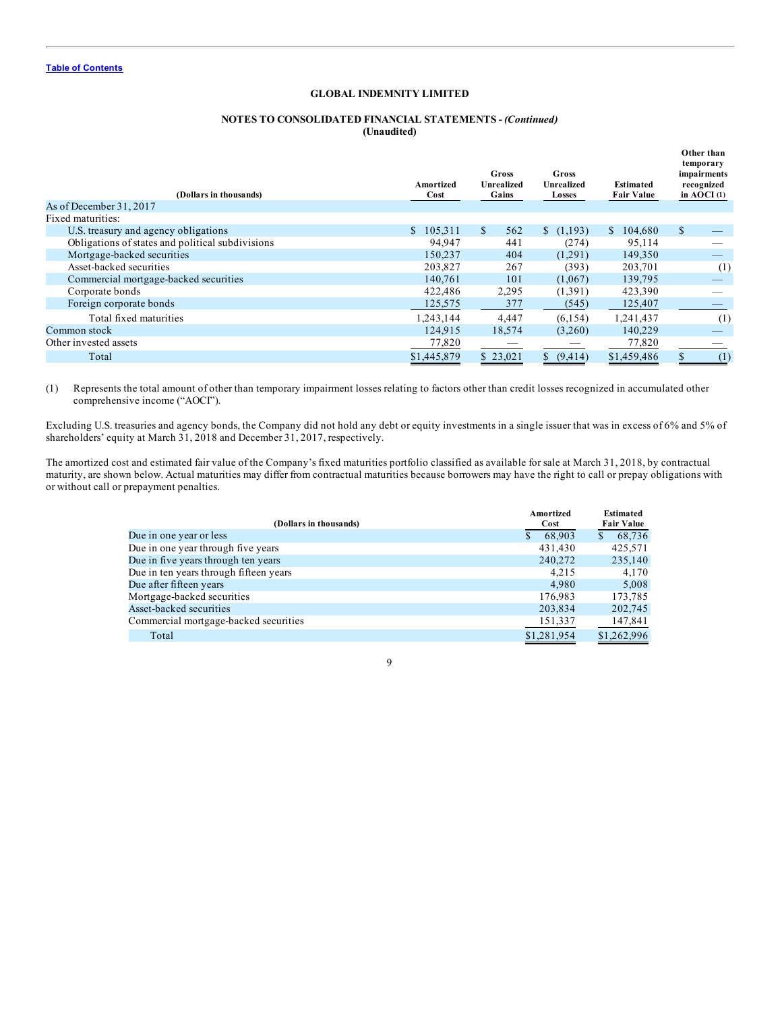# **NOTES TO CONSOLIDATED FINANCIAL STATEMENTS -** *(Continued)* **(Unaudited)**

| (Dollars in thousands)<br>As of December 31, 2017 | Amortized<br>Cost | Gross<br>Unrealized<br>Gains | Gross<br>Unrealized<br>Losses | Estimated<br><b>Fair Value</b> | Other than<br>temporary<br>impairments<br>recognized<br>in AOCI $(1)$ |
|---------------------------------------------------|-------------------|------------------------------|-------------------------------|--------------------------------|-----------------------------------------------------------------------|
| Fixed maturities:                                 |                   |                              |                               |                                |                                                                       |
| U.S. treasury and agency obligations              | \$105,311         | $\mathbb{S}$<br>562          | (1,193)<br>S.                 | 104.680<br>S.                  | \$.                                                                   |
| Obligations of states and political subdivisions  | 94.947            | 441                          | (274)                         | 95,114                         |                                                                       |
| Mortgage-backed securities                        | 150,237           | 404                          | (1,291)                       | 149,350                        |                                                                       |
| Asset-backed securities                           | 203,827           | 267                          | (393)                         | 203,701                        | (1)                                                                   |
| Commercial mortgage-backed securities             | 140.761           | 101                          | (1,067)                       | 139,795                        |                                                                       |
| Corporate bonds                                   | 422,486           | 2,295                        | (1,391)                       | 423,390                        |                                                                       |
| Foreign corporate bonds                           | 125,575           | 377                          | (545)                         | 125,407                        |                                                                       |
| Total fixed maturities                            | 1,243,144         | 4,447                        | (6, 154)                      | 1,241,437                      | (1)                                                                   |
| Common stock                                      | 124,915           | 18,574                       | (3,260)                       | 140,229                        |                                                                       |
| Other invested assets                             | 77,820            |                              |                               | 77,820                         |                                                                       |
| Total                                             | \$1,445,879       | \$23,021                     | \$ (9,414)                    | \$1,459,486                    | (1)                                                                   |

(1) Represents the total amount of other than temporary impairment losses relating to factors other than credit losses recognized in accumulated other comprehensive income ("AOCI").

Excluding U.S. treasuries and agency bonds, the Company did not hold any debt or equity investments in a single issuer that was in excess of 6% and 5% of shareholders' equity at March 31, 2018 and December 31, 2017, respectively.

The amortized cost and estimated fair value of the Company's fixed maturities portfolio classified as available for sale at March 31, 2018, by contractual maturity, are shown below. Actual maturities may differ from contractual maturities because borrowers may have the right to call or prepay obligations with or without call or prepayment penalties.

|                                        | Amortized   | <b>Estimated</b>  |
|----------------------------------------|-------------|-------------------|
| (Dollars in thousands)                 | Cost        | <b>Fair Value</b> |
| Due in one year or less                | 68,903<br>S | 68.736<br>S.      |
| Due in one year through five years     | 431.430     | 425,571           |
| Due in five years through ten years    | 240,272     | 235,140           |
| Due in ten years through fifteen years | 4.215       | 4.170             |
| Due after fifteen years                | 4.980       | 5,008             |
| Mortgage-backed securities             | 176,983     | 173,785           |
| Asset-backed securities                | 203,834     | 202,745           |
| Commercial mortgage-backed securities  | 151,337     | 147,841           |
| Total                                  | \$1,281,954 | \$1,262,996       |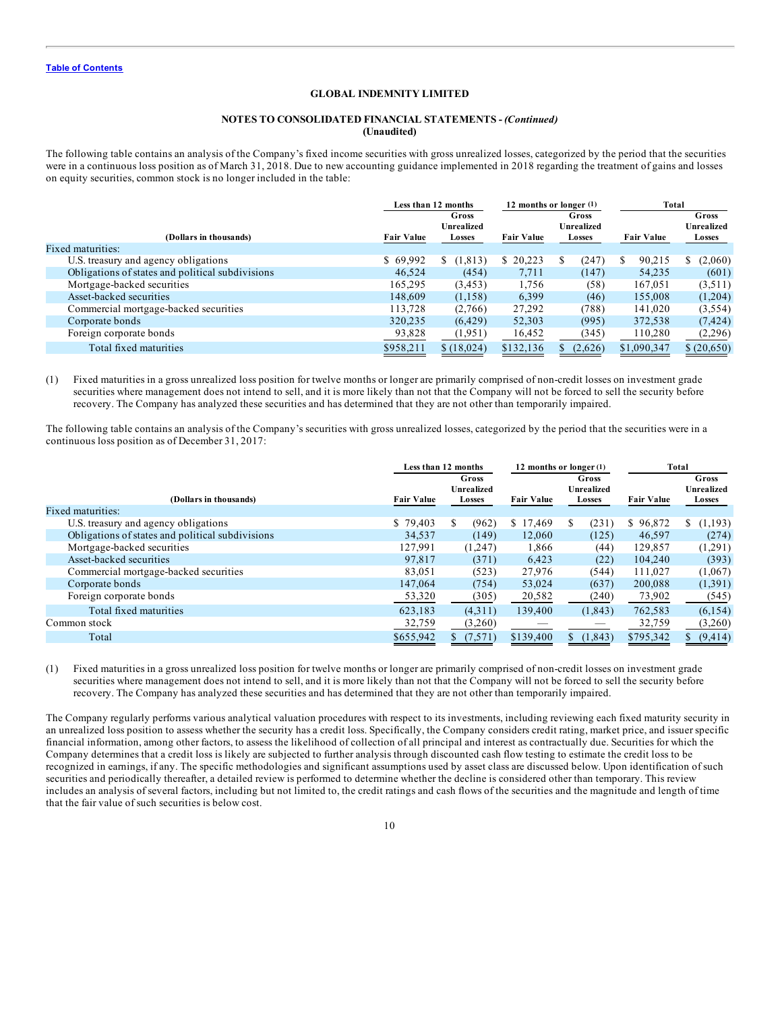# **NOTES TO CONSOLIDATED FINANCIAL STATEMENTS -** *(Continued)* **(Unaudited)**

The following table contains an analysis of the Company's fixed income securities with gross unrealized losses, categorized by the period that the securities were in a continuous loss position as of March 31, 2018. Due to new accounting guidance implemented in 2018 regarding the treatment of gains and losses on equity securities, common stock is no longer included in the table:

|                                                  |                   | Less than 12 months                  | 12 months or longer (1) |                               | Total             |                               |
|--------------------------------------------------|-------------------|--------------------------------------|-------------------------|-------------------------------|-------------------|-------------------------------|
| (Dollars in thousands)                           | <b>Fair Value</b> | Gross<br><b>Unrealized</b><br>Losses | <b>Fair Value</b>       | Gross<br>Unrealized<br>Losses | <b>Fair Value</b> | Gross<br>Unrealized<br>Losses |
| Fixed maturities:                                |                   |                                      |                         |                               |                   |                               |
| U.S. treasury and agency obligations             | \$69,992          | (1, 813)<br>S.                       | \$20,223                | \$<br>(247)                   | 90,215<br>S.      | (2,060)<br>S.                 |
| Obligations of states and political subdivisions | 46.524            | (454)                                | 7,711                   | (147)                         | 54,235            | (601)                         |
| Mortgage-backed securities                       | 165.295           | (3, 453)                             | 1,756                   | (58)                          | 167,051           | (3,511)                       |
| Asset-backed securities                          | 148,609           | (1,158)                              | 6,399                   | (46)                          | 155,008           | (1,204)                       |
| Commercial mortgage-backed securities            | 113,728           | (2,766)                              | 27,292                  | (788)                         | 141,020           | (3,554)                       |
| Corporate bonds                                  | 320,235           | (6, 429)                             | 52,303                  | (995)                         | 372,538           | (7, 424)                      |
| Foreign corporate bonds                          | 93,828            | (1,951)                              | 16,452                  | (345)                         | 110,280           | (2,296)                       |
| Total fixed maturities                           | \$958.211         | \$(18,024)                           | \$132,136               | (2,626)                       | \$1,090,347       | \$(20,650)                    |

(1) Fixed maturities in a gross unrealized loss position for twelve months or longer are primarily comprised of non-credit losses on investment grade securities where management does not intend to sell, and it is more likely than not that the Company will not be forced to sell the security before recovery. The Company has analyzed these securities and has determined that they are not other than temporarily impaired.

The following table contains an analysis of the Company's securities with gross unrealized losses, categorized by the period that the securities were in a continuous loss position as of December 31, 2017:

|                                                  | Less than 12 months<br>12 months or longer (1) |                               |                   |                               | Total             |                                      |
|--------------------------------------------------|------------------------------------------------|-------------------------------|-------------------|-------------------------------|-------------------|--------------------------------------|
| (Dollars in thousands)                           | <b>Fair Value</b>                              | Gross<br>Unrealized<br>Losses | <b>Fair Value</b> | Gross<br>Unrealized<br>Losses | <b>Fair Value</b> | Gross<br><b>Unrealized</b><br>Losses |
| Fixed maturities:                                |                                                |                               |                   |                               |                   |                                      |
| U.S. treasury and agency obligations             | \$79,403                                       | S<br>(962)                    | \$17,469          | S<br>(231)                    | \$96,872          | (1,193)<br>S.                        |
| Obligations of states and political subdivisions | 34.537                                         | (149)                         | 12,060            | (125)                         | 46,597            | (274)                                |
| Mortgage-backed securities                       | 127,991                                        | (1,247)                       | 1,866             | (44)                          | 129,857           | (1,291)                              |
| Asset-backed securities                          | 97.817                                         | (371)                         | 6.423             | (22)                          | 104.240           | (393)                                |
| Commercial mortgage-backed securities            | 83.051                                         | (523)                         | 27,976            | (544)                         | 111,027           | (1,067)                              |
| Corporate bonds                                  | 147,064                                        | (754)                         | 53,024            | (637)                         | 200,088           | (1,391)                              |
| Foreign corporate bonds                          | 53,320                                         | (305)                         | 20,582            | (240)                         | 73,902            | (545)                                |
| Total fixed maturities                           | 623,183                                        | (4,311)                       | 139,400           | (1, 843)                      | 762,583           | (6, 154)                             |
| Common stock                                     | 32,759                                         | (3,260)                       |                   |                               | 32,759            | (3,260)                              |
| Total                                            | \$655,942                                      | (7,571)                       | \$139,400         | (1, 843)<br>S.                | \$795,342         | (9, 414)                             |

(1) Fixed maturities in a gross unrealized loss position for twelve months or longer are primarily comprised of non-credit losses on investment grade securities where management does not intend to sell, and it is more likely than not that the Company will not be forced to sell the security before recovery. The Company has analyzed these securities and has determined that they are not other than temporarily impaired.

The Company regularly performs various analytical valuation procedures with respect to its investments, including reviewing each fixed maturity security in an unrealized loss position to assess whether the security has a credit loss. Specifically, the Company considers credit rating, market price, and issuer specific financial information, among other factors, to assess the likelihood of collection of all principal and interest as contractually due. Securities for which the Company determines that a credit loss is likely are subjected to further analysis through discounted cash flow testing to estimate the credit loss to be recognized in earnings, if any. The specific methodologies and significant assumptions used by asset class are discussed below. Upon identification of such securities and periodically thereafter, a detailed review is performed to determine whether the decline is considered other than temporary. This review includes an analysis of several factors, including but not limited to, the credit ratings and cash flows of the securities and the magnitude and length of time that the fair value of such securities is below cost.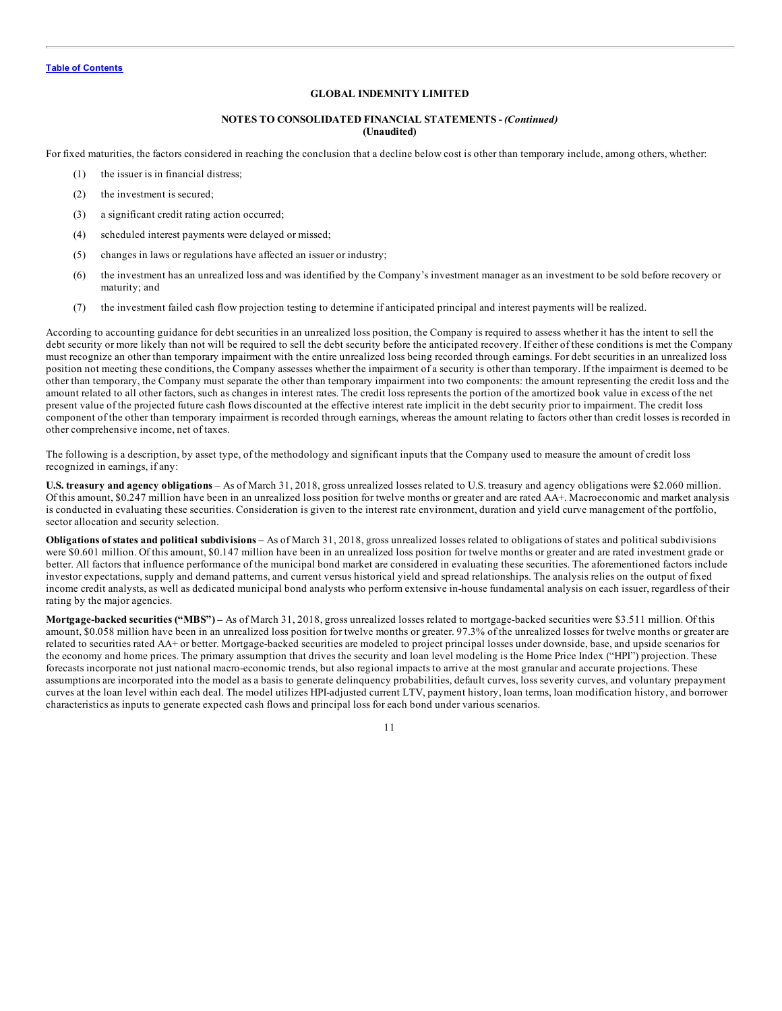#### **GLOBAL INDEMNITY LIMITED**

# **NOTES TO CONSOLIDATED FINANCIAL STATEMENTS -** *(Continued)* **(Unaudited)**

For fixed maturities, the factors considered in reaching the conclusion that a decline below cost is other than temporary include, among others, whether:

- (1) the issuer is in financial distress;
- (2) the investment is secured;
- (3) a significant credit rating action occurred;
- (4) scheduled interest payments were delayed or missed;
- (5) changes in laws or regulations have affected an issuer or industry;
- (6) the investment has an unrealized loss and was identified by the Company's investment manager as an investment to be sold before recovery or maturity; and
- (7) the investment failed cash flow projection testing to determine if anticipated principal and interest payments will be realized.

According to accounting guidance for debt securities in an unrealized loss position, the Company is required to assess whether it has the intent to sell the debt security or more likely than not will be required to sell the debt security before the anticipated recovery. If either of these conditions is met the Company must recognize an other than temporary impairment with the entire unrealized loss being recorded through earnings. For debt securities in an unrealized loss position not meeting these conditions, the Company assesses whether the impairment of a security is other than temporary. If the impairment is deemed to be other than temporary, the Company must separate the other than temporary impairment into two components: the amount representing the credit loss and the amount related to all other factors, such as changes in interest rates. The credit loss represents the portion of the amortized book value in excess of the net present value of the projected future cash flows discounted at the effective interest rate implicit in the debt security prior to impairment. The credit loss component of the other than temporary impairment is recorded through earnings, whereas the amount relating to factors other than credit losses is recorded in other comprehensive income, net of taxes.

The following is a description, by asset type, of the methodology and significant inputs that the Company used to measure the amount of credit loss recognized in earnings, if any:

**U.S. treasury and agency obligations** – As of March 31, 2018, gross unrealized losses related to U.S. treasury and agency obligations were \$2.060 million. Of this amount, \$0.247 million have been in an unrealized loss position for twelve months or greater and are rated AA+. Macroeconomic and market analysis is conducted in evaluating these securities. Consideration is given to the interest rate environment, duration and yield curve management of the portfolio, sector allocation and security selection.

**Obligations of states and political subdivisions –** As of March 31, 2018, gross unrealized losses related to obligations of states and political subdivisions were \$0.601 million. Of this amount, \$0.147 million have been in an unrealized loss position for twelve months or greater and are rated investment grade or better. All factors that influence performance of the municipal bond market are considered in evaluating these securities. The aforementioned factors include investor expectations, supply and demand patterns, and current versus historical yield and spread relationships. The analysis relies on the output of fixed income credit analysts, as well as dedicated municipal bond analysts who perform extensive in-house fundamental analysis on each issuer, regardless of their rating by the major agencies.

**Mortgage-backed securities ("MBS") –** As of March 31, 2018, gross unrealized losses related to mortgage-backed securities were \$3.511 million. Of this amount, \$0.058 million have been in an unrealized loss position for twelve months or greater. 97.3% of the unrealized losses for twelve months or greater are related to securities rated AA+ or better. Mortgage-backed securities are modeled to project principal losses under downside, base, and upside scenarios for the economy and home prices. The primary assumption that drives the security and loan level modeling is the Home Price Index ("HPI") projection. These forecasts incorporate not just national macro-economic trends, but also regional impacts to arrive at the most granular and accurate projections. These assumptions are incorporated into the model as a basis to generate delinquency probabilities, default curves, loss severity curves, and voluntary prepayment curves at the loan level within each deal. The model utilizes HPI-adjusted current LTV, payment history, loan terms, loan modification history, and borrower characteristics as inputs to generate expected cash flows and principal loss for each bond under various scenarios.

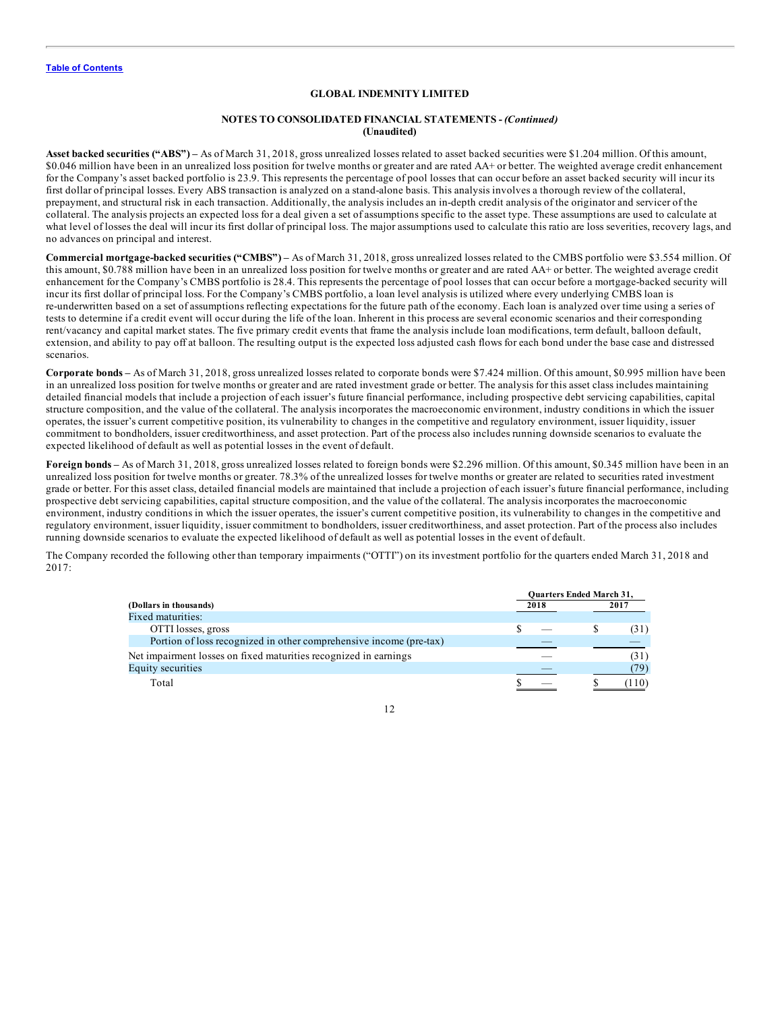# **NOTES TO CONSOLIDATED FINANCIAL STATEMENTS -** *(Continued)* **(Unaudited)**

**Asset backed securities ("ABS") –** As of March 31, 2018, gross unrealized losses related to asset backed securities were \$1.204 million. Of this amount, \$0.046 million have been in an unrealized loss position for twelve months or greater and are rated AA+ or better. The weighted average credit enhancement for the Company's asset backed portfolio is 23.9. This represents the percentage of pool losses that can occur before an asset backed security will incur its first dollar of principal losses. Every ABS transaction is analyzed on a stand-alone basis. This analysis involves a thorough review of the collateral, prepayment, and structural risk in each transaction. Additionally, the analysis includes an in-depth credit analysis of the originator and servicer of the collateral. The analysis projects an expected loss for a deal given a set of assumptions specific to the asset type. These assumptions are used to calculate at what level of losses the deal will incur its first dollar of principal loss. The major assumptions used to calculate this ratio are loss severities, recovery lags, and no advances on principal and interest.

**Commercial mortgage-backed securities ("CMBS") –** As of March 31, 2018, gross unrealized losses related to the CMBS portfolio were \$3.554 million. Of this amount, \$0.788 million have been in an unrealized loss position for twelve months or greater and are rated AA+ or better. The weighted average credit enhancement for the Company's CMBS portfolio is 28.4. This represents the percentage of pool losses that can occur before a mortgage-backed security will incur its first dollar of principal loss. For the Company's CMBS portfolio, a loan level analysis is utilized where every underlying CMBS loan is re-underwritten based on a set of assumptions reflecting expectations for the future path of the economy. Each loan is analyzed over time using a series of tests to determine if a credit event will occur during the life of the loan. Inherent in this process are several economic scenarios and their corresponding rent/vacancy and capital market states. The five primary credit events that frame the analysis include loan modifications, term default, balloon default, extension, and ability to pay off at balloon. The resulting output is the expected loss adjusted cash flows for each bond under the base case and distressed scenarios.

**Corporate bonds –** As of March 31, 2018, gross unrealized losses related to corporate bonds were \$7.424 million. Of this amount, \$0.995 million have been in an unrealized loss position for twelve months or greater and are rated investment grade or better. The analysis for this asset class includes maintaining detailed financial models that include a projection of each issuer's future financial performance, including prospective debt servicing capabilities, capital structure composition, and the value of the collateral. The analysis incorporates the macroeconomic environment, industry conditions in which the issuer operates, the issuer's current competitive position, its vulnerability to changes in the competitive and regulatory environment, issuer liquidity, issuer commitment to bondholders, issuer creditworthiness, and asset protection. Part of the process also includes running downside scenarios to evaluate the expected likelihood of default as well as potential losses in the event of default.

Foreign bonds - As of March 31, 2018, gross unrealized losses related to foreign bonds were \$2.296 million. Of this amount, \$0.345 million have been in an unrealized loss position for twelve months or greater. 78.3% of the unrealized losses for twelve months or greater are related to securities rated investment grade or better. For this asset class, detailed financial models are maintained that include a projection of each issuer's future financial performance, including prospective debt servicing capabilities, capital structure composition, and the value of the collateral. The analysis incorporates the macroeconomic environment, industry conditions in which the issuer operates, the issuer's current competitive position, its vulnerability to changes in the competitive and regulatory environment, issuer liquidity, issuer commitment to bondholders, issuer creditworthiness, and asset protection. Part of the process also includes running downside scenarios to evaluate the expected likelihood of default as well as potential losses in the event of default.

The Company recorded the following other than temporary impairments ("OTTI") on its investment portfolio for the quarters ended March 31, 2018 and 2017:

|                                                                    | <b>Quarters Ended March 31,</b> |      |  |       |
|--------------------------------------------------------------------|---------------------------------|------|--|-------|
| (Dollars in thousands)                                             |                                 | 2018 |  | 2017  |
| Fixed maturities:                                                  |                                 |      |  |       |
| OTTI losses, gross                                                 |                                 |      |  | (31)  |
| Portion of loss recognized in other comprehensive income (pre-tax) |                                 |      |  |       |
| Net impairment losses on fixed maturities recognized in earnings   |                                 |      |  | (31)  |
| Equity securities                                                  |                                 |      |  | 791   |
| Total                                                              |                                 |      |  | '110) |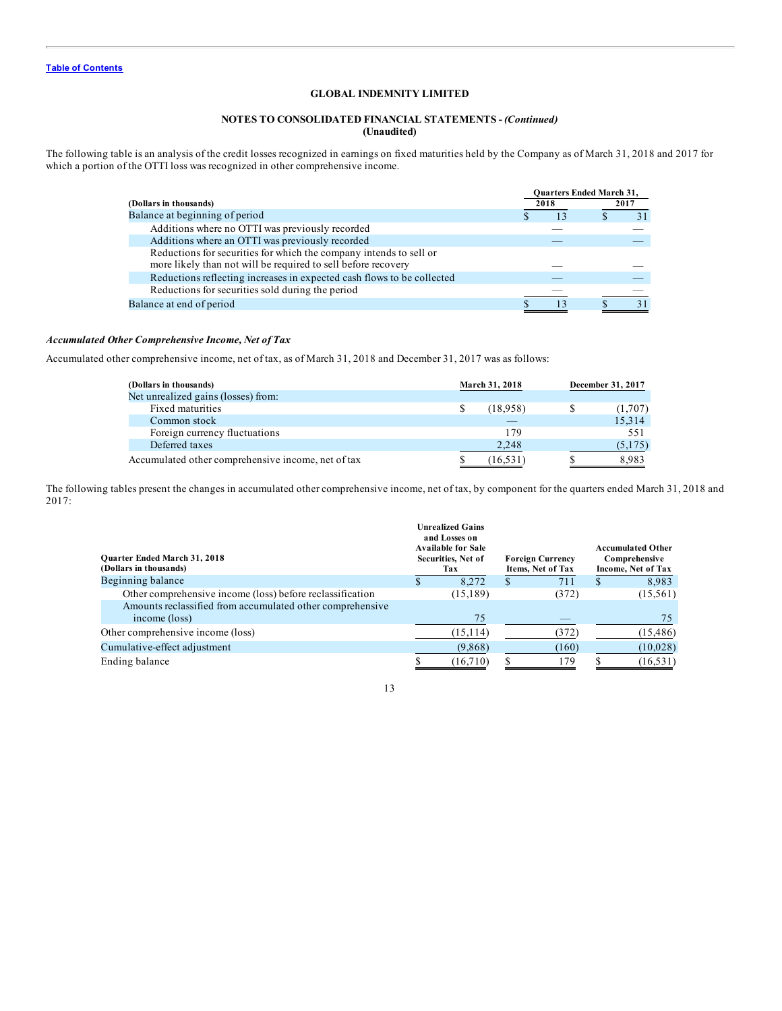# **NOTES TO CONSOLIDATED FINANCIAL STATEMENTS -** *(Continued)* **(Unaudited)**

The following table is an analysis of the credit losses recognized in earnings on fixed maturities held by the Company as of March 31, 2018 and 2017 for which a portion of the OTTI loss was recognized in other comprehensive income.

|                                                                        |      | <b>Ouarters Ended March 31,</b> |      |
|------------------------------------------------------------------------|------|---------------------------------|------|
| (Dollars in thousands)                                                 | 2018 |                                 | 2017 |
| Balance at beginning of period                                         |      | 13                              | 31   |
| Additions where no OTTI was previously recorded                        |      |                                 |      |
| Additions where an OTTI was previously recorded                        |      |                                 |      |
| Reductions for securities for which the company intends to sell or     |      |                                 |      |
| more likely than not will be required to sell before recovery          |      |                                 |      |
| Reductions reflecting increases in expected cash flows to be collected |      |                                 |      |
| Reductions for securities sold during the period                       |      |                                 |      |
| Balance at end of period                                               |      |                                 |      |

#### *Accumulated Other Comprehensive Income, Net of Tax*

Accumulated other comprehensive income, net of tax, as of March 31, 2018 and December 31, 2017 was as follows:

| (Dollars in thousands)                             | March 31, 2018 | December 31, 2017 |         |
|----------------------------------------------------|----------------|-------------------|---------|
| Net unrealized gains (losses) from:                |                |                   |         |
| Fixed maturities                                   | (18.958)       |                   | (1,707) |
| Common stock                                       |                |                   | 15,314  |
| Foreign currency fluctuations                      | 179            |                   | 551     |
| Deferred taxes                                     | 2.248          |                   | (5,175) |
| Accumulated other comprehensive income, net of tax | (16, 531)      |                   | 8,983   |

The following tables present the changes in accumulated other comprehensive income, net of tax, by component for the quarters ended March 31, 2018 and 2017:

| <b>Ouarter Ended March 31, 2018</b><br>(Dollars in thousands) |     | <b>Unrealized Gains</b><br>and Losses on<br><b>Available for Sale</b><br>Securities, Net of<br>Tax |    | <b>Foreign Currency</b><br>Items, Net of Tax |   | <b>Accumulated Other</b><br>Comprehensive<br>Income, Net of Tax |
|---------------------------------------------------------------|-----|----------------------------------------------------------------------------------------------------|----|----------------------------------------------|---|-----------------------------------------------------------------|
| Beginning balance                                             | аĐ. | 8.272                                                                                              | S. | 711                                          | S | 8,983                                                           |
| Other comprehensive income (loss) before reclassification     |     | (15, 189)                                                                                          |    | (372)                                        |   | (15,561)                                                        |
| Amounts reclassified from accumulated other comprehensive     |     |                                                                                                    |    |                                              |   |                                                                 |
| income (loss)                                                 |     | 75                                                                                                 |    |                                              |   | 75                                                              |
| Other comprehensive income (loss)                             |     | (15, 114)                                                                                          |    | (372)                                        |   | (15, 486)                                                       |
| Cumulative-effect adjustment                                  |     | (9,868)                                                                                            |    | (160)                                        |   | (10,028)                                                        |
| Ending balance                                                |     | (16,710)                                                                                           |    | 179                                          |   | (16, 531)                                                       |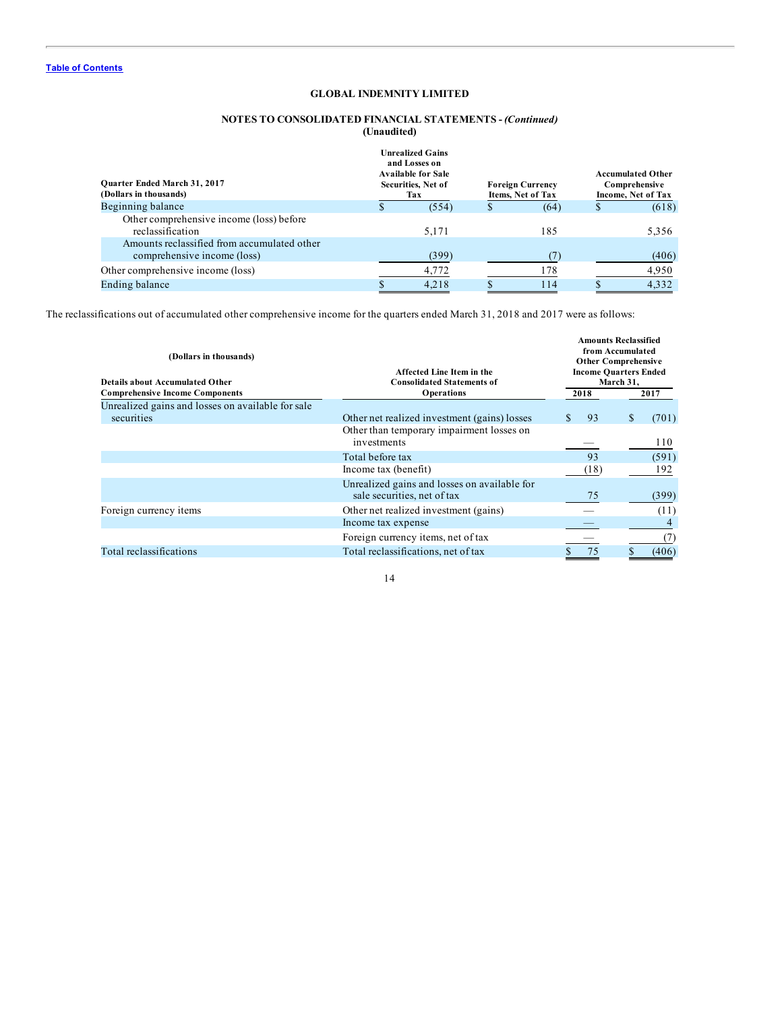# **NOTES TO CONSOLIDATED FINANCIAL STATEMENTS -** *(Continued)* **(Unaudited)**

| <b>Ouarter Ended March 31, 2017</b><br>(Dollars in thousands) |   | <b>Unrealized Gains</b><br>and Losses on<br><b>Available for Sale</b><br>Securities, Net of<br>Tax | <b>Foreign Currency</b><br>Items, Net of Tax |   | <b>Accumulated Other</b><br>Comprehensive<br>Income, Net of Tax |
|---------------------------------------------------------------|---|----------------------------------------------------------------------------------------------------|----------------------------------------------|---|-----------------------------------------------------------------|
| Beginning balance                                             | Ф | (554)                                                                                              | \$<br>(64)                                   | Φ | (618)                                                           |
| Other comprehensive income (loss) before                      |   |                                                                                                    |                                              |   |                                                                 |
| reclassification                                              |   | 5.171                                                                                              | 185                                          |   | 5,356                                                           |
| Amounts reclassified from accumulated other                   |   |                                                                                                    |                                              |   |                                                                 |
| comprehensive income (loss)                                   |   | (399)                                                                                              |                                              |   | (406)                                                           |
| Other comprehensive income (loss)                             |   | 4,772                                                                                              | 178                                          |   | 4,950                                                           |
| Ending balance                                                |   | 4.218                                                                                              | 114                                          |   | 4.332                                                           |

The reclassifications out of accumulated other comprehensive income for the quarters ended March 31, 2018 and 2017 were as follows:

| (Dollars in thousands)<br>Affected Line Item in the<br><b>Details about Accumulated Other</b><br><b>Consolidated Statements of</b> |                                                                             |   | <b>Amounts Reclassified</b><br>from Accumulated<br><b>Other Comprehensive</b><br><b>Income Quarters Ended</b> | March 31, |       |
|------------------------------------------------------------------------------------------------------------------------------------|-----------------------------------------------------------------------------|---|---------------------------------------------------------------------------------------------------------------|-----------|-------|
| <b>Comprehensive Income Components</b>                                                                                             | Operations                                                                  |   | 2018                                                                                                          |           | 2017  |
| Unrealized gains and losses on available for sale<br>securities                                                                    | Other net realized investment (gains) losses                                | S | 93                                                                                                            | \$        | (701) |
|                                                                                                                                    | Other than temporary impairment losses on<br>investments                    |   |                                                                                                               |           | 110   |
|                                                                                                                                    | Total before tax                                                            |   | 93                                                                                                            |           | (591) |
|                                                                                                                                    | Income tax (benefit)                                                        |   | (18)                                                                                                          |           | 192   |
|                                                                                                                                    | Unrealized gains and losses on available for<br>sale securities, net of tax |   | 75                                                                                                            |           | (399) |
| Foreign currency items                                                                                                             | Other net realized investment (gains)                                       |   |                                                                                                               |           | (11)  |
|                                                                                                                                    | Income tax expense                                                          |   |                                                                                                               |           |       |
|                                                                                                                                    | Foreign currency items, net of tax                                          |   |                                                                                                               |           | (7)   |
| Total reclassifications                                                                                                            | Total reclassifications, net of tax                                         |   |                                                                                                               |           | (406) |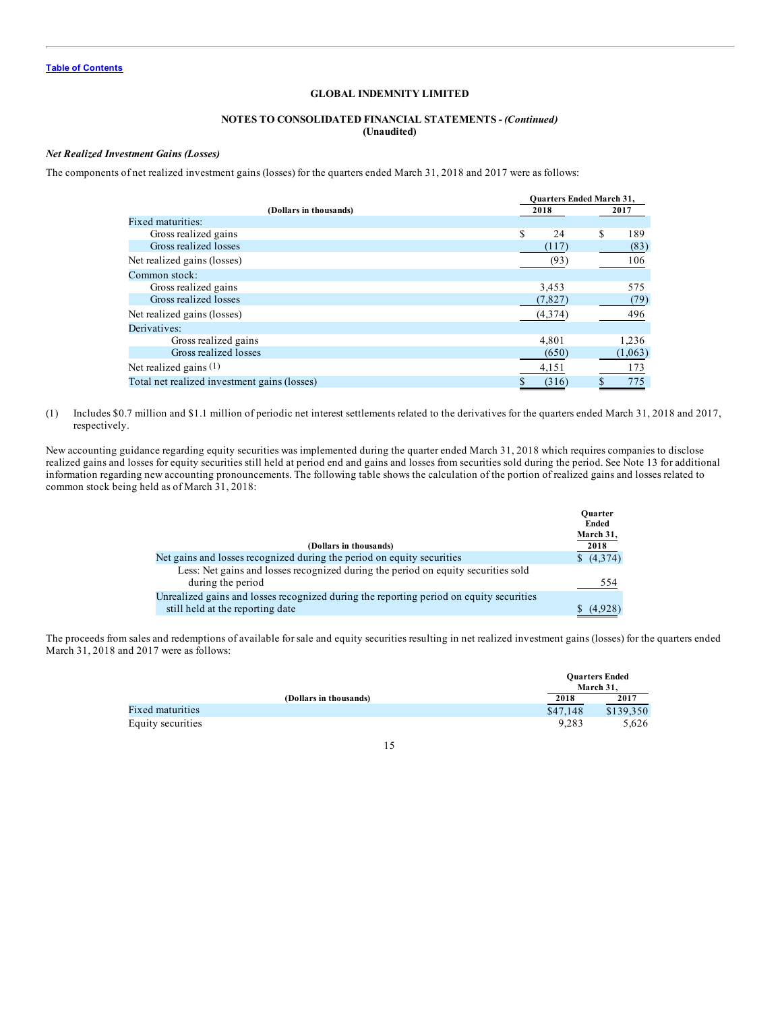# **NOTES TO CONSOLIDATED FINANCIAL STATEMENTS -** *(Continued)* **(Unaudited)**

#### *Net Realized Investment Gains (Losses)*

The components of net realized investment gains (losses) for the quarters ended March 31, 2018 and 2017 were as follows:

|                                              |         | <b>Ouarters Ended March 31,</b> |
|----------------------------------------------|---------|---------------------------------|
| (Dollars in thousands)                       | 2018    | 2017                            |
| Fixed maturities:                            |         |                                 |
| Gross realized gains                         | S<br>24 | S<br>189                        |
| Gross realized losses                        | (117)   | (83)                            |
| Net realized gains (losses)                  | (93)    | 106                             |
| Common stock:                                |         |                                 |
| Gross realized gains                         | 3,453   | 575                             |
| Gross realized losses                        | (7,827) | (79)                            |
| Net realized gains (losses)                  | (4,374) | 496                             |
| Derivatives:                                 |         |                                 |
| Gross realized gains                         | 4.801   | 1,236                           |
| Gross realized losses                        | (650)   | (1,063)                         |
| Net realized gains $(1)$                     | 4,151   | 173                             |
| Total net realized investment gains (losses) | (316)   | 775                             |

(1) Includes \$0.7 million and \$1.1 million of periodic net interest settlements related to the derivatives for the quarters ended March 31, 2018 and 2017, respectively.

New accounting guidance regarding equity securities was implemented during the quarter ended March 31, 2018 which requires companies to disclose realized gains and losses for equity securities still held at period end and gains and losses from securities sold during the period. See Note 13 for additional information regarding new accounting pronouncements. The following table shows the calculation of the portion of realized gains and losses related to common stock being held as of March 31, 2018:

|                                                                                                                             | Ouarter<br>Ended  |  |
|-----------------------------------------------------------------------------------------------------------------------------|-------------------|--|
| (Dollars in thousands)                                                                                                      | March 31,<br>2018 |  |
| Net gains and losses recognized during the period on equity securities                                                      | \$(4,374)         |  |
| Less: Net gains and losses recognized during the period on equity securities sold<br>during the period                      | 554               |  |
| Unrealized gains and losses recognized during the reporting period on equity securities<br>still held at the reporting date | (4.928)           |  |

**Quarter**

The proceeds from sales and redemptions of available for sale and equity securities resulting in net realized investment gains (losses) for the quarters ended March 31, 2018 and 2017 were as follows:

|                   |                        |          | <b>Ouarters Ended</b><br>March 31. |
|-------------------|------------------------|----------|------------------------------------|
|                   | (Dollars in thousands) | 2018     | 2017                               |
| Fixed maturities  |                        | \$47,148 | \$139,350                          |
| Equity securities |                        | 9.283    | 5.626                              |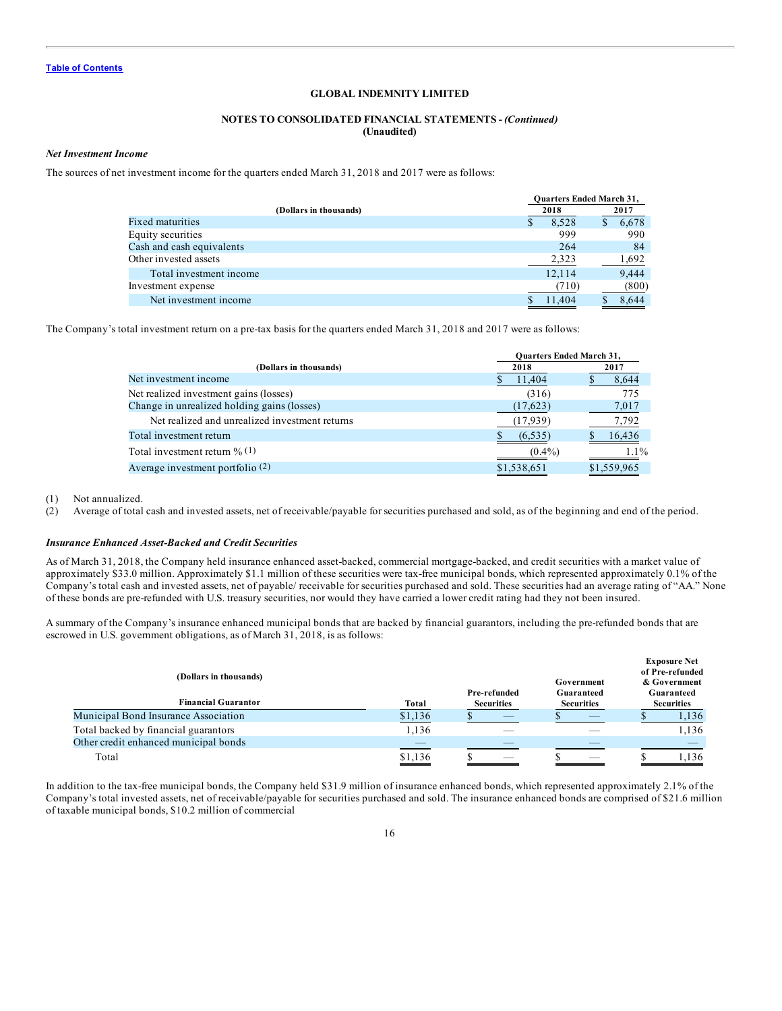# **NOTES TO CONSOLIDATED FINANCIAL STATEMENTS -** *(Continued)* **(Unaudited)**

#### *Net Investment Income*

The sources of net investment income for the quarters ended March 31, 2018 and 2017 were as follows:

|                           | <b>Ouarters Ended March 31,</b> |            |
|---------------------------|---------------------------------|------------|
| (Dollars in thousands)    | 2018                            | 2017       |
| Fixed maturities          | 8.528<br>S                      | 6,678<br>S |
| Equity securities         | 999                             | 990        |
| Cash and cash equivalents | 264                             | 84         |
| Other invested assets     | 2,323                           | 1,692      |
| Total investment income   | 12.114                          | 9.444      |
| Investment expense        | (710)                           | (800)      |
| Net investment income     | 11.404                          | 8.644      |

The Company's total investment return on a pre-tax basis for the quarters ended March 31, 2018 and 2017 were as follows:

|                                                | <b>Ouarters Ended March 31,</b> |             |  |
|------------------------------------------------|---------------------------------|-------------|--|
| (Dollars in thousands)                         | 2018                            | 2017        |  |
| Net investment income                          | 11.404                          | 8,644       |  |
| Net realized investment gains (losses)         | (316)                           | 775         |  |
| Change in unrealized holding gains (losses)    | (17,623)                        | 7,017       |  |
| Net realized and unrealized investment returns | (17,939)                        | 7,792       |  |
| Total investment return                        | (6, 535)                        | 16.436      |  |
| Total investment return $\%$ (1)               | $(0.4\%)$                       | $1.1\%$     |  |
| Average investment portfolio (2)               | \$1,538,651                     | \$1,559,965 |  |

#### (1) Not annualized.

(2) Average of total cash and invested assets, net of receivable/payable for securities purchased and sold, as of the beginning and end of the period.

#### *Insurance Enhanced Asset-Backed and Credit Securities*

As of March 31, 2018, the Company held insurance enhanced asset-backed, commercial mortgage-backed, and credit securities with a market value of approximately \$33.0 million. Approximately \$1.1 million of these securities were tax-free municipal bonds, which represented approximately 0.1% of the Company's total cash and invested assets, net of payable/ receivable for securities purchased and sold. These securities had an average rating of "AA." None of these bonds are pre-refunded with U.S. treasury securities, nor would they have carried a lower credit rating had they not been insured.

A summary of the Company's insurance enhanced municipal bonds that are backed by financial guarantors, including the pre-refunded bonds that are escrowed in U.S. government obligations, as of March 31, 2018, is as follows:

| (Dollars in thousands)<br><b>Financial Guarantor</b> | Total   | Pre-refunded<br><b>Securities</b> | Government<br>Guaranteed<br><b>Securities</b> | <b>Exposure Net</b><br>of Pre-refunded<br>& Government<br>Guaranteed<br><b>Securities</b> |
|------------------------------------------------------|---------|-----------------------------------|-----------------------------------------------|-------------------------------------------------------------------------------------------|
| Municipal Bond Insurance Association                 | \$1,136 |                                   |                                               | 1,136                                                                                     |
| Total backed by financial guarantors                 | 1,136   |                                   |                                               | 1,136                                                                                     |
| Other credit enhanced municipal bonds                |         |                                   |                                               |                                                                                           |
| Total                                                | \$1,136 |                                   |                                               | 1,136                                                                                     |

In addition to the tax-free municipal bonds, the Company held \$31.9 million of insurance enhanced bonds, which represented approximately 2.1% of the Company's total invested assets, net of receivable/payable for securities purchased and sold. The insurance enhanced bonds are comprised of \$21.6 million of taxable municipal bonds, \$10.2 million of commercial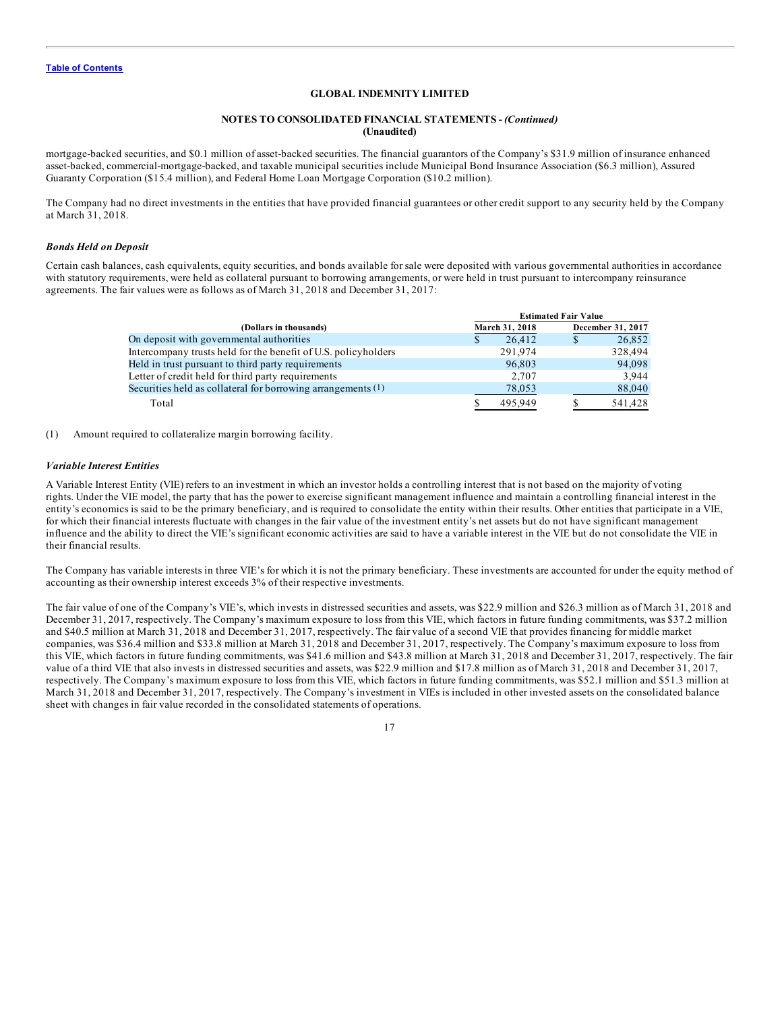# **NOTES TO CONSOLIDATED FINANCIAL STATEMENTS -** *(Continued)* **(Unaudited)**

mortgage-backed securities, and \$0.1 million of asset-backed securities. The financial guarantors of the Company's \$31.9 million of insurance enhanced asset-backed, commercial-mortgage-backed, and taxable municipal securities include Municipal Bond Insurance Association (\$6.3 million), Assured Guaranty Corporation (\$15.4 million), and Federal Home Loan Mortgage Corporation (\$10.2 million).

The Company had no direct investments in the entities that have provided financial guarantees or other credit support to any security held by the Company at March 31, 2018.

#### *Bonds Held on Deposit*

Certain cash balances, cash equivalents, equity securities, and bonds available for sale were deposited with various governmental authorities in accordance with statutory requirements, were held as collateral pursuant to borrowing arrangements, or were held in trust pursuant to intercompany reinsurance agreements. The fair values were as follows as of March 31, 2018 and December 31, 2017:

|                                                                | <b>Estimated Fair Value</b> |                   |  |  |  |
|----------------------------------------------------------------|-----------------------------|-------------------|--|--|--|
| (Dollars in thousands)                                         | March 31, 2018              | December 31, 2017 |  |  |  |
| On deposit with governmental authorities                       | 26.412<br>S                 | 26,852            |  |  |  |
| Intercompany trusts held for the benefit of U.S. policyholders | 291.974                     | 328,494           |  |  |  |
| Held in trust pursuant to third party requirements             | 96.803                      | 94.098            |  |  |  |
| Letter of credit held for third party requirements             | 2.707                       | 3.944             |  |  |  |
| Securities held as collateral for borrowing arrangements $(1)$ | 78,053                      | 88,040            |  |  |  |
| Total                                                          | 495.949                     | 541,428           |  |  |  |

(1) Amount required to collateralize margin borrowing facility.

## *Variable Interest Entities*

A Variable Interest Entity (VIE) refers to an investment in which an investor holds a controlling interest that is not based on the majority of voting rights. Under the VIE model, the party that has the power to exercise significant management influence and maintain a controlling financial interest in the entity's economics is said to be the primary beneficiary, and is required to consolidate the entity within their results. Other entities that participate in a VIE, for which their financial interests fluctuate with changes in the fair value of the investment entity's net assets but do not have significant management influence and the ability to direct the VIE's significant economic activities are said to have a variable interest in the VIE but do not consolidate the VIE in their financial results.

The Company has variable interests in three VIE's for which it is not the primary beneficiary. These investments are accounted for under the equity method of accounting as their ownership interest exceeds 3% of their respective investments.

The fair value of one of the Company's VIE's, which invests in distressed securities and assets, was \$22.9 million and \$26.3 million as of March 31, 2018 and December 31, 2017, respectively. The Company's maximum exposure to loss from this VIE, which factors in future funding commitments, was \$37.2 million and \$40.5 million at March 31, 2018 and December 31, 2017, respectively. The fair value of a second VIE that provides financing for middle market companies, was \$36.4 million and \$33.8 million at March 31, 2018 and December 31, 2017, respectively. The Company's maximum exposure to loss from this VIE, which factors in future funding commitments, was \$41.6 million and \$43.8 million at March 31, 2018 and December 31, 2017, respectively. The fair value of a third VIE that also invests in distressed securities and assets, was \$22.9 million and \$17.8 million as of March 31, 2018 and December 31, 2017, respectively. The Company's maximum exposure to loss from this VIE, which factors in future funding commitments, was \$52.1 million and \$51.3 million at March 31, 2018 and December 31, 2017, respectively. The Company's investment in VIEs is included in other invested assets on the consolidated balance sheet with changes in fair value recorded in the consolidated statements of operations.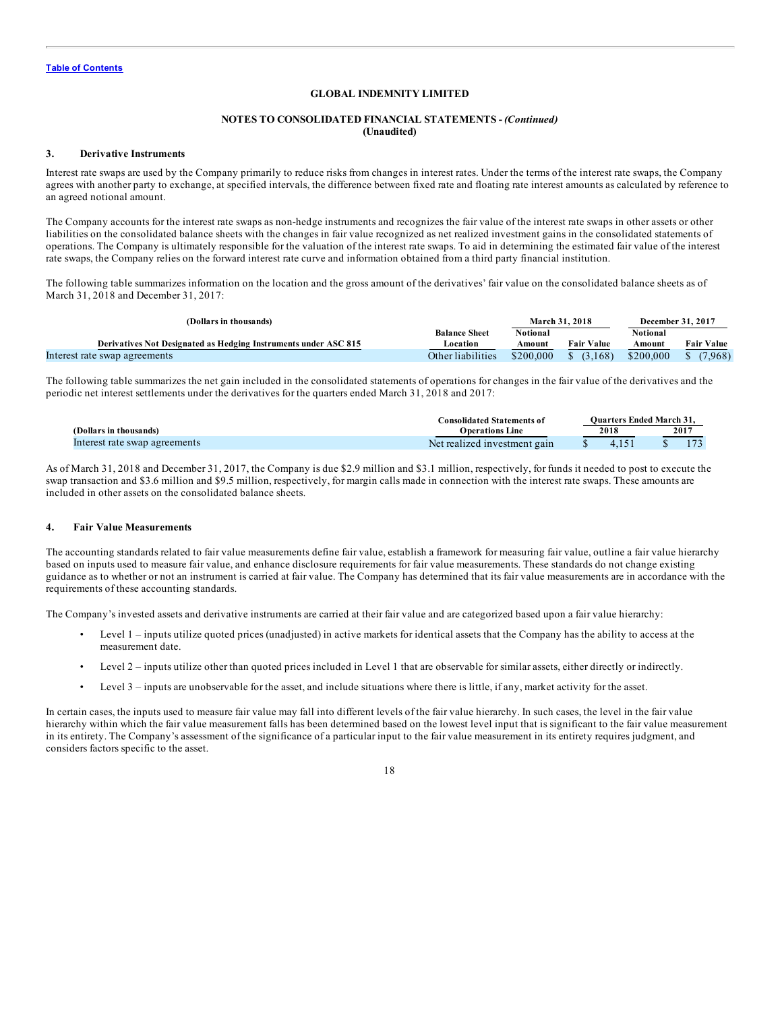# **NOTES TO CONSOLIDATED FINANCIAL STATEMENTS -** *(Continued)* **(Unaudited)**

#### **3. Derivative Instruments**

Interest rate swaps are used by the Company primarily to reduce risks from changes in interest rates. Under the terms of the interest rate swaps, the Company agrees with another party to exchange, at specified intervals, the difference between fixed rate and floating rate interest amounts as calculated by reference to an agreed notional amount.

The Company accounts for the interest rate swaps as non-hedge instruments and recognizes the fair value of the interest rate swaps in other assets or other liabilities on the consolidated balance sheets with the changes in fair value recognized as net realized investment gains in the consolidated statements of operations. The Company is ultimately responsible for the valuation of the interest rate swaps. To aid in determining the estimated fair value of the interest rate swaps, the Company relies on the forward interest rate curve and information obtained from a third party financial institution.

The following table summarizes information on the location and the gross amount of the derivatives' fair value on the consolidated balance sheets as of March 31, 2018 and December 31, 2017:

| (Dollars in thousands)                                          | March 31, 2018       |                 |                   | December 31, 2017 |                   |
|-----------------------------------------------------------------|----------------------|-----------------|-------------------|-------------------|-------------------|
|                                                                 | <b>Balance Sheet</b> | <b>Notional</b> |                   | <b>Notional</b>   |                   |
| Derivatives Not Designated as Hedging Instruments under ASC 815 | Location             | Amount          | <b>Fair Value</b> | Amount            | <b>Fair Value</b> |
| Interest rate swap agreements                                   | Other liabilities    | \$200,000       | (3.168)           | \$200,000         | (7.968)           |

The following table summarizes the net gain included in the consolidated statements of operations for changes in the fair value of the derivatives and the periodic net interest settlements under the derivatives for the quarters ended March 31, 2018 and 2017:

|                               | <b>Consolidated Statements of</b> | <b>Ouarters Ended March 31.</b> |  |      |
|-------------------------------|-----------------------------------|---------------------------------|--|------|
| (Dollars in thousands)        | <b>Operations Line</b>            | 2018                            |  | 2017 |
| Interest rate swap agreements | Net realized investment gain      |                                 |  |      |

As of March 31, 2018 and December 31, 2017, the Company is due \$2.9 million and \$3.1 million, respectively, for funds it needed to post to execute the swap transaction and \$3.6 million and \$9.5 million, respectively, for margin calls made in connection with the interest rate swaps. These amounts are included in other assets on the consolidated balance sheets.

#### **4. Fair Value Measurements**

The accounting standards related to fair value measurements define fair value, establish a framework for measuring fair value, outline a fair value hierarchy based on inputs used to measure fair value, and enhance disclosure requirements for fair value measurements. These standards do not change existing guidance as to whether or not an instrument is carried at fair value. The Company has determined that its fair value measurements are in accordance with the requirements of these accounting standards.

The Company's invested assets and derivative instruments are carried at their fair value and are categorized based upon a fair value hierarchy:

- Level 1 inputs utilize quoted prices (unadjusted) in active markets for identical assets that the Company has the ability to access at the measurement date.
- Level 2 inputs utilize other than quoted prices included in Level 1 that are observable for similar assets, either directly or indirectly.
- Level 3 inputs are unobservable for the asset, and include situations where there is little, if any, market activity for the asset.

In certain cases, the inputs used to measure fair value may fall into different levels of the fair value hierarchy. In such cases, the level in the fair value hierarchy within which the fair value measurement falls has been determined based on the lowest level input that is significant to the fair value measurement in its entirety. The Company's assessment of the significance of a particular input to the fair value measurement in its entirety requires judgment, and considers factors specific to the asset.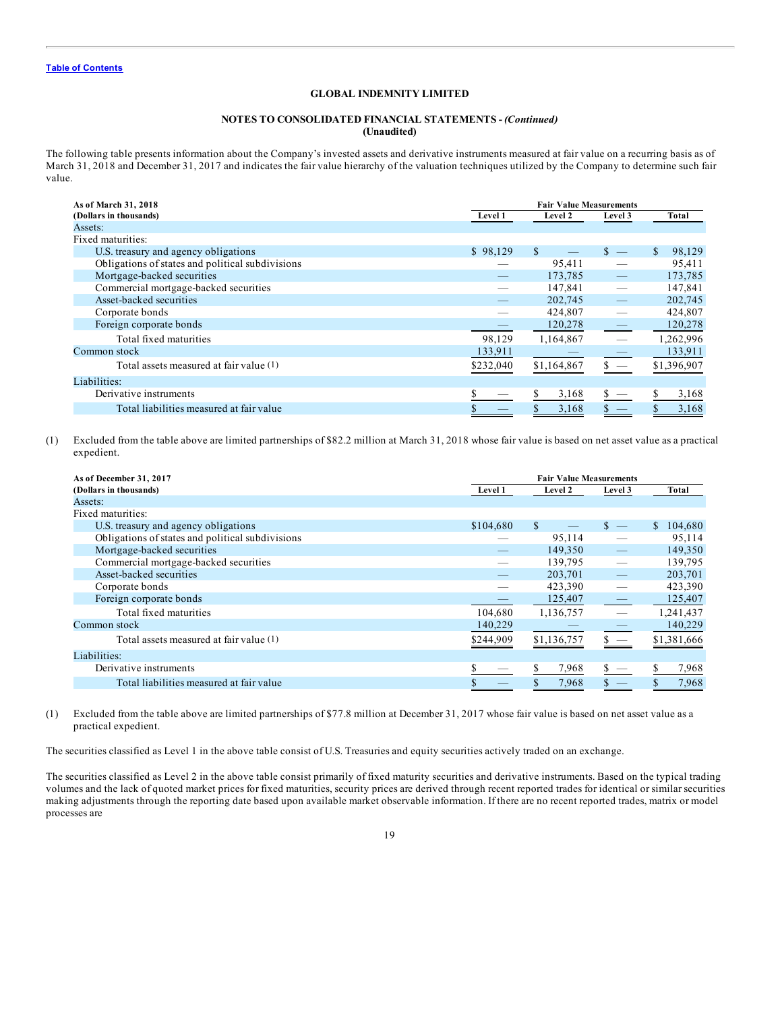# **NOTES TO CONSOLIDATED FINANCIAL STATEMENTS -** *(Continued)* **(Unaudited)**

The following table presents information about the Company's invested assets and derivative instruments measured at fair value on a recurring basis as of March 31, 2018 and December 31, 2017 and indicates the fair value hierarchy of the valuation techniques utilized by the Company to determine such fair value.

| As of March 31, 2018                             | <b>Fair Value Measurements</b> |               |                          |                        |
|--------------------------------------------------|--------------------------------|---------------|--------------------------|------------------------|
| (Dollars in thousands)                           | Level 1                        | Level 2       | Level 3                  | Total                  |
| Assets:                                          |                                |               |                          |                        |
| Fixed maturities:                                |                                |               |                          |                        |
| U.S. treasury and agency obligations             | \$98,129                       | <sup>\$</sup> |                          | 98,129<br><sup>S</sup> |
| Obligations of states and political subdivisions |                                | 95,411        |                          | 95,411                 |
| Mortgage-backed securities                       |                                | 173,785       |                          | 173,785                |
| Commercial mortgage-backed securities            |                                | 147,841       |                          | 147,841                |
| Asset-backed securities                          |                                | 202,745       |                          | 202,745                |
| Corporate bonds                                  |                                | 424,807       |                          | 424,807                |
| Foreign corporate bonds                          |                                | 120,278       | $\overline{\phantom{m}}$ | 120,278                |
| Total fixed maturities                           | 98.129                         | 1,164,867     |                          | 1,262,996              |
| Common stock                                     | 133,911                        |               |                          | 133,911                |
| Total assets measured at fair value (1)          | \$232,040                      | \$1,164,867   | $s -$                    | \$1,396,907            |
| Liabilities:                                     |                                |               |                          |                        |
| Derivative instruments                           |                                | 3,168         |                          | 3,168                  |
| Total liabilities measured at fair value         |                                | 3,168         |                          | 3,168                  |

(1) Excluded from the table above are limited partnerships of \$82.2 million at March 31, 2018 whose fair value is based on net asset value as a practical expedient.

| As of December 31, 2017                          | <b>Fair Value Measurements</b> |             |         |               |
|--------------------------------------------------|--------------------------------|-------------|---------|---------------|
| (Dollars in thousands)                           | Level 1                        | Level 2     | Level 3 | Total         |
| Assets:                                          |                                |             |         |               |
| Fixed maturities:                                |                                |             |         |               |
| U.S. treasury and agency obligations             | \$104,680                      | \$.         |         | 104,680<br>S. |
| Obligations of states and political subdivisions |                                | 95.114      |         | 95,114        |
| Mortgage-backed securities                       |                                | 149,350     |         | 149,350       |
| Commercial mortgage-backed securities            |                                | 139,795     |         | 139,795       |
| Asset-backed securities                          |                                | 203,701     |         | 203,701       |
| Corporate bonds                                  |                                | 423,390     |         | 423,390       |
| Foreign corporate bonds                          |                                | 125,407     |         | 125,407       |
| Total fixed maturities                           | 104,680                        | 1,136,757   |         | 1,241,437     |
| Common stock                                     | 140,229                        |             |         | 140,229       |
| Total assets measured at fair value (1)          | \$244,909                      | \$1,136,757 |         | \$1,381,666   |
| Liabilities:                                     |                                |             |         |               |
| Derivative instruments                           |                                | 7,968       |         | 7,968         |
| Total liabilities measured at fair value         |                                | 7,968       |         | 7,968         |

(1) Excluded from the table above are limited partnerships of \$77.8 million at December 31, 2017 whose fair value is based on net asset value as a practical expedient.

The securities classified as Level 1 in the above table consist of U.S. Treasuries and equity securities actively traded on an exchange.

The securities classified as Level 2 in the above table consist primarily of fixed maturity securities and derivative instruments. Based on the typical trading volumes and the lack of quoted market prices for fixed maturities, security prices are derived through recent reported trades for identical or similar securities making adjustments through the reporting date based upon available market observable information. If there are no recent reported trades, matrix or model processes are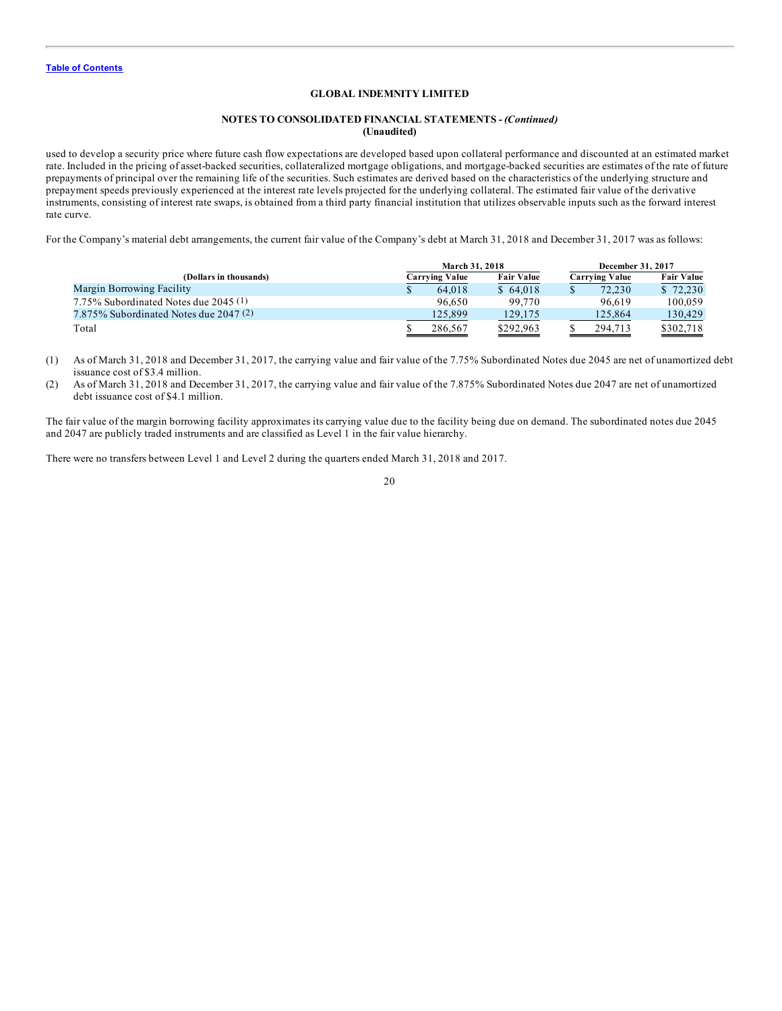# **NOTES TO CONSOLIDATED FINANCIAL STATEMENTS -** *(Continued)* **(Unaudited)**

used to develop a security price where future cash flow expectations are developed based upon collateral performance and discounted at an estimated market rate. Included in the pricing of asset-backed securities, collateralized mortgage obligations, and mortgage-backed securities are estimates of the rate of future prepayments of principal over the remaining life of the securities. Such estimates are derived based on the characteristics of the underlying structure and prepayment speeds previously experienced at the interest rate levels projected for the underlying collateral. The estimated fair value of the derivative instruments, consisting of interest rate swaps, is obtained from a third party financial institution that utilizes observable inputs such as the forward interest rate curve.

For the Company's material debt arrangements, the current fair value of the Company's debt at March 31, 2018 and December 31, 2017 was as follows:

|                                        | <b>March 31, 2018</b> |                       |                   | December 31, 2017 |                       |                   |
|----------------------------------------|-----------------------|-----------------------|-------------------|-------------------|-----------------------|-------------------|
| (Dollars in thousands)                 |                       | <b>Carrying Value</b> | <b>Fair Value</b> |                   | <b>Carrying Value</b> | <b>Fair Value</b> |
| <b>Margin Borrowing Facility</b>       |                       | 64.018                | \$64,018          |                   | 72.230                | \$72.230          |
| 7.75% Subordinated Notes due 2045 (1)  |                       | 96.650                | 99,770            |                   | 96.619                | 100.059           |
| 7.875% Subordinated Notes due 2047 (2) |                       | 125.899               | 129,175           |                   | 125.864               | 130.429           |
| Total                                  |                       | 286,567               | \$292.963         |                   | 294.713               | \$302,718         |

- (1) As of March 31, 2018 and December 31, 2017, the carrying value and fair value of the 7.75% Subordinated Notes due 2045 are net of unamortized debt issuance cost of \$3.4 million.
- (2) As of March 31, 2018 and December 31, 2017, the carrying value and fair value of the 7.875% Subordinated Notes due 2047 are net of unamortized debt issuance cost of \$4.1 million.

The fair value of the margin borrowing facility approximates its carrying value due to the facility being due on demand. The subordinated notes due 2045 and 2047 are publicly traded instruments and are classified as Level 1 in the fair value hierarchy.

There were no transfers between Level 1 and Level 2 during the quarters ended March 31, 2018 and 2017.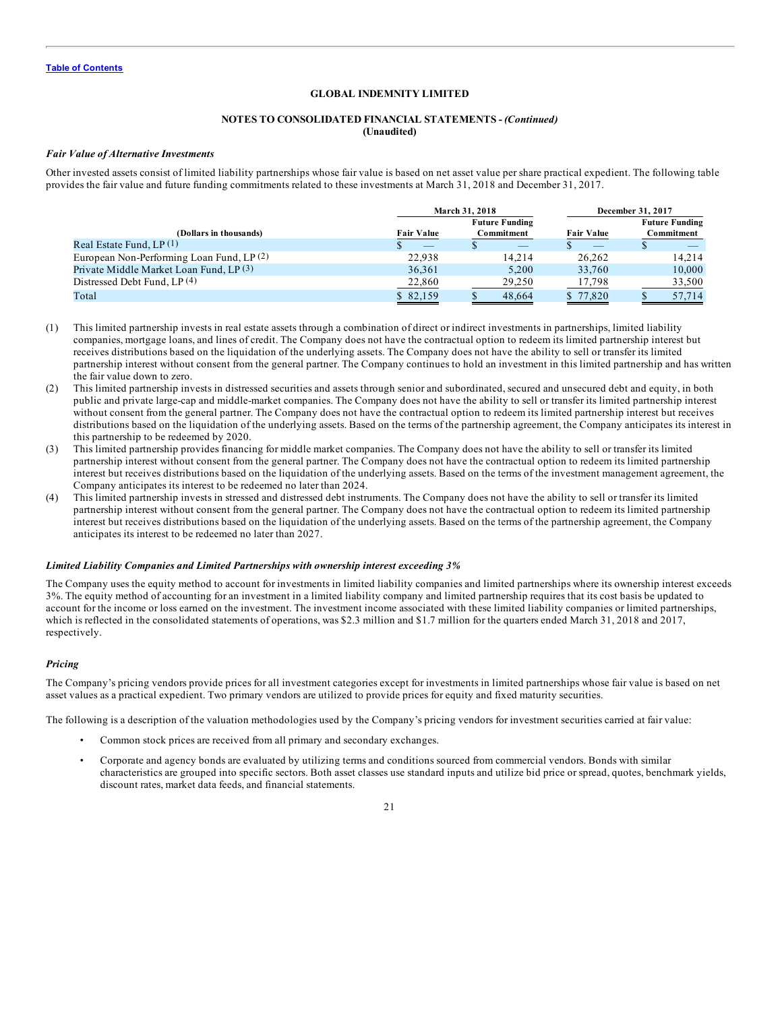# **NOTES TO CONSOLIDATED FINANCIAL STATEMENTS -** *(Continued)* **(Unaudited)**

#### *Fair Value of Alternative Investments*

Other invested assets consist of limited liability partnerships whose fair value is based on net asset value per share practical expedient. The following table provides the fair value and future funding commitments related to these investments at March 31, 2018 and December 31, 2017.

|                                           |                   | March 31, 2018        | December 31, 2017 |                       |  |
|-------------------------------------------|-------------------|-----------------------|-------------------|-----------------------|--|
|                                           |                   | <b>Future Funding</b> |                   | <b>Future Funding</b> |  |
| (Dollars in thousands)                    | <b>Fair Value</b> | Commitment            | <b>Fair Value</b> | Commitment            |  |
| Real Estate Fund, LP(1)                   | $-$               |                       |                   |                       |  |
| European Non-Performing Loan Fund, LP (2) | 22.938            | 14.214                | 26.262            | 14.214                |  |
| Private Middle Market Loan Fund, LP (3)   | 36.361            | 5.200                 | 33,760            | 10,000                |  |
| Distressed Debt Fund, LP (4)              | 22,860            | 29,250                | 17,798            | 33,500                |  |
| Total                                     | \$ 82,159         | 48.664                | \$ 77,820         | 57.714                |  |

- (1) This limited partnership invests in real estate assets through a combination of direct or indirect investments in partnerships, limited liability companies, mortgage loans, and lines of credit. The Company does not have the contractual option to redeem its limited partnership interest but receives distributions based on the liquidation of the underlying assets. The Company does not have the ability to sell or transfer its limited partnership interest without consent from the general partner. The Company continues to hold an investment in this limited partnership and has written the fair value down to zero.
- (2) This limited partnership invests in distressed securities and assets through senior and subordinated, secured and unsecured debt and equity, in both public and private large-cap and middle-market companies. The Company does not have the ability to sell or transfer its limited partnership interest without consent from the general partner. The Company does not have the contractual option to redeem its limited partnership interest but receives distributions based on the liquidation of the underlying assets. Based on the terms of the partnership agreement, the Company anticipates its interest in this partnership to be redeemed by 2020.
- (3) This limited partnership provides financing for middle market companies. The Company does not have the ability to sell or transfer its limited partnership interest without consent from the general partner. The Company does not have the contractual option to redeem its limited partnership interest but receives distributions based on the liquidation of the underlying assets. Based on the terms of the investment management agreement, the Company anticipates its interest to be redeemed no later than 2024.
- (4) This limited partnership invests in stressed and distressed debt instruments. The Company does not have the ability to sell or transfer its limited partnership interest without consent from the general partner. The Company does not have the contractual option to redeem its limited partnership interest but receives distributions based on the liquidation of the underlying assets. Based on the terms of the partnership agreement, the Company anticipates its interest to be redeemed no later than 2027.

#### *Limited Liability Companies and Limited Partnerships with ownership interest exceeding 3%*

The Company uses the equity method to account for investments in limited liability companies and limited partnerships where its ownership interest exceeds 3%. The equity method of accounting for an investment in a limited liability company and limited partnership requires that its cost basis be updated to account for the income or loss earned on the investment. The investment income associated with these limited liability companies or limited partnerships, which is reflected in the consolidated statements of operations, was \$2.3 million and \$1.7 million for the quarters ended March 31, 2018 and 2017, respectively.

#### *Pricing*

The Company's pricing vendors provide prices for all investment categories except for investments in limited partnerships whose fair value is based on net asset values as a practical expedient. Two primary vendors are utilized to provide prices for equity and fixed maturity securities.

The following is a description of the valuation methodologies used by the Company's pricing vendors for investment securities carried at fair value:

- Common stock prices are received from all primary and secondary exchanges.
- Corporate and agency bonds are evaluated by utilizing terms and conditions sourced from commercial vendors. Bonds with similar characteristics are grouped into specific sectors. Both asset classes use standard inputs and utilize bid price or spread, quotes, benchmark yields, discount rates, market data feeds, and financial statements.

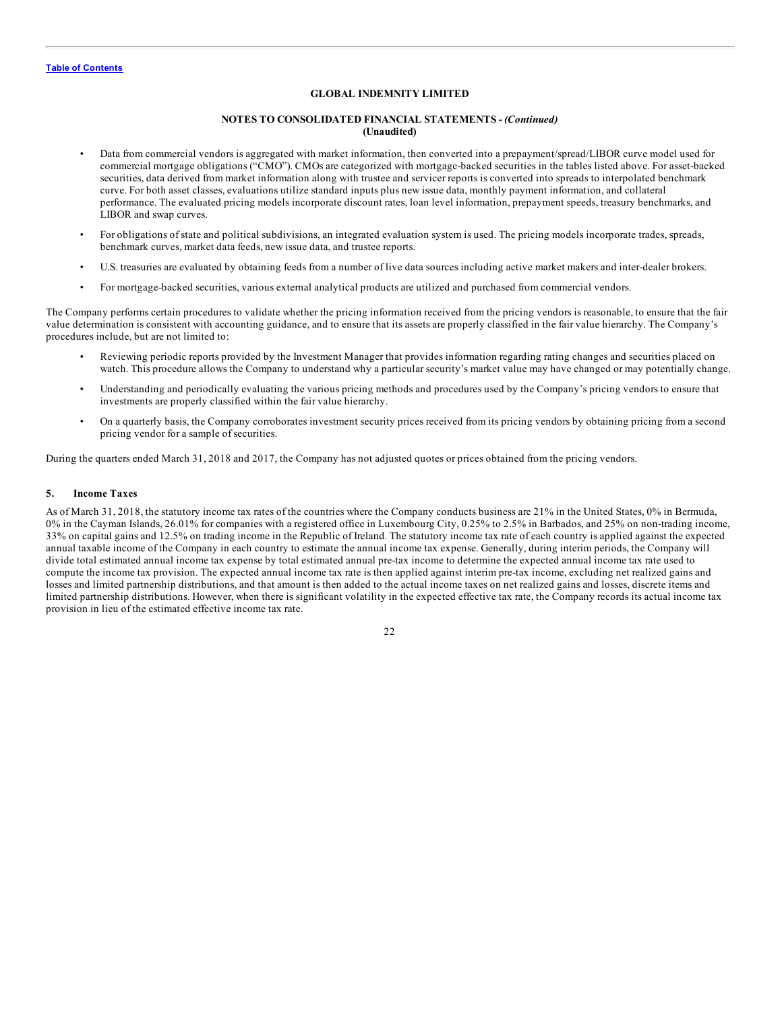# **NOTES TO CONSOLIDATED FINANCIAL STATEMENTS -** *(Continued)* **(Unaudited)**

- Data from commercial vendors is aggregated with market information, then converted into a prepayment/spread/LIBOR curve model used for commercial mortgage obligations ("CMO"). CMOs are categorized with mortgage-backed securities in the tables listed above. For asset-backed securities, data derived from market information along with trustee and servicer reports is converted into spreads to interpolated benchmark curve. For both asset classes, evaluations utilize standard inputs plus new issue data, monthly payment information, and collateral performance. The evaluated pricing models incorporate discount rates, loan level information, prepayment speeds, treasury benchmarks, and LIBOR and swap curves.
- For obligations of state and political subdivisions, an integrated evaluation system is used. The pricing models incorporate trades, spreads, benchmark curves, market data feeds, new issue data, and trustee reports.
- U.S. treasuries are evaluated by obtaining feeds from a number of live data sources including active market makers and inter-dealer brokers.
- For mortgage-backed securities, various external analytical products are utilized and purchased from commercial vendors.

The Company performs certain procedures to validate whether the pricing information received from the pricing vendors is reasonable, to ensure that the fair value determination is consistent with accounting guidance, and to ensure that its assets are properly classified in the fair value hierarchy. The Company's procedures include, but are not limited to:

- Reviewing periodic reports provided by the Investment Manager that provides information regarding rating changes and securities placed on watch. This procedure allows the Company to understand why a particular security's market value may have changed or may potentially change.
- Understanding and periodically evaluating the various pricing methods and procedures used by the Company's pricing vendors to ensure that investments are properly classified within the fair value hierarchy.
- On a quarterly basis, the Company corroborates investment security prices received from its pricing vendors by obtaining pricing from a second pricing vendor for a sample of securities.

During the quarters ended March 31, 2018 and 2017, the Company has not adjusted quotes or prices obtained from the pricing vendors.

#### **5. Income Taxes**

As of March 31, 2018, the statutory income tax rates of the countries where the Company conducts business are 21% in the United States, 0% in Bermuda, 0% in the Cayman Islands, 26.01% for companies with a registered office in Luxembourg City, 0.25% to 2.5% in Barbados, and 25% on non-trading income, 33% on capital gains and 12.5% on trading income in the Republic of Ireland. The statutory income tax rate of each country is applied against the expected annual taxable income of the Company in each country to estimate the annual income tax expense. Generally, during interim periods, the Company will divide total estimated annual income tax expense by total estimated annual pre-tax income to determine the expected annual income tax rate used to compute the income tax provision. The expected annual income tax rate is then applied against interim pre-tax income, excluding net realized gains and losses and limited partnership distributions, and that amount is then added to the actual income taxes on net realized gains and losses, discrete items and limited partnership distributions. However, when there is significant volatility in the expected effective tax rate, the Company records its actual income tax provision in lieu of the estimated effective income tax rate.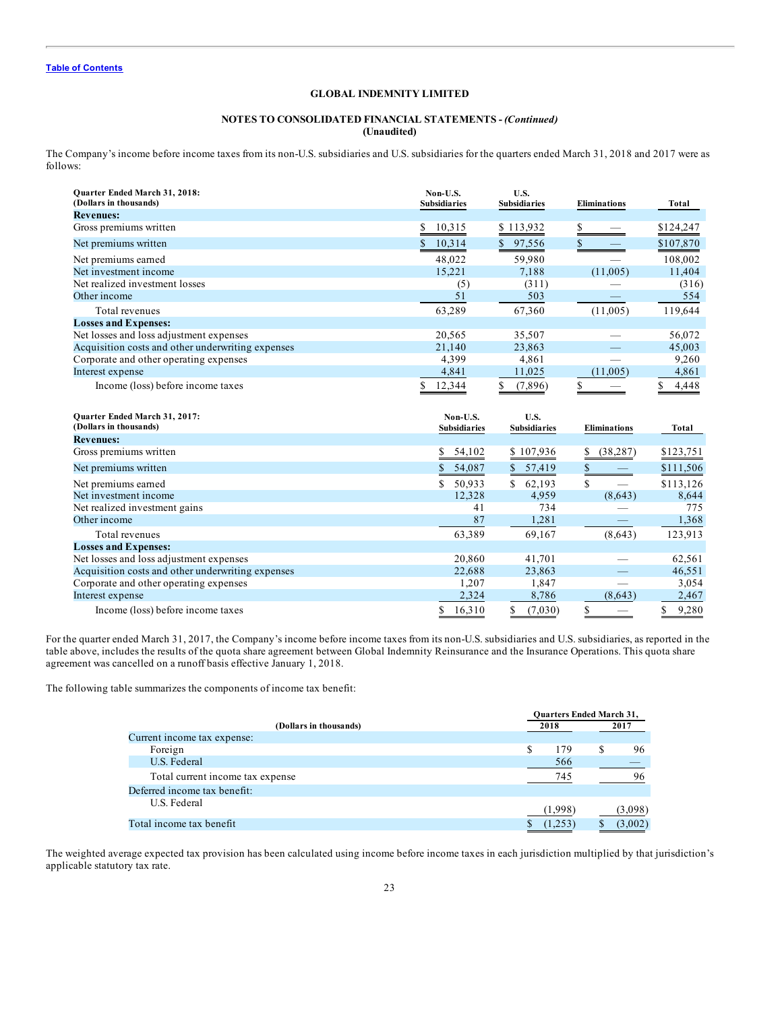# **NOTES TO CONSOLIDATED FINANCIAL STATEMENTS -** *(Continued)* **(Unaudited)**

The Company's income before income taxes from its non-U.S. subsidiaries and U.S. subsidiaries for the quarters ended March 31, 2018 and 2017 were as follows:

| <b>Ouarter Ended March 31, 2018:</b><br>(Dollars in thousands) | Non-U.S.<br><b>Subsidiaries</b> | U.S.<br><b>Subsidiaries</b> | <b>Eliminations</b> | Total     |
|----------------------------------------------------------------|---------------------------------|-----------------------------|---------------------|-----------|
| <b>Revenues:</b>                                               |                                 |                             |                     |           |
| Gross premiums written                                         | 10,315                          | \$113,932                   |                     | \$124,247 |
| Net premiums written                                           | 10,314                          | 97,556                      |                     | \$107,870 |
| Net premiums earned                                            | 48,022                          | 59,980                      |                     | 108,002   |
| Net investment income                                          | 15,221                          | 7,188                       | (11,005)            | 11,404    |
| Net realized investment losses                                 | (5)                             | (311)                       |                     | (316)     |
| Other income                                                   | 51                              | 503                         |                     | 554       |
| Total revenues                                                 | 63,289                          | 67,360                      | (11,005)            | 119,644   |
| <b>Losses and Expenses:</b>                                    |                                 |                             |                     |           |
| Net losses and loss adjustment expenses                        | 20,565                          | 35,507                      |                     | 56,072    |
| Acquisition costs and other underwriting expenses              | 21,140                          | 23,863                      |                     | 45,003    |
| Corporate and other operating expenses                         | 4,399                           | 4,861                       |                     | 9,260     |
| Interest expense                                               | 4,841                           | 11,025                      | (11,005)            | 4,861     |
| Income (loss) before income taxes                              | 12,344                          | (7,896)                     |                     | 4,448     |

| <b>Ouarter Ended March 31, 2017:</b>              | Non-U.S.            | U.S.                |                     |           |
|---------------------------------------------------|---------------------|---------------------|---------------------|-----------|
| (Dollars in thousands)                            | <b>Subsidiaries</b> | <b>Subsidiaries</b> | <b>Eliminations</b> | Total     |
| <b>Revenues:</b>                                  |                     |                     |                     |           |
| Gross premiums written                            | 54,102              | \$107,936           | (38, 287)<br>S      | \$123,751 |
| Net premiums written                              | 54,087              | 57,419              |                     | \$111,506 |
| Net premiums earned                               | 50,933              | 62,193              |                     | \$113,126 |
| Net investment income                             | 12,328              | 4,959               | (8,643)             | 8,644     |
| Net realized investment gains                     | 41                  | 734                 |                     | 775       |
| Other income                                      | 87                  | 1,281               |                     | 1,368     |
| Total revenues                                    | 63.389              | 69,167              | (8,643)             | 123,913   |
| <b>Losses and Expenses:</b>                       |                     |                     |                     |           |
| Net losses and loss adjustment expenses           | 20,860              | 41.701              |                     | 62,561    |
| Acquisition costs and other underwriting expenses | 22,688              | 23,863              |                     | 46,551    |
| Corporate and other operating expenses            | 1,207               | 1,847               |                     | 3,054     |
| Interest expense                                  | 2,324               | 8,786               | (8,643)             | 2,467     |
| Income (loss) before income taxes                 | 16,310              | (7,030)             |                     | 9,280     |

For the quarter ended March 31, 2017, the Company's income before income taxes from its non-U.S. subsidiaries and U.S. subsidiaries, as reported in the table above, includes the results of the quota share agreement between Global Indemnity Reinsurance and the Insurance Operations. This quota share agreement was cancelled on a runoff basis effective January 1, 2018.

The following table summarizes the components of income tax benefit:

|                                  | <b>Quarters Ended March 31,</b> |  |         |
|----------------------------------|---------------------------------|--|---------|
| (Dollars in thousands)           | 2018                            |  | 2017    |
| Current income tax expense:      |                                 |  |         |
| Foreign                          | 179                             |  | 96      |
| U.S. Federal                     | 566                             |  |         |
| Total current income tax expense | 745                             |  | 96      |
| Deferred income tax benefit:     |                                 |  |         |
| U.S. Federal                     | (1,998)                         |  | (3,098) |
| Total income tax benefit         | (1,253)                         |  | (3,002) |

The weighted average expected tax provision has been calculated using income before income taxes in each jurisdiction multiplied by that jurisdiction's applicable statutory tax rate.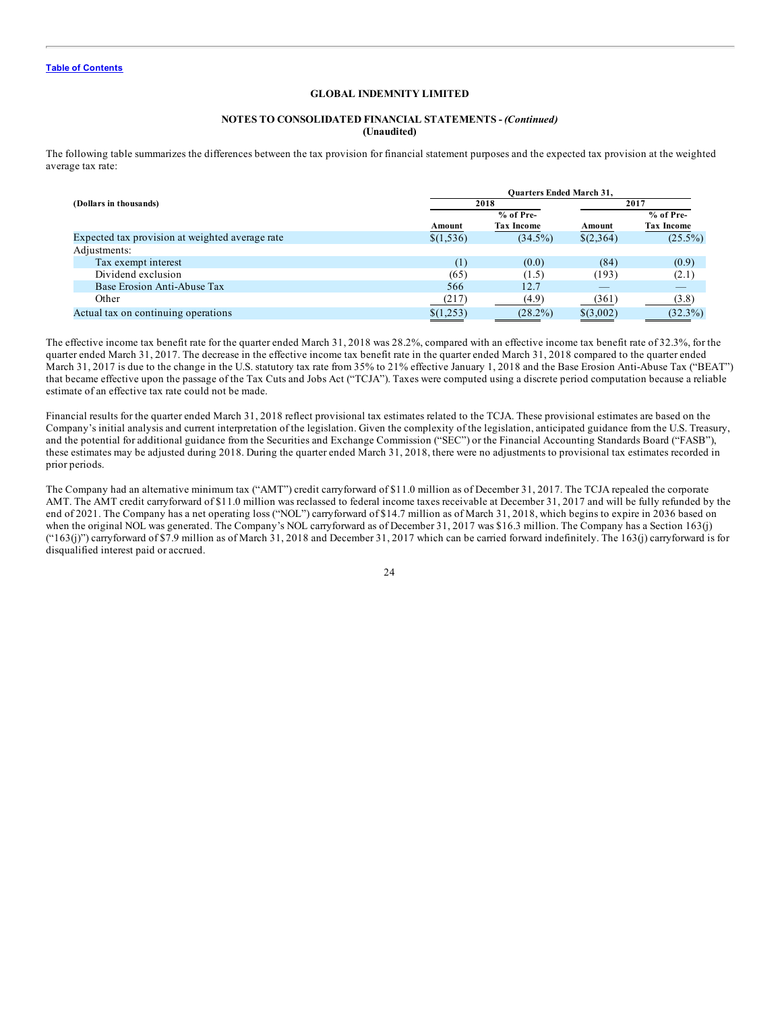# **NOTES TO CONSOLIDATED FINANCIAL STATEMENTS -** *(Continued)* **(Unaudited)**

The following table summarizes the differences between the tax provision for financial statement purposes and the expected tax provision at the weighted average tax rate:

|                                                 | <b>Ouarters Ended March 31,</b> |                   |           |                   |  |
|-------------------------------------------------|---------------------------------|-------------------|-----------|-------------------|--|
| (Dollars in thousands)                          |                                 | 2018              | 2017      |                   |  |
|                                                 |                                 | $%$ of Pre-       |           | $%$ of Pre-       |  |
|                                                 | Amount                          | <b>Tax Income</b> | Amount    | <b>Tax Income</b> |  |
| Expected tax provision at weighted average rate | \$(1,536)                       | $(34.5\%)$        | \$(2,364) | $(25.5\%)$        |  |
| Adjustments:                                    |                                 |                   |           |                   |  |
| Tax exempt interest                             | (1)                             | (0.0)             | (84)      | (0.9)             |  |
| Dividend exclusion                              | (65)                            | (1.5)             | (193)     | (2.1)             |  |
| Base Erosion Anti-Abuse Tax                     | 566                             | 12.7              |           |                   |  |
| Other                                           | (217)                           | (4.9)             | (361)     | (3.8)             |  |
| Actual tax on continuing operations             | \$(1,253)                       | $(28.2\%)$        | \$(3,002) | (32.3%)           |  |

The effective income tax benefit rate for the quarter ended March 31, 2018 was 28.2%, compared with an effective income tax benefit rate of 32.3%, for the quarter ended March 31, 2017. The decrease in the effective income tax benefit rate in the quarter ended March 31, 2018 compared to the quarter ended March 31, 2017 is due to the change in the U.S. statutory tax rate from 35% to 21% effective January 1, 2018 and the Base Erosion Anti-Abuse Tax ("BEAT") that became effective upon the passage of the Tax Cuts and Jobs Act ("TCJA"). Taxes were computed using a discrete period computation because a reliable estimate of an effective tax rate could not be made.

Financial results for the quarter ended March 31, 2018 reflect provisional tax estimates related to the TCJA. These provisional estimates are based on the Company's initial analysis and current interpretation of the legislation. Given the complexity of the legislation, anticipated guidance from the U.S. Treasury, and the potential for additional guidance from the Securities and Exchange Commission ("SEC") or the Financial Accounting Standards Board ("FASB"), these estimates may be adjusted during 2018. During the quarter ended March 31, 2018, there were no adjustments to provisional tax estimates recorded in prior periods.

The Company had an alternative minimum tax ("AMT") credit carryforward of \$11.0 million as of December 31, 2017. The TCJA repealed the corporate AMT. The AMT credit carryforward of \$11.0 million was reclassed to federal income taxes receivable at December 31, 2017 and will be fully refunded by the end of 2021. The Company has a net operating loss ("NOL") carryforward of \$14.7 million as of March 31, 2018, which begins to expire in 2036 based on when the original NOL was generated. The Company's NOL carryforward as of December 31, 2017 was \$16.3 million. The Company has a Section 163(j)  $("163(j")$  carryforward of \$7.9 million as of March 31, 2018 and December 31, 2017 which can be carried forward indefinitely. The 163(j) carryforward is for disqualified interest paid or accrued.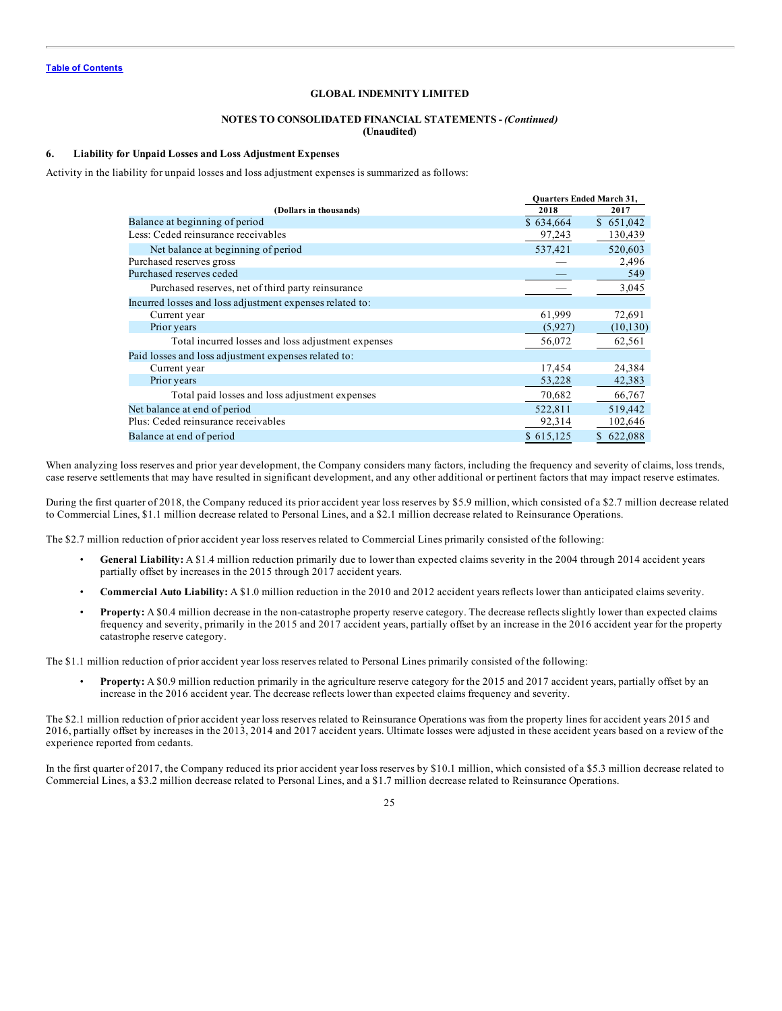# **NOTES TO CONSOLIDATED FINANCIAL STATEMENTS -** *(Continued)* **(Unaudited)**

#### **6. Liability for Unpaid Losses and Loss Adjustment Expenses**

Activity in the liability for unpaid losses and loss adjustment expenses is summarized as follows:

|                                                          | <b>Ouarters Ended March 31,</b> |               |
|----------------------------------------------------------|---------------------------------|---------------|
| (Dollars in thousands)                                   | 2018                            | 2017          |
| Balance at beginning of period                           | \$634,664                       | \$651,042     |
| Less: Ceded reinsurance receivables                      | 97,243                          | 130,439       |
| Net balance at beginning of period                       | 537,421                         | 520,603       |
| Purchased reserves gross                                 |                                 | 2,496         |
| Purchased reserves ceded                                 |                                 | 549           |
| Purchased reserves, net of third party reinsurance       |                                 | 3,045         |
| Incurred losses and loss adjustment expenses related to: |                                 |               |
| Current year                                             | 61,999                          | 72,691        |
| Prior years                                              | (5,927)                         | (10, 130)     |
| Total incurred losses and loss adjustment expenses       | 56,072                          | 62,561        |
| Paid losses and loss adjustment expenses related to:     |                                 |               |
| Current year                                             | 17,454                          | 24,384        |
| Prior years                                              | 53,228                          | 42,383        |
| Total paid losses and loss adjustment expenses           | 70,682                          | 66,767        |
| Net balance at end of period                             | 522,811                         | 519,442       |
| Plus: Ceded reinsurance receivables                      | 92,314                          | 102,646       |
| Balance at end of period                                 | \$615,125                       | 622,088<br>\$ |

When analyzing loss reserves and prior year development, the Company considers many factors, including the frequency and severity of claims, loss trends, case reserve settlements that may have resulted in significant development, and any other additional or pertinent factors that may impact reserve estimates.

During the first quarter of 2018, the Company reduced its prior accident year loss reserves by \$5.9 million, which consisted of a \$2.7 million decrease related to Commercial Lines, \$1.1 million decrease related to Personal Lines, and a \$2.1 million decrease related to Reinsurance Operations.

The \$2.7 million reduction of prior accident year loss reserves related to Commercial Lines primarily consisted of the following:

- **General Liability:** A \$1.4 million reduction primarily due to lower than expected claims severity in the 2004 through 2014 accident years partially offset by increases in the 2015 through 2017 accident years.
- **Commercial Auto Liability:** A \$1.0 million reduction in the 2010 and 2012 accident years reflects lower than anticipated claims severity.
- **Property:** A \$0.4 million decrease in the non-catastrophe property reserve category. The decrease reflects slightly lower than expected claims frequency and severity, primarily in the 2015 and 2017 accident years, partially offset by an increase in the 2016 accident year for the property catastrophe reserve category.

The \$1.1 million reduction of prior accident year loss reserves related to Personal Lines primarily consisted of the following:

• **Property:** A \$0.9 million reduction primarily in the agriculture reserve category for the 2015 and 2017 accident years, partially offset by an increase in the 2016 accident year. The decrease reflects lower than expected claims frequency and severity.

The \$2.1 million reduction of prior accident year loss reserves related to Reinsurance Operations was from the property lines for accident years 2015 and 2016, partially offset by increases in the 2013, 2014 and 2017 accident years. Ultimate losses were adjusted in these accident years based on a review of the experience reported from cedants.

In the first quarter of 2017, the Company reduced its prior accident year loss reserves by \$10.1 million, which consisted of a \$5.3 million decrease related to Commercial Lines, a \$3.2 million decrease related to Personal Lines, and a \$1.7 million decrease related to Reinsurance Operations.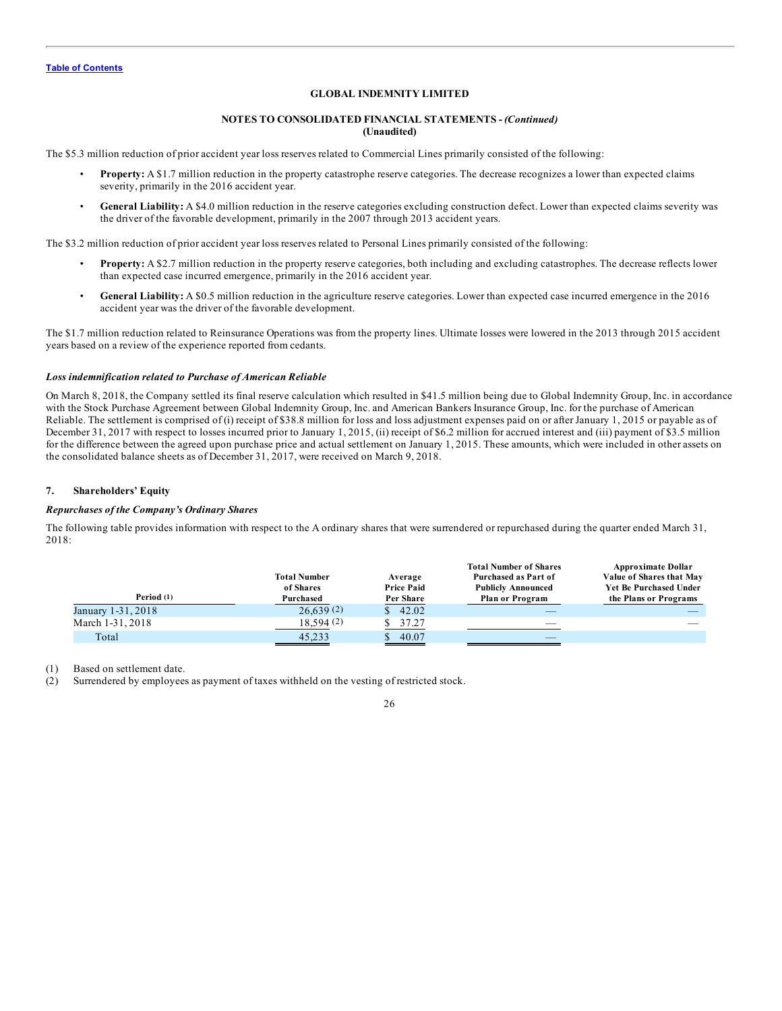# **NOTES TO CONSOLIDATED FINANCIAL STATEMENTS -** *(Continued)* **(Unaudited)**

The \$5.3 million reduction of prior accident year loss reserves related to Commercial Lines primarily consisted of the following:

- **Property:** A \$1.7 million reduction in the property catastrophe reserve categories. The decrease recognizes a lower than expected claims severity, primarily in the 2016 accident year.
- **General Liability:** A \$4.0 million reduction in the reserve categories excluding construction defect. Lower than expected claims severity was the driver of the favorable development, primarily in the 2007 through 2013 accident years.

The \$3.2 million reduction of prior accident year loss reserves related to Personal Lines primarily consisted of the following:

- **Property:** A \$2.7 million reduction in the property reserve categories, both including and excluding catastrophes. The decrease reflects lower than expected case incurred emergence, primarily in the 2016 accident year.
- **General Liability:** A \$0.5 million reduction in the agriculture reserve categories. Lower than expected case incurred emergence in the 2016 accident year was the driver of the favorable development.

The \$1.7 million reduction related to Reinsurance Operations was from the property lines. Ultimate losses were lowered in the 2013 through 2015 accident years based on a review of the experience reported from cedants.

#### *Loss indemnification related to Purchase of American Reliable*

On March 8, 2018, the Company settled its final reserve calculation which resulted in \$41.5 million being due to Global Indemnity Group, Inc. in accordance with the Stock Purchase Agreement between Global Indemnity Group, Inc. and American Bankers Insurance Group, Inc. for the purchase of American Reliable. The settlement is comprised of (i) receipt of \$38.8 million for loss and loss adjustment expenses paid on or after January 1, 2015 or payable as of December 31, 2017 with respect to losses incurred prior to January 1, 2015, (ii) receipt of \$6.2 million for accrued interest and (iii) payment of \$3.5 million for the difference between the agreed upon purchase price and actual settlement on January 1, 2015. These amounts, which were included in other assets on the consolidated balance sheets as of December 31, 2017, were received on March 9, 2018.

# **7. Shareholders' Equity**

# *Repurchases of the Company's Ordinary Shares*

The following table provides information with respect to the A ordinary shares that were surrendered or repurchased during the quarter ended March 31, 2018:

| Period (1)         | <b>Total Number</b><br>of Shares<br>Purchased | Average<br><b>Price Paid</b><br>Per Share | <b>Total Number of Shares</b><br>Purchased as Part of<br><b>Publicly Announced</b><br>Plan or Program | <b>Approximate Dollar</b><br>Value of Shares that May<br><b>Yet Be Purchased Under</b><br>the Plans or Programs |
|--------------------|-----------------------------------------------|-------------------------------------------|-------------------------------------------------------------------------------------------------------|-----------------------------------------------------------------------------------------------------------------|
| January 1-31, 2018 | 26,639(2)                                     | \$42.02                                   |                                                                                                       |                                                                                                                 |
| March 1-31, 2018   | 18.594 (2)                                    | 37.27                                     | $\overline{\phantom{a}}$                                                                              |                                                                                                                 |
| Total              | 45.233                                        | 40.07                                     |                                                                                                       |                                                                                                                 |

(1) Based on settlement date.

(2) Surrendered by employees as payment of taxes withheld on the vesting of restricted stock.

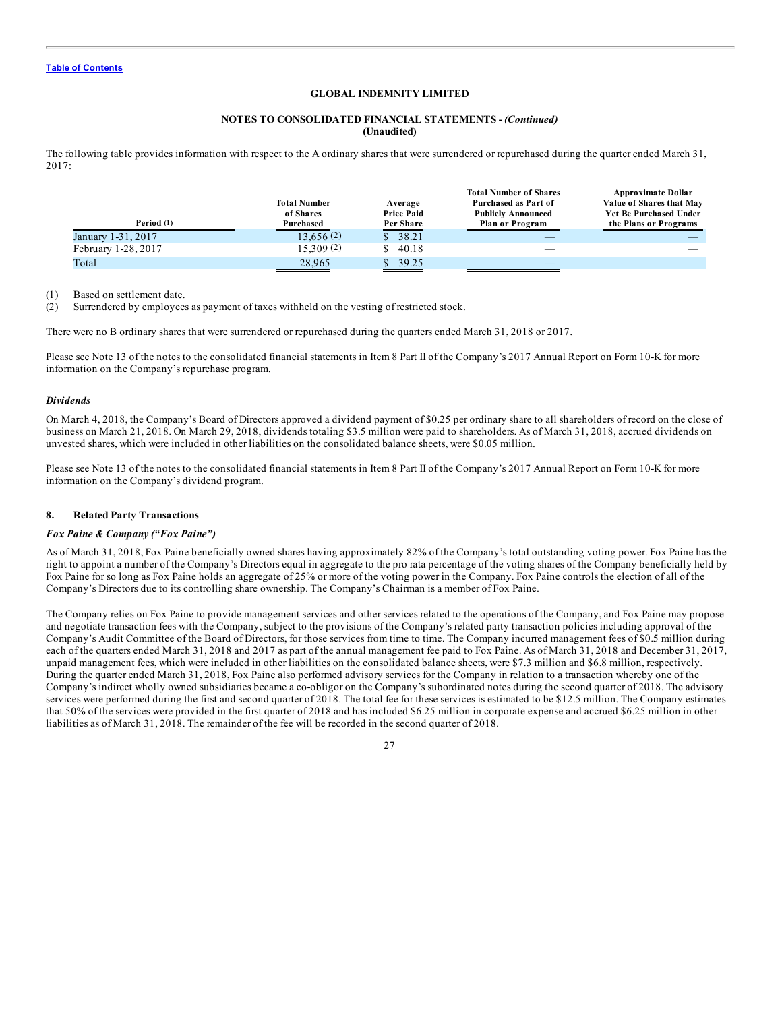# **NOTES TO CONSOLIDATED FINANCIAL STATEMENTS -** *(Continued)* **(Unaudited)**

The following table provides information with respect to the A ordinary shares that were surrendered or repurchased during the quarter ended March 31,  $2017$ 

|                     | <b>Total Number</b><br>of Shares | Average<br><b>Price Paid</b> | <b>Total Number of Shares</b><br>Purchased as Part of<br><b>Publicly Announced</b> | <b>Approximate Dollar</b><br>Value of Shares that May<br><b>Yet Be Purchased Under</b> |
|---------------------|----------------------------------|------------------------------|------------------------------------------------------------------------------------|----------------------------------------------------------------------------------------|
| Period (1)          | Purchased                        | Per Share                    | Plan or Program                                                                    | the Plans or Programs                                                                  |
| January 1-31, 2017  | 13.656 (2)                       | \$38.21                      |                                                                                    |                                                                                        |
| February 1-28, 2017 | 15.309 (2)                       | 40.18                        | $\overline{\phantom{a}}$                                                           |                                                                                        |
| Total               | 28,965                           | 39.25                        |                                                                                    |                                                                                        |

(1) Based on settlement date.

(2) Surrendered by employees as payment of taxes withheld on the vesting of restricted stock.

There were no B ordinary shares that were surrendered or repurchased during the quarters ended March 31, 2018 or 2017.

Please see Note 13 of the notes to the consolidated financial statements in Item 8 Part II of the Company's 2017 Annual Report on Form 10-K for more information on the Company's repurchase program.

#### *Dividends*

On March 4, 2018, the Company's Board of Directors approved a dividend payment of \$0.25 per ordinary share to all shareholders of record on the close of business on March 21, 2018. On March 29, 2018, dividends totaling \$3.5 million were paid to shareholders. As of March 31, 2018, accrued dividends on unvested shares, which were included in other liabilities on the consolidated balance sheets, were \$0.05 million.

Please see Note 13 of the notes to the consolidated financial statements in Item 8 Part II of the Company's 2017 Annual Report on Form 10-K for more information on the Company's dividend program.

#### **8. Related Party Transactions**

#### *Fox Paine & Company ("Fox Paine")*

As of March 31, 2018, Fox Paine beneficially owned shares having approximately 82% of the Company's total outstanding voting power. Fox Paine has the right to appoint a number of the Company's Directors equal in aggregate to the pro rata percentage of the voting shares of the Company beneficially held by Fox Paine for so long as Fox Paine holds an aggregate of 25% or more of the voting power in the Company. Fox Paine controls the election of all of the Company's Directors due to its controlling share ownership. The Company's Chairman is a member of Fox Paine.

The Company relies on Fox Paine to provide management services and other services related to the operations of the Company, and Fox Paine may propose and negotiate transaction fees with the Company, subject to the provisions of the Company's related party transaction policies including approval of the Company's Audit Committee of the Board of Directors, for those services from time to time. The Company incurred management fees of \$0.5 million during each of the quarters ended March 31, 2018 and 2017 as part of the annual management fee paid to Fox Paine. As of March 31, 2018 and December 31, 2017, unpaid management fees, which were included in other liabilities on the consolidated balance sheets, were \$7.3 million and \$6.8 million, respectively. During the quarter ended March 31, 2018, Fox Paine also performed advisory services for the Company in relation to a transaction whereby one of the Company's indirect wholly owned subsidiaries became a co-obligor on the Company's subordinated notes during the second quarter of 2018. The advisory services were performed during the first and second quarter of 2018. The total fee for these services is estimated to be \$12.5 million. The Company estimates that 50% of the services were provided in the first quarter of 2018 and has included \$6.25 million in corporate expense and accrued \$6.25 million in other liabilities as of March 31, 2018. The remainder of the fee will be recorded in the second quarter of 2018.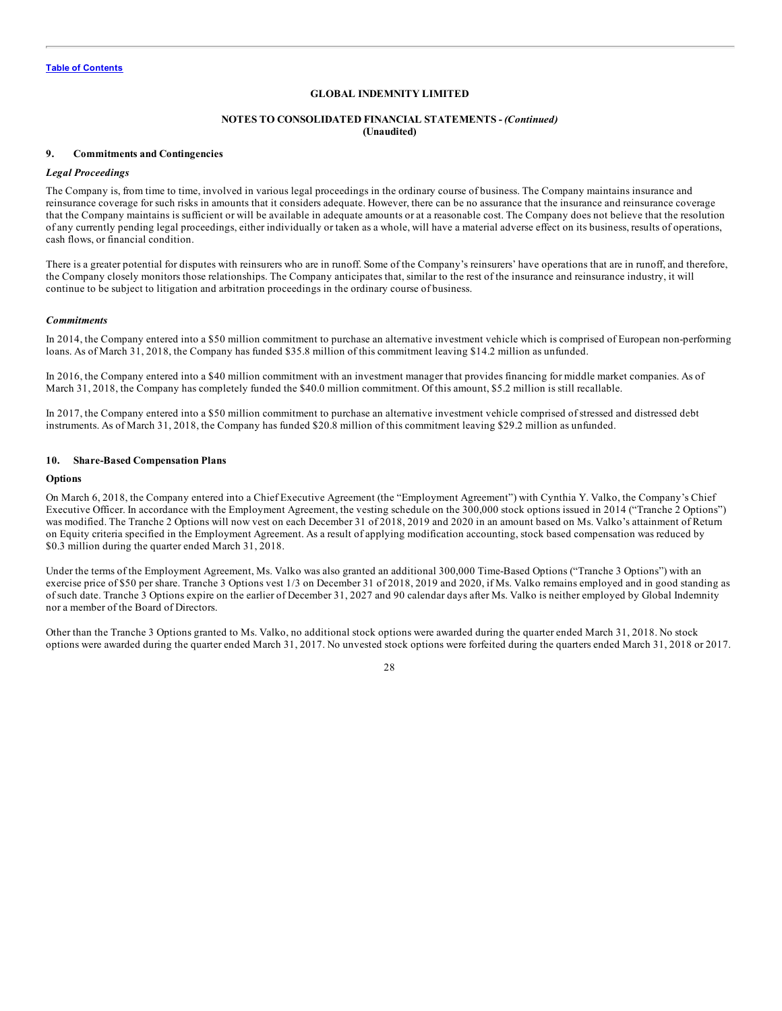# **NOTES TO CONSOLIDATED FINANCIAL STATEMENTS -** *(Continued)* **(Unaudited)**

#### **9. Commitments and Contingencies**

# *Legal Proceedings*

The Company is, from time to time, involved in various legal proceedings in the ordinary course of business. The Company maintains insurance and reinsurance coverage for such risks in amounts that it considers adequate. However, there can be no assurance that the insurance and reinsurance coverage that the Company maintains is sufficient or will be available in adequate amounts or at a reasonable cost. The Company does not believe that the resolution of any currently pending legal proceedings, either individually or taken as a whole, will have a material adverse effect on its business, results of operations, cash flows, or financial condition.

There is a greater potential for disputes with reinsurers who are in runoff. Some of the Company's reinsurers' have operations that are in runoff, and therefore, the Company closely monitors those relationships. The Company anticipates that, similar to the rest of the insurance and reinsurance industry, it will continue to be subject to litigation and arbitration proceedings in the ordinary course of business.

#### *Commitments*

In 2014, the Company entered into a \$50 million commitment to purchase an alternative investment vehicle which is comprised of European non-performing loans. As of March 31, 2018, the Company has funded \$35.8 million of this commitment leaving \$14.2 million as unfunded.

In 2016, the Company entered into a \$40 million commitment with an investment manager that provides financing for middle market companies. As of March 31, 2018, the Company has completely funded the \$40.0 million commitment. Of this amount, \$5.2 million is still recallable.

In 2017, the Company entered into a \$50 million commitment to purchase an alternative investment vehicle comprised of stressed and distressed debt instruments. As of March 31, 2018, the Company has funded \$20.8 million of this commitment leaving \$29.2 million as unfunded.

# **10. Share-Based Compensation Plans**

# **Options**

On March 6, 2018, the Company entered into a Chief Executive Agreement (the "Employment Agreement") with Cynthia Y. Valko, the Company's Chief Executive Officer. In accordance with the Employment Agreement, the vesting schedule on the 300,000 stock options issued in 2014 ("Tranche 2 Options") was modified. The Tranche 2 Options will now vest on each December 31 of 2018, 2019 and 2020 in an amount based on Ms. Valko's attainment of Return on Equity criteria specified in the Employment Agreement. As a result of applying modification accounting, stock based compensation was reduced by \$0.3 million during the quarter ended March 31, 2018.

Under the terms of the Employment Agreement, Ms. Valko was also granted an additional 300,000 Time-Based Options ("Tranche 3 Options") with an exercise price of \$50 per share. Tranche 3 Options vest 1/3 on December 31 of 2018, 2019 and 2020, if Ms. Valko remains employed and in good standing as of such date. Tranche 3 Options expire on the earlier of December 31, 2027 and 90 calendar days after Ms. Valko is neither employed by Global Indemnity nor a member of the Board of Directors.

Other than the Tranche 3 Options granted to Ms. Valko, no additional stock options were awarded during the quarter ended March 31, 2018. No stock options were awarded during the quarter ended March 31, 2017. No unvested stock options were forfeited during the quarters ended March 31, 2018 or 2017.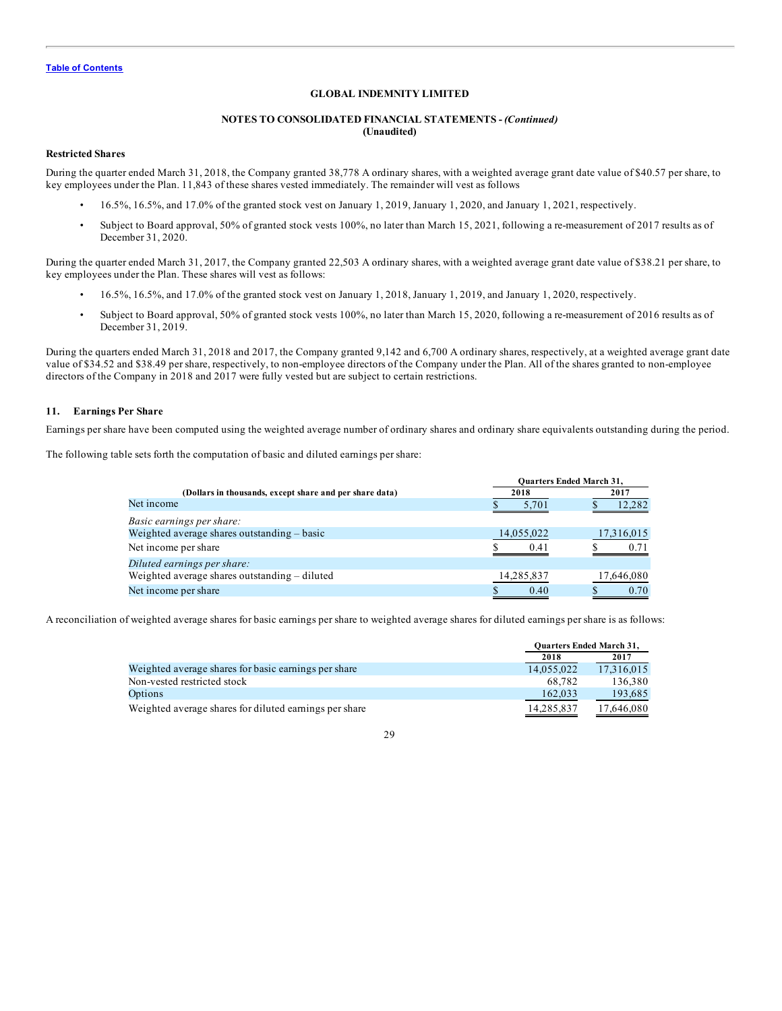# **NOTES TO CONSOLIDATED FINANCIAL STATEMENTS -** *(Continued)* **(Unaudited)**

#### **Restricted Shares**

During the quarter ended March 31, 2018, the Company granted 38,778 A ordinary shares, with a weighted average grant date value of \$40.57 per share, to key employees under the Plan. 11,843 of these shares vested immediately. The remainder will vest as follows

- 16.5%, 16.5%, and 17.0% of the granted stock vest on January 1, 2019, January 1, 2020, and January 1, 2021, respectively.
- Subject to Board approval, 50% of granted stock vests 100%, no later than March 15, 2021, following a re-measurement of 2017 results as of December 31, 2020.

During the quarter ended March 31, 2017, the Company granted 22,503 A ordinary shares, with a weighted average grant date value of \$38.21 per share, to key employees under the Plan. These shares will vest as follows:

- 16.5%, 16.5%, and 17.0% of the granted stock vest on January 1, 2018, January 1, 2019, and January 1, 2020, respectively.
- Subject to Board approval, 50% of granted stock vests 100%, no later than March 15, 2020, following a re-measurement of 2016 results as of December 31, 2019.

During the quarters ended March 31, 2018 and 2017, the Company granted 9,142 and 6,700 A ordinary shares, respectively, at a weighted average grant date value of \$34.52 and \$38.49 per share, respectively, to non-employee directors of the Company under the Plan. All of the shares granted to non-employee directors of the Company in 2018 and 2017 were fully vested but are subject to certain restrictions.

#### **11. Earnings Per Share**

Earnings per share have been computed using the weighted average number of ordinary shares and ordinary share equivalents outstanding during the period.

The following table sets forth the computation of basic and diluted earnings per share:

|                                                         | <b>Ouarters Ended March 31,</b> |            |  |  |  |
|---------------------------------------------------------|---------------------------------|------------|--|--|--|
| (Dollars in thousands, except share and per share data) | 2018                            | 2017       |  |  |  |
| Net income                                              | 5.701                           | 12.282     |  |  |  |
| Basic earnings per share:                               |                                 |            |  |  |  |
| Weighted average shares outstanding $-$ basic           | 14,055,022                      | 17,316,015 |  |  |  |
| Net income per share                                    | 0.41                            | 0.71       |  |  |  |
| Diluted earnings per share:                             |                                 |            |  |  |  |
| Weighted average shares outstanding – diluted           | 14,285,837                      | 17,646,080 |  |  |  |
| Net income per share                                    | 0.40                            | 0.70       |  |  |  |

A reconciliation of weighted average shares for basic earnings per share to weighted average shares for diluted earnings per share is as follows:

|                                                        |            | <b>Ouarters Ended March 31,</b> |
|--------------------------------------------------------|------------|---------------------------------|
|                                                        | 2018       | 2017                            |
| Weighted average shares for basic earnings per share   | 14.055.022 | 17.316.015                      |
| Non-vested restricted stock                            | 68.782     | 136.380                         |
| Options                                                | 162,033    | 193,685                         |
| Weighted average shares for diluted earnings per share | 14.285.837 | 17.646.080                      |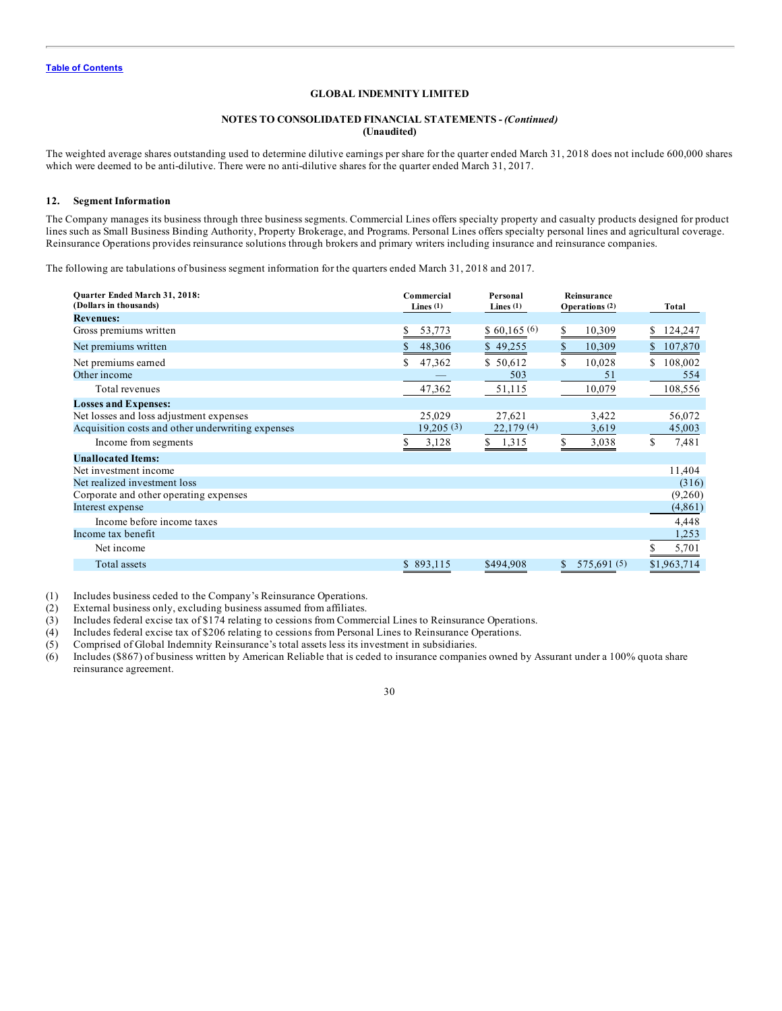# **NOTES TO CONSOLIDATED FINANCIAL STATEMENTS -** *(Continued)* **(Unaudited)**

The weighted average shares outstanding used to determine dilutive earnings per share for the quarter ended March 31, 2018 does not include 600,000 shares which were deemed to be anti-dilutive. There were no anti-dilutive shares for the quarter ended March 31, 2017.

#### **12. Segment Information**

The Company manages its business through three business segments. Commercial Lines offers specialty property and casualty products designed for product lines such as Small Business Binding Authority, Property Brokerage, and Programs. Personal Lines offers specialty personal lines and agricultural coverage. Reinsurance Operations provides reinsurance solutions through brokers and primary writers including insurance and reinsurance companies.

The following are tabulations of business segment information for the quarters ended March 31, 2018 and 2017.

| <b>Ouarter Ended March 31, 2018:</b><br>(Dollars in thousands) | Commercial<br>Lines $(1)$ | Personal<br>Lines $(1)$ | Reinsurance<br><b>Operations</b> (2) | Total         |
|----------------------------------------------------------------|---------------------------|-------------------------|--------------------------------------|---------------|
| <b>Revenues:</b>                                               |                           |                         |                                      |               |
| Gross premiums written                                         | 53,773                    | \$60,165(6)             | 10,309<br>\$                         | 124,247<br>S  |
| Net premiums written                                           | 48,306                    | \$49,255                | 10,309                               | 107,870       |
| Net premiums earned                                            | 47,362<br>\$              | \$50,612                | 10,028<br>\$                         | 108,002<br>S. |
| Other income                                                   |                           | 503                     | 51                                   | 554           |
| Total revenues                                                 | 47,362                    | 51,115                  | 10,079                               | 108,556       |
| <b>Losses and Expenses:</b>                                    |                           |                         |                                      |               |
| Net losses and loss adjustment expenses                        | 25,029                    | 27,621                  | 3,422                                | 56,072        |
| Acquisition costs and other underwriting expenses              | 19,205(3)                 | 22,179(4)               | 3,619                                | 45,003        |
| Income from segments                                           | 3,128                     | 1,315<br>S.             | 3,038<br>S                           | \$<br>7,481   |
| <b>Unallocated Items:</b>                                      |                           |                         |                                      |               |
| Net investment income                                          |                           |                         |                                      | 11,404        |
| Net realized investment loss                                   |                           |                         |                                      | (316)         |
| Corporate and other operating expenses                         |                           |                         |                                      | (9,260)       |
| Interest expense                                               |                           |                         |                                      | (4,861)       |
| Income before income taxes                                     |                           |                         |                                      | 4,448         |
| Income tax benefit                                             |                           |                         |                                      | 1,253         |
| Net income                                                     |                           |                         |                                      | 5,701         |
| Total assets                                                   | \$893,115                 | \$494,908               | 575,691(5)                           | \$1,963,714   |

(1) Includes business ceded to the Company's Reinsurance Operations.

(2) External business only, excluding business assumed from affiliates.

(3) Includes federal excise tax of \$174 relating to cessions from Commercial Lines to Reinsurance Operations.

(4) Includes federal excise tax of \$206 relating to cessions from Personal Lines to Reinsurance Operations.

(5) Comprised of Global Indemnity Reinsurance's total assets less its investment in subsidiaries.

(6) Includes (\$867) of business written by American Reliable that is ceded to insurance companies owned by Assurant under a 100% quota share reinsurance agreement.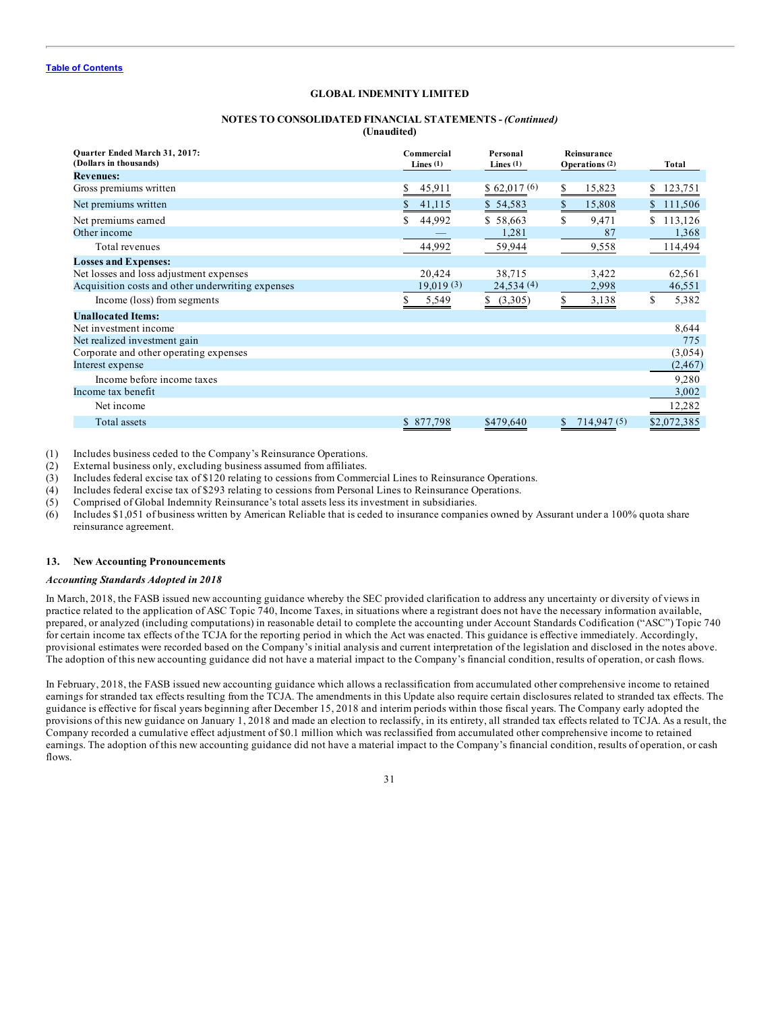#### **NOTES TO CONSOLIDATED FINANCIAL STATEMENTS -** *(Continued)* **(Unaudited)**

| <b>Ouarter Ended March 31, 2017:</b><br>(Dollars in thousands) | Commercial<br>Lines $(1)$ | Personal<br>Reinsurance<br>Operations (2)<br>Lines $(1)$ |                  | Total         |  |
|----------------------------------------------------------------|---------------------------|----------------------------------------------------------|------------------|---------------|--|
| <b>Revenues:</b>                                               |                           |                                                          |                  |               |  |
| Gross premiums written                                         | 45,911                    | \$62,017(6)                                              | \$<br>15,823     | 123,751       |  |
| Net premiums written                                           | 41,115                    | \$54,583                                                 | 15,808<br>\$     | 111,506       |  |
| Net premiums earned                                            | S<br>44,992               | \$58,663                                                 | \$<br>9,471      | 113,126<br>S. |  |
| Other income                                                   |                           | 1,281                                                    | 87               | 1,368         |  |
| Total revenues                                                 | 44,992                    | 59,944                                                   | 9,558            | 114,494       |  |
| <b>Losses and Expenses:</b>                                    |                           |                                                          |                  |               |  |
| Net losses and loss adjustment expenses                        | 20,424                    | 38,715                                                   | 3,422            | 62,561        |  |
| Acquisition costs and other underwriting expenses              | 19,019(3)                 | 24,534(4)                                                | 2,998            | 46,551        |  |
| Income (loss) from segments                                    | 5,549                     | (3,305)                                                  | 3,138<br>\$      | 5,382<br>\$   |  |
| <b>Unallocated Items:</b>                                      |                           |                                                          |                  |               |  |
| Net investment income                                          |                           |                                                          |                  | 8,644         |  |
| Net realized investment gain                                   |                           |                                                          |                  | 775           |  |
| Corporate and other operating expenses                         |                           |                                                          |                  | (3,054)       |  |
| Interest expense                                               |                           |                                                          |                  | (2,467)       |  |
| Income before income taxes                                     |                           |                                                          |                  | 9,280         |  |
| Income tax benefit                                             |                           |                                                          |                  | 3,002         |  |
| Net income                                                     |                           |                                                          |                  | 12,282        |  |
| Total assets                                                   | \$.<br>877,798            | \$479,640                                                | 714,947(5)<br>S. | \$2,072,385   |  |

(1) Includes business ceded to the Company's Reinsurance Operations.

(2) External business only, excluding business assumed from affiliates.

(3) Includes federal excise tax of \$120 relating to cessions from Commercial Lines to Reinsurance Operations.

(4) Includes federal excise tax of \$293 relating to cessions from Personal Lines to Reinsurance Operations.

(5) Comprised of Global Indemnity Reinsurance's total assets less its investment in subsidiaries.

(6) Includes \$1,051 of business written by American Reliable that is ceded to insurance companies owned by Assurant under a 100% quota share reinsurance agreement.

#### **13. New Accounting Pronouncements**

#### *Accounting Standards Adopted in 2018*

In March, 2018, the FASB issued new accounting guidance whereby the SEC provided clarification to address any uncertainty or diversity of views in practice related to the application of ASC Topic 740, Income Taxes, in situations where a registrant does not have the necessary information available, prepared, or analyzed (including computations) in reasonable detail to complete the accounting under Account Standards Codification ("ASC") Topic 740 for certain income tax effects of the TCJA for the reporting period in which the Act was enacted. This guidance is effective immediately. Accordingly, provisional estimates were recorded based on the Company's initial analysis and current interpretation of the legislation and disclosed in the notes above. The adoption of this new accounting guidance did not have a material impact to the Company's financial condition, results of operation, or cash flows.

In February, 2018, the FASB issued new accounting guidance which allows a reclassification from accumulated other comprehensive income to retained earnings for stranded tax effects resulting from the TCJA. The amendments in this Update also require certain disclosures related to stranded tax effects. The guidance is effective for fiscal years beginning after December 15, 2018 and interim periods within those fiscal years. The Company early adopted the provisions of this new guidance on January 1, 2018 and made an election to reclassify, in its entirety, all stranded tax effects related to TCJA. As a result, the Company recorded a cumulative effect adjustment of \$0.1 million which was reclassified from accumulated other comprehensive income to retained earnings. The adoption of this new accounting guidance did not have a material impact to the Company's financial condition, results of operation, or cash flows.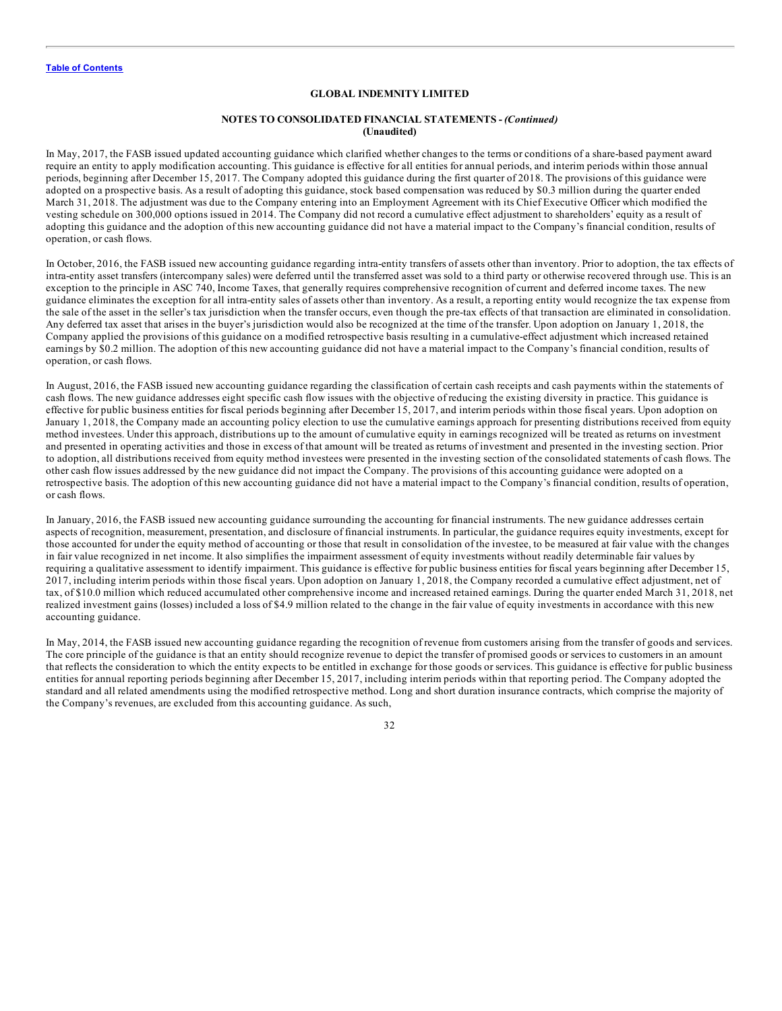# **NOTES TO CONSOLIDATED FINANCIAL STATEMENTS -** *(Continued)* **(Unaudited)**

In May, 2017, the FASB issued updated accounting guidance which clarified whether changes to the terms or conditions of a share-based payment award require an entity to apply modification accounting. This guidance is effective for all entities for annual periods, and interim periods within those annual periods, beginning after December 15, 2017. The Company adopted this guidance during the first quarter of 2018. The provisions of this guidance were adopted on a prospective basis. As a result of adopting this guidance, stock based compensation was reduced by \$0.3 million during the quarter ended March 31, 2018. The adjustment was due to the Company entering into an Employment Agreement with its Chief Executive Officer which modified the vesting schedule on 300,000 options issued in 2014. The Company did not record a cumulative effect adjustment to shareholders' equity as a result of adopting this guidance and the adoption of this new accounting guidance did not have a material impact to the Company's financial condition, results of operation, or cash flows.

In October, 2016, the FASB issued new accounting guidance regarding intra-entity transfers of assets other than inventory. Prior to adoption, the tax effects of intra-entity asset transfers (intercompany sales) were deferred until the transferred asset was sold to a third party or otherwise recovered through use. This is an exception to the principle in ASC 740, Income Taxes, that generally requires comprehensive recognition of current and deferred income taxes. The new guidance eliminates the exception for all intra-entity sales of assets other than inventory. As a result, a reporting entity would recognize the tax expense from the sale of the asset in the seller's tax jurisdiction when the transfer occurs, even though the pre-tax effects of that transaction are eliminated in consolidation. Any deferred tax asset that arises in the buyer's jurisdiction would also be recognized at the time of the transfer. Upon adoption on January 1, 2018, the Company applied the provisions of this guidance on a modified retrospective basis resulting in a cumulative-effect adjustment which increased retained earnings by \$0.2 million. The adoption of this new accounting guidance did not have a material impact to the Company's financial condition, results of operation, or cash flows.

In August, 2016, the FASB issued new accounting guidance regarding the classification of certain cash receipts and cash payments within the statements of cash flows. The new guidance addresses eight specific cash flow issues with the objective of reducing the existing diversity in practice. This guidance is effective for public business entities for fiscal periods beginning after December 15, 2017, and interim periods within those fiscal years. Upon adoption on January 1, 2018, the Company made an accounting policy election to use the cumulative earnings approach for presenting distributions received from equity method investees. Under this approach, distributions up to the amount of cumulative equity in earnings recognized will be treated as returns on investment and presented in operating activities and those in excess of that amount will be treated as returns of investment and presented in the investing section. Prior to adoption, all distributions received from equity method investees were presented in the investing section of the consolidated statements of cash flows. The other cash flow issues addressed by the new guidance did not impact the Company. The provisions of this accounting guidance were adopted on a retrospective basis. The adoption of this new accounting guidance did not have a material impact to the Company's financial condition, results of operation, or cash flows.

In January, 2016, the FASB issued new accounting guidance surrounding the accounting for financial instruments. The new guidance addresses certain aspects of recognition, measurement, presentation, and disclosure of financial instruments. In particular, the guidance requires equity investments, except for those accounted for under the equity method of accounting or those that result in consolidation of the investee, to be measured at fair value with the changes in fair value recognized in net income. It also simplifies the impairment assessment of equity investments without readily determinable fair values by requiring a qualitative assessment to identify impairment. This guidance is effective for public business entities for fiscal years beginning after December 15, 2017, including interim periods within those fiscal years. Upon adoption on January 1, 2018, the Company recorded a cumulative effect adjustment, net of tax, of \$10.0 million which reduced accumulated other comprehensive income and increased retained earnings. During the quarter ended March 31, 2018, net realized investment gains (losses) included a loss of \$4.9 million related to the change in the fair value of equity investments in accordance with this new accounting guidance.

In May, 2014, the FASB issued new accounting guidance regarding the recognition of revenue from customers arising from the transfer of goods and services. The core principle of the guidance is that an entity should recognize revenue to depict the transfer of promised goods or services to customers in an amount that reflects the consideration to which the entity expects to be entitled in exchange for those goods or services. This guidance is effective for public business entities for annual reporting periods beginning after December 15, 2017, including interim periods within that reporting period. The Company adopted the standard and all related amendments using the modified retrospective method. Long and short duration insurance contracts, which comprise the majority of the Company's revenues, are excluded from this accounting guidance. As such,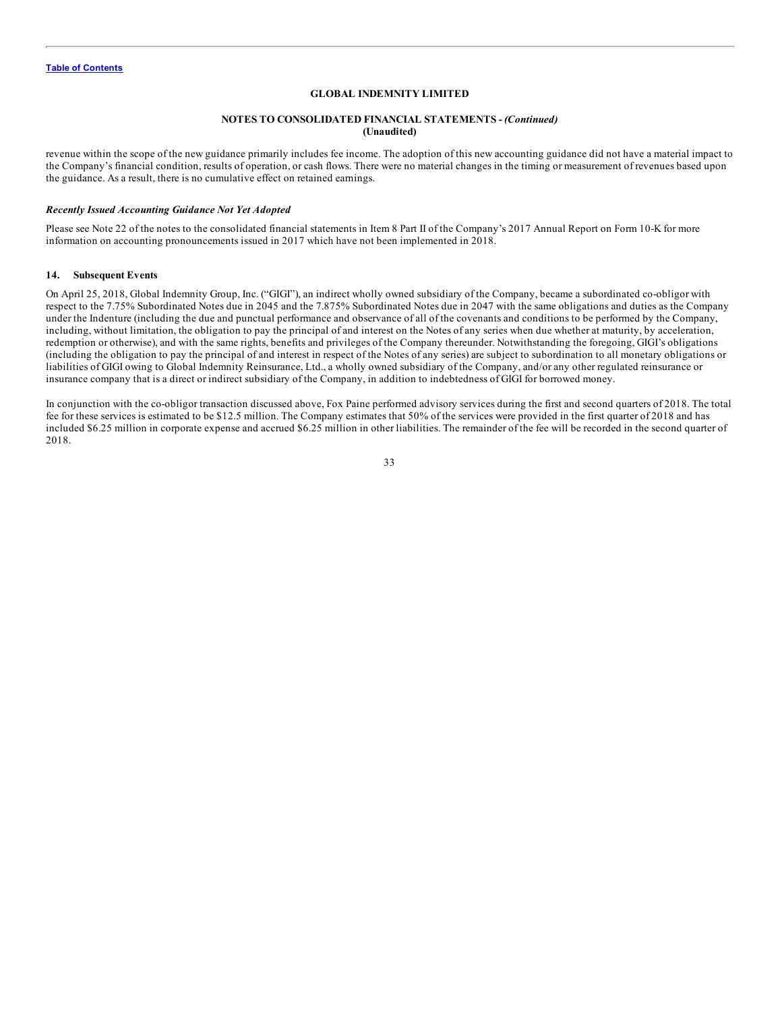# **NOTES TO CONSOLIDATED FINANCIAL STATEMENTS -** *(Continued)* **(Unaudited)**

revenue within the scope of the new guidance primarily includes fee income. The adoption of this new accounting guidance did not have a material impact to the Company's financial condition, results of operation, or cash flows. There were no material changes in the timing or measurement of revenues based upon the guidance. As a result, there is no cumulative effect on retained earnings.

#### *Recently Issued Accounting Guidance Not Yet Adopted*

Please see Note 22 of the notes to the consolidated financial statements in Item 8 Part II of the Company's 2017 Annual Report on Form 10-K for more information on accounting pronouncements issued in 2017 which have not been implemented in 2018.

#### **14. Subsequent Events**

On April 25, 2018, Global Indemnity Group, Inc. ("GIGI"), an indirect wholly owned subsidiary of the Company, became a subordinated co-obligor with respect to the 7.75% Subordinated Notes due in 2045 and the 7.875% Subordinated Notes due in 2047 with the same obligations and duties as the Company under the Indenture (including the due and punctual performance and observance of all of the covenants and conditions to be performed by the Company, including, without limitation, the obligation to pay the principal of and interest on the Notes of any series when due whether at maturity, by acceleration, redemption or otherwise), and with the same rights, benefits and privileges of the Company thereunder. Notwithstanding the foregoing, GIGI's obligations (including the obligation to pay the principal of and interest in respect of the Notes of any series) are subject to subordination to all monetary obligations or liabilities of GIGI owing to Global Indemnity Reinsurance, Ltd., a wholly owned subsidiary of the Company, and/or any other regulated reinsurance or insurance company that is a direct or indirect subsidiary of the Company, in addition to indebtedness of GIGI for borrowed money.

In conjunction with the co-obligor transaction discussed above, Fox Paine performed advisory services during the first and second quarters of 2018. The total fee for these services is estimated to be \$12.5 million. The Company estimates that 50% of the services were provided in the first quarter of 2018 and has included \$6.25 million in corporate expense and accrued \$6.25 million in other liabilities. The remainder of the fee will be recorded in the second quarter of 2018.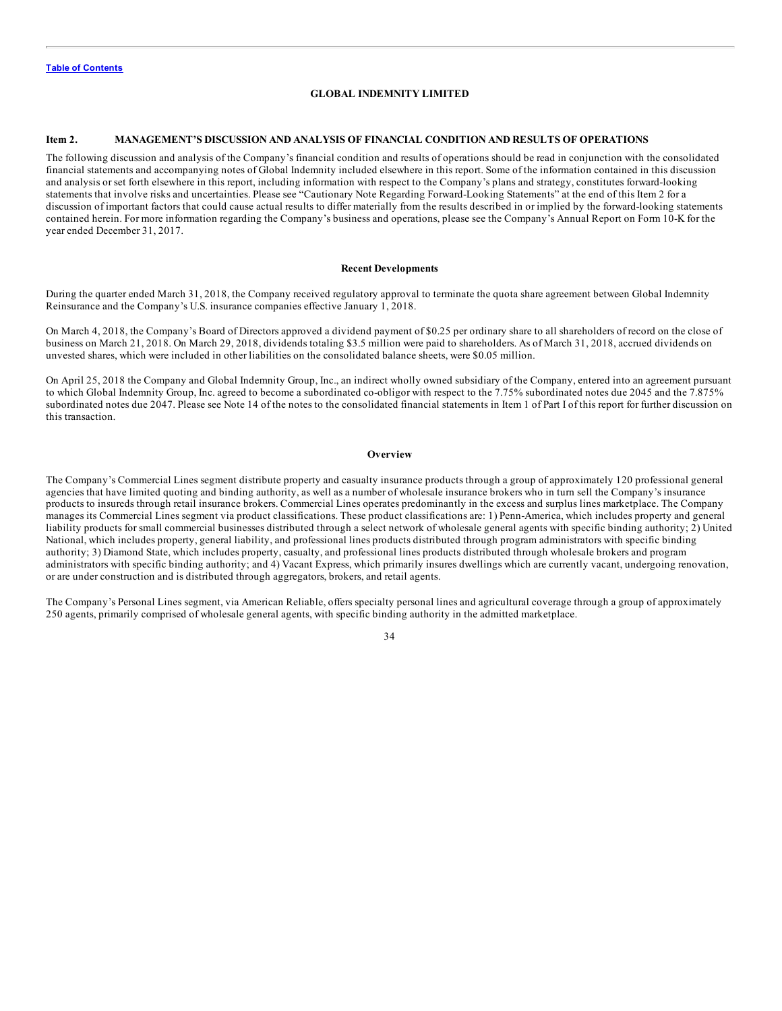## <span id="page-34-0"></span>**Item 2. MANAGEMENT'S DISCUSSION AND ANALYSIS OF FINANCIAL CONDITION AND RESULTS OF OPERATIONS**

The following discussion and analysis of the Company's financial condition and results of operations should be read in conjunction with the consolidated financial statements and accompanying notes of Global Indemnity included elsewhere in this report. Some of the information contained in this discussion and analysis or set forth elsewhere in this report, including information with respect to the Company's plans and strategy, constitutes forward-looking statements that involve risks and uncertainties. Please see "Cautionary Note Regarding Forward-Looking Statements" at the end of this Item 2 for a discussion of important factors that could cause actual results to differ materially from the results described in or implied by the forward-looking statements contained herein. For more information regarding the Company's business and operations, please see the Company's Annual Report on Form 10-K for the year ended December 31, 2017.

#### **Recent Developments**

During the quarter ended March 31, 2018, the Company received regulatory approval to terminate the quota share agreement between Global Indemnity Reinsurance and the Company's U.S. insurance companies effective January 1, 2018.

On March 4, 2018, the Company's Board of Directors approved a dividend payment of \$0.25 per ordinary share to all shareholders of record on the close of business on March 21, 2018. On March 29, 2018, dividends totaling \$3.5 million were paid to shareholders. As of March 31, 2018, accrued dividends on unvested shares, which were included in other liabilities on the consolidated balance sheets, were \$0.05 million.

On April 25, 2018 the Company and Global Indemnity Group, Inc., an indirect wholly owned subsidiary of the Company, entered into an agreement pursuant to which Global Indemnity Group, Inc. agreed to become a subordinated co-obligor with respect to the 7.75% subordinated notes due 2045 and the 7.875% subordinated notes due 2047. Please see Note 14 of the notes to the consolidated financial statements in Item 1 of Part I of this report for further discussion on this transaction.

#### **Overview**

The Company's Commercial Lines segment distribute property and casualty insurance products through a group of approximately 120 professional general agencies that have limited quoting and binding authority, as well as a number of wholesale insurance brokers who in turn sell the Company's insurance products to insureds through retail insurance brokers. Commercial Lines operates predominantly in the excess and surplus lines marketplace. The Company manages its Commercial Lines segment via product classifications. These product classifications are: 1) Penn-America, which includes property and general liability products for small commercial businesses distributed through a select network of wholesale general agents with specific binding authority; 2) United National, which includes property, general liability, and professional lines products distributed through program administrators with specific binding authority; 3) Diamond State, which includes property, casualty, and professional lines products distributed through wholesale brokers and program administrators with specific binding authority; and 4) Vacant Express, which primarily insures dwellings which are currently vacant, undergoing renovation, or are under construction and is distributed through aggregators, brokers, and retail agents.

The Company's Personal Lines segment, via American Reliable, offers specialty personal lines and agricultural coverage through a group of approximately 250 agents, primarily comprised of wholesale general agents, with specific binding authority in the admitted marketplace.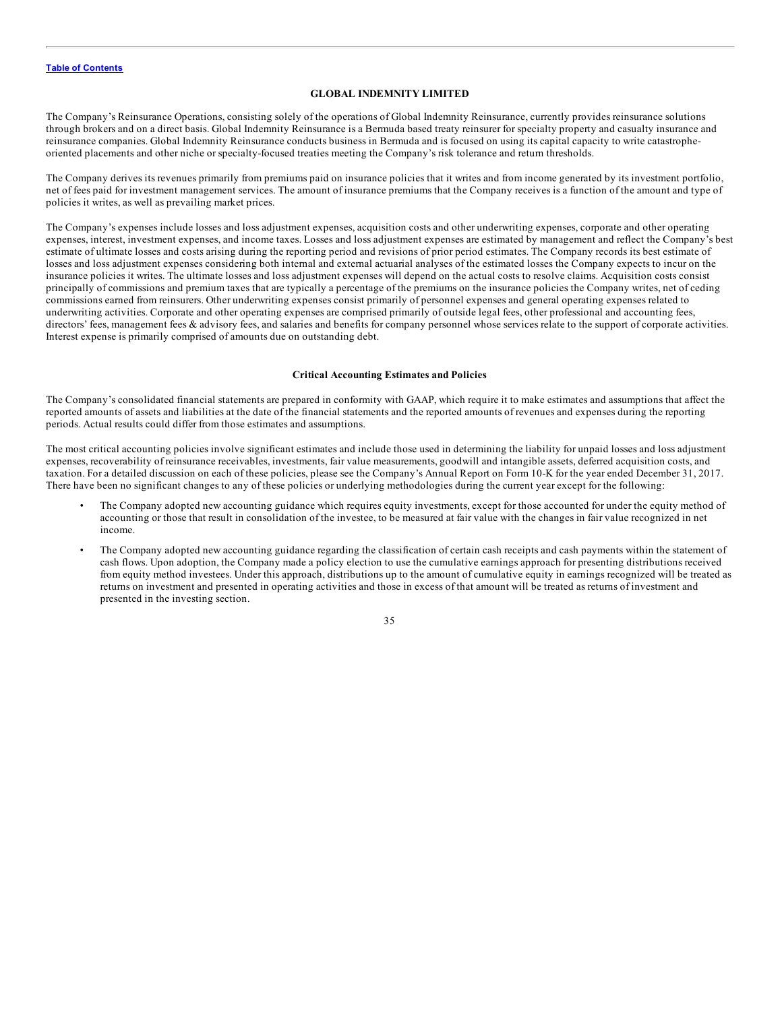#### **GLOBAL INDEMNITY LIMITED**

The Company's Reinsurance Operations, consisting solely of the operations of Global Indemnity Reinsurance, currently provides reinsurance solutions through brokers and on a direct basis. Global Indemnity Reinsurance is a Bermuda based treaty reinsurer for specialty property and casualty insurance and reinsurance companies. Global Indemnity Reinsurance conducts business in Bermuda and is focused on using its capital capacity to write catastropheoriented placements and other niche or specialty-focused treaties meeting the Company's risk tolerance and return thresholds.

The Company derives its revenues primarily from premiums paid on insurance policies that it writes and from income generated by its investment portfolio, net of fees paid for investment management services. The amount of insurance premiums that the Company receives is a function of the amount and type of policies it writes, as well as prevailing market prices.

The Company's expenses include losses and loss adjustment expenses, acquisition costs and other underwriting expenses, corporate and other operating expenses, interest, investment expenses, and income taxes. Losses and loss adjustment expenses are estimated by management and reflect the Company's best estimate of ultimate losses and costs arising during the reporting period and revisions of prior period estimates. The Company records its best estimate of losses and loss adjustment expenses considering both internal and external actuarial analyses of the estimated losses the Company expects to incur on the insurance policies it writes. The ultimate losses and loss adjustment expenses will depend on the actual costs to resolve claims. Acquisition costs consist principally of commissions and premium taxes that are typically a percentage of the premiums on the insurance policies the Company writes, net of ceding commissions earned from reinsurers. Other underwriting expenses consist primarily of personnel expenses and general operating expenses related to underwriting activities. Corporate and other operating expenses are comprised primarily of outside legal fees, other professional and accounting fees, directors' fees, management fees & advisory fees, and salaries and benefits for company personnel whose services relate to the support of corporate activities. Interest expense is primarily comprised of amounts due on outstanding debt.

#### **Critical Accounting Estimates and Policies**

The Company's consolidated financial statements are prepared in conformity with GAAP, which require it to make estimates and assumptions that affect the reported amounts of assets and liabilities at the date of the financial statements and the reported amounts of revenues and expenses during the reporting periods. Actual results could differ from those estimates and assumptions.

The most critical accounting policies involve significant estimates and include those used in determining the liability for unpaid losses and loss adjustment expenses, recoverability of reinsurance receivables, investments, fair value measurements, goodwill and intangible assets, deferred acquisition costs, and taxation. For a detailed discussion on each of these policies, please see the Company's Annual Report on Form 10-K for the year ended December 31, 2017. There have been no significant changes to any of these policies or underlying methodologies during the current year except for the following:

- The Company adopted new accounting guidance which requires equity investments, except for those accounted for under the equity method of accounting or those that result in consolidation of the investee, to be measured at fair value with the changes in fair value recognized in net income.
- The Company adopted new accounting guidance regarding the classification of certain cash receipts and cash payments within the statement of cash flows. Upon adoption, the Company made a policy election to use the cumulative earnings approach for presenting distributions received from equity method investees. Under this approach, distributions up to the amount of cumulative equity in earnings recognized will be treated as returns on investment and presented in operating activities and those in excess of that amount will be treated as returns of investment and presented in the investing section.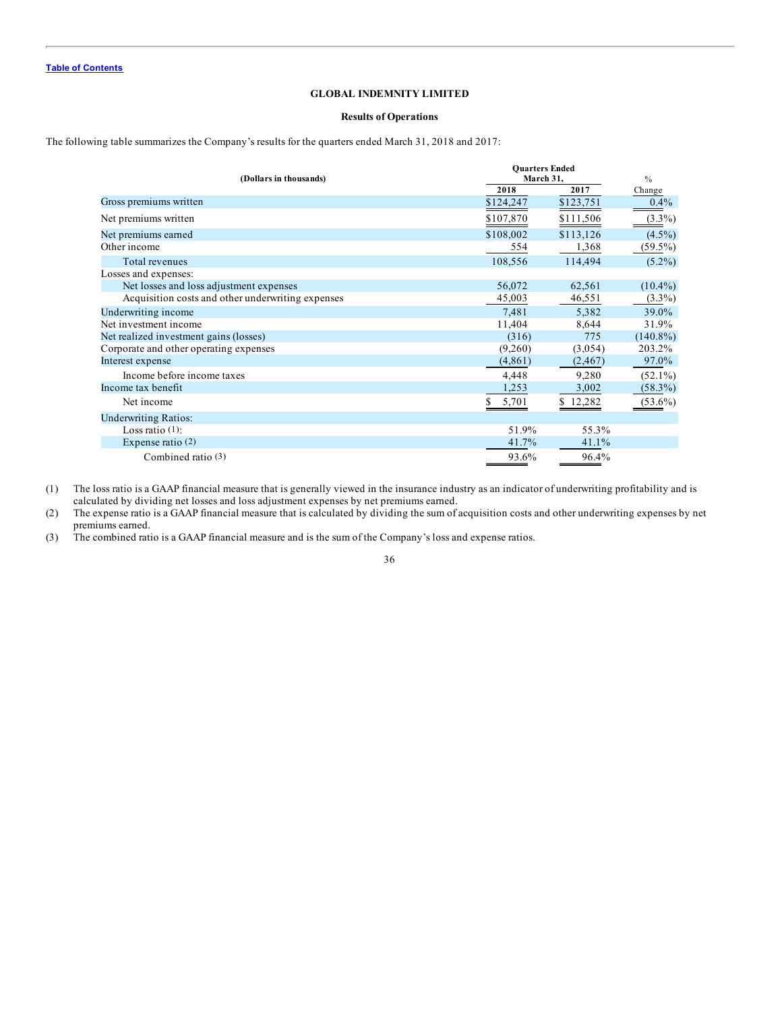# **Results of Operations**

The following table summarizes the Company's results for the quarters ended March 31, 2018 and 2017:

|                                                   | <b>Ouarters Ended</b> |           |               |  |
|---------------------------------------------------|-----------------------|-----------|---------------|--|
| (Dollars in thousands)                            | March 31,             |           | $\frac{0}{0}$ |  |
|                                                   | 2018                  | 2017      | Change        |  |
| Gross premiums written                            | \$124,247             | \$123,751 | $0.4\%$       |  |
| Net premiums written                              | \$107,870             | \$111,506 | $(3.3\%)$     |  |
| Net premiums earned                               | \$108,002             | \$113,126 | $(4.5\%)$     |  |
| Other income                                      | 554                   | 1,368     | $(59.5\%)$    |  |
| Total revenues                                    | 108,556               | 114,494   | $(5.2\%)$     |  |
| Losses and expenses:                              |                       |           |               |  |
| Net losses and loss adjustment expenses           | 56,072                | 62,561    | $(10.4\%)$    |  |
| Acquisition costs and other underwriting expenses | 45,003                | 46,551    | $(3.3\%)$     |  |
| Underwriting income                               | 7,481                 | 5,382     | 39.0%         |  |
| Net investment income                             | 11,404                | 8,644     | 31.9%         |  |
| Net realized investment gains (losses)            | (316)                 | 775       | $(140.8\%)$   |  |
| Corporate and other operating expenses            | (9,260)               | (3,054)   | 203.2%        |  |
| Interest expense                                  | (4,861)               | (2, 467)  | 97.0%         |  |
| Income before income taxes                        | 4,448                 | 9,280     | $(52.1\%)$    |  |
| Income tax benefit                                | 1,253                 | 3,002     | $(58.3\%)$    |  |
| Net income                                        | 5,701                 | \$12,282  | $(53.6\%)$    |  |
| <b>Underwriting Ratios:</b>                       |                       |           |               |  |
| Loss ratio $(1)$ :                                | 51.9%                 | 55.3%     |               |  |
| Expense ratio $(2)$                               | 41.7%                 | 41.1%     |               |  |
| Combined ratio (3)                                | 93.6%                 | 96.4%     |               |  |

(1) The loss ratio is a GAAP financial measure that is generally viewed in the insurance industry as an indicator of underwriting profitability and is calculated by dividing net losses and loss adjustment expenses by net premiums earned.

(2) The expense ratio is a GAAP financial measure that is calculated by dividing the sum of acquisition costs and other underwriting expenses by net premiums earned.

(3) The combined ratio is a GAAP financial measure and is the sum of the Company's loss and expense ratios.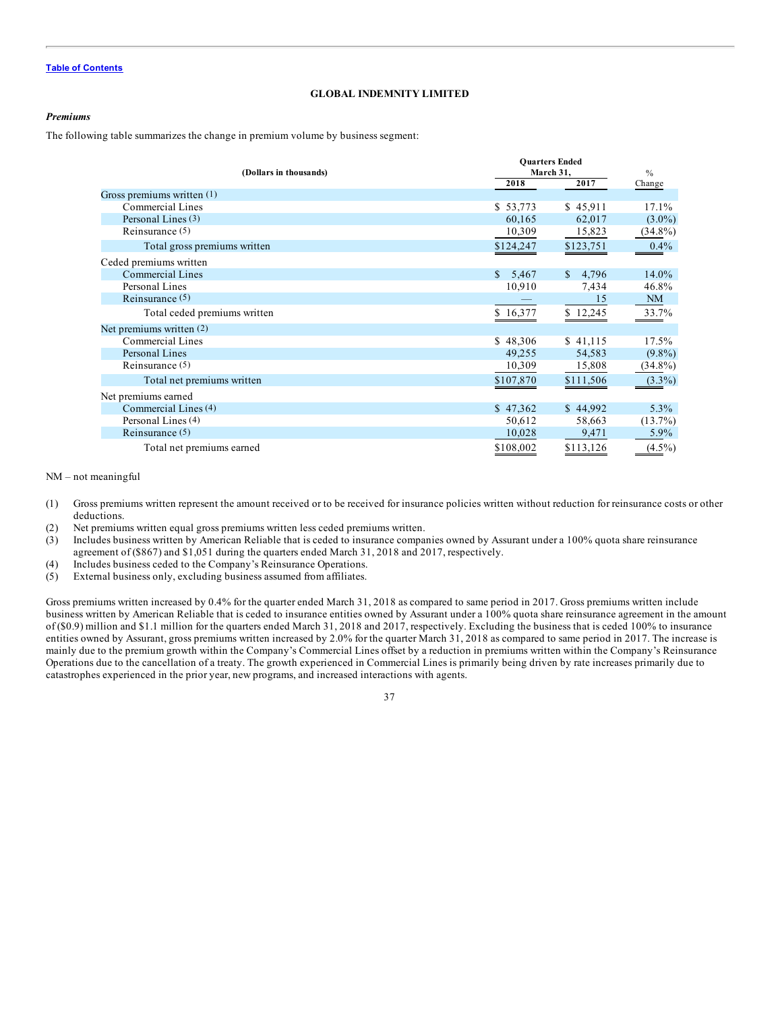#### **GLOBAL INDEMNITY LIMITED**

# *Premiums*

The following table summarizes the change in premium volume by business segment:

|                              |              | <b>Ouarters Ended</b>  |                |  |  |
|------------------------------|--------------|------------------------|----------------|--|--|
| (Dollars in thousands)       |              | March 31,              | $\frac{0}{0}$  |  |  |
|                              | 2018         | 2017                   | Change         |  |  |
| Gross premiums written $(1)$ |              |                        |                |  |  |
| Commercial Lines             | \$53,773     | \$45,911               | $17.1\%$       |  |  |
| Personal Lines $(3)$         | 60,165       | 62,017                 | $(3.0\%)$      |  |  |
| Reinsurance (5)              | 10,309       | 15,823                 | $(34.8\%)$     |  |  |
| Total gross premiums written | \$124,247    | \$123,751              | 0.4%           |  |  |
| Ceded premiums written       |              |                        |                |  |  |
| Commercial Lines             | \$.<br>5,467 | 4,796<br><sup>\$</sup> | 14.0%          |  |  |
| Personal Lines               | 10,910       | 7,434                  | 46.8%          |  |  |
| Reinsurance $(5)$            |              | 15                     | N <sub>M</sub> |  |  |
| Total ceded premiums written | \$16,377     | \$12,245               | 33.7%          |  |  |
| Net premiums written (2)     |              |                        |                |  |  |
| Commercial Lines             | \$48,306     | \$41,115               | 17.5%          |  |  |
| Personal Lines               | 49,255       | 54,583                 | $(9.8\%)$      |  |  |
| Reinsurance (5)              | 10,309       | 15,808                 | $(34.8\%)$     |  |  |
| Total net premiums written   | \$107,870    | \$111,506              | $(3.3\%)$      |  |  |
| Net premiums earned          |              |                        |                |  |  |
| Commercial Lines (4)         | \$47,362     | \$44,992               | $5.3\%$        |  |  |
| Personal Lines (4)           | 50,612       | 58,663                 | $(13.7\%)$     |  |  |
| Reinsurance $(5)$            | 10,028       | 9,471                  | 5.9%           |  |  |
| Total net premiums earned    | \$108,002    | \$113,126              | $(4.5\%)$      |  |  |

#### NM – not meaningful

- (1) Gross premiums written represent the amount received or to be received for insurance policies written without reduction for reinsurance costs or other deductions.
- (2) Net premiums written equal gross premiums written less ceded premiums written.
- (3) Includes business written by American Reliable that is ceded to insurance companies owned by Assurant under a 100% quota share reinsurance agreement of (\$867) and \$1,051 during the quarters ended March 31, 2018 and 2017, respectively.
- (4) Includes business ceded to the Company's Reinsurance Operations.
- (5) External business only, excluding business assumed from affiliates.

Gross premiums written increased by 0.4% for the quarter ended March 31, 2018 as compared to same period in 2017. Gross premiums written include business written by American Reliable that is ceded to insurance entities owned by Assurant under a 100% quota share reinsurance agreement in the amount of (\$0.9) million and \$1.1 million for the quarters ended March 31, 2018 and 2017, respectively. Excluding the business that is ceded 100% to insurance entities owned by Assurant, gross premiums written increased by 2.0% for the quarter March 31, 2018 as compared to same period in 2017. The increase is mainly due to the premium growth within the Company's Commercial Lines offset by a reduction in premiums written within the Company's Reinsurance Operations due to the cancellation of a treaty. The growth experienced in Commercial Lines is primarily being driven by rate increases primarily due to catastrophes experienced in the prior year, new programs, and increased interactions with agents.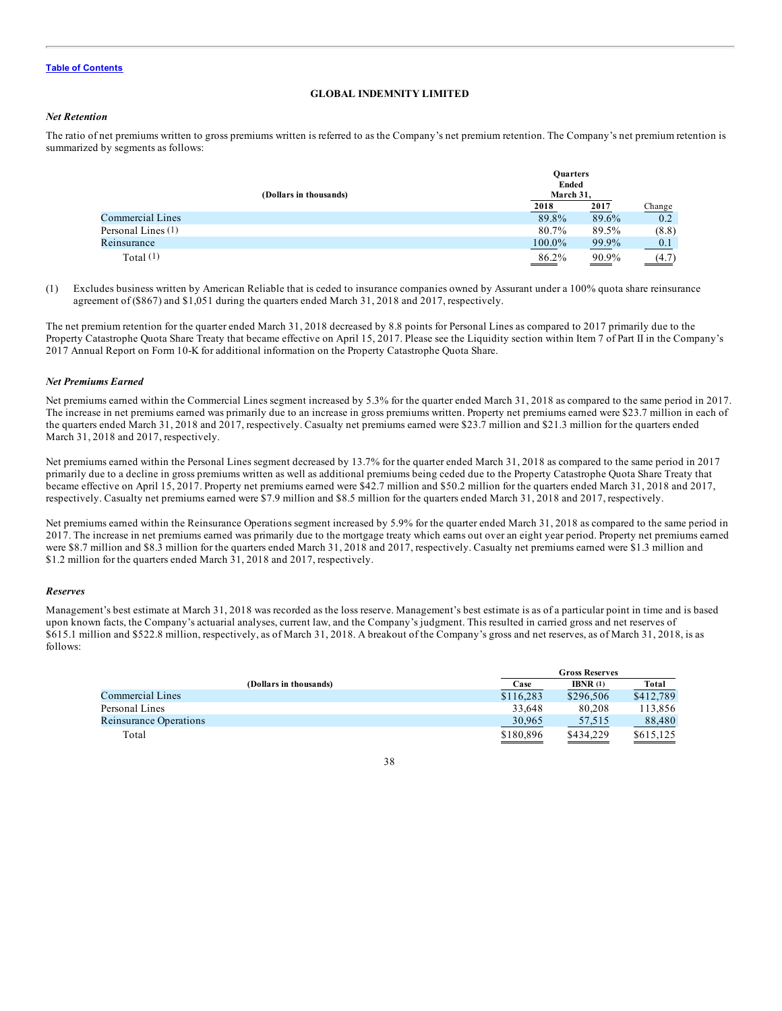#### **GLOBAL INDEMNITY LIMITED**

# *Net Retention*

The ratio of net premiums written to gross premiums written is referred to as the Company's net premium retention. The Company's net premium retention is summarized by segments as follows:

| (Dollars in thousands) |                                   | <b>Ouarters</b><br>Ended<br>March 31. |        |  |
|------------------------|-----------------------------------|---------------------------------------|--------|--|
|                        | 2018                              | 2017                                  | Change |  |
| Commercial Lines       | 89.8%                             | 89.6%                                 | 0.2    |  |
| Personal Lines (1)     | 80.7%                             | 89.5%                                 | (8.8)  |  |
| Reinsurance            | 100.0%                            | 99.9%                                 | 0.1    |  |
| Total $(1)$            | 86.2%<br>$\overline{\phantom{a}}$ | 90.9%<br>$\equiv$ $\equiv$            | (4.7)  |  |

(1) Excludes business written by American Reliable that is ceded to insurance companies owned by Assurant under a 100% quota share reinsurance agreement of (\$867) and \$1,051 during the quarters ended March 31, 2018 and 2017, respectively.

The net premium retention for the quarter ended March 31, 2018 decreased by 8.8 points for Personal Lines as compared to 2017 primarily due to the Property Catastrophe Quota Share Treaty that became effective on April 15, 2017. Please see the Liquidity section within Item 7 of Part II in the Company's 2017 Annual Report on Form 10-K for additional information on the Property Catastrophe Quota Share.

#### *Net Premiums Earned*

Net premiums earned within the Commercial Lines segment increased by 5.3% for the quarter ended March 31, 2018 as compared to the same period in 2017. The increase in net premiums earned was primarily due to an increase in gross premiums written. Property net premiums earned were \$23.7 million in each of the quarters ended March 31, 2018 and 2017, respectively. Casualty net premiums earned were \$23.7 million and \$21.3 million for the quarters ended March 31, 2018 and 2017, respectively.

Net premiums earned within the Personal Lines segment decreased by 13.7% for the quarter ended March 31, 2018 as compared to the same period in 2017 primarily due to a decline in gross premiums written as well as additional premiums being ceded due to the Property Catastrophe Quota Share Treaty that became effective on April 15, 2017. Property net premiums earned were \$42.7 million and \$50.2 million for the quarters ended March 31, 2018 and 2017, respectively. Casualty net premiums earned were \$7.9 million and \$8.5 million for the quarters ended March 31, 2018 and 2017, respectively.

Net premiums earned within the Reinsurance Operations segment increased by 5.9% for the quarter ended March 31, 2018 as compared to the same period in 2017. The increase in net premiums earned was primarily due to the mortgage treaty which earns out over an eight year period. Property net premiums earned were \$8.7 million and \$8.3 million for the quarters ended March 31, 2018 and 2017, respectively. Casualty net premiums earned were \$1.3 million and \$1.2 million for the quarters ended March 31, 2018 and 2017, respectively.

#### *Reserves*

Management's best estimate at March 31, 2018 was recorded as the loss reserve. Management's best estimate is as of a particular point in time and is based upon known facts, the Company's actuarial analyses, current law, and the Company's judgment. This resulted in carried gross and net reserves of \$615.1 million and \$522.8 million, respectively, as of March 31, 2018. A breakout of the Company's gross and net reserves, as of March 31, 2018, is as follows:

|                               |           | <b>Gross Reserves</b> |           |  |  |
|-------------------------------|-----------|-----------------------|-----------|--|--|
| (Dollars in thousands)        | Case      | IBNR(1)               | Total     |  |  |
| Commercial Lines              | \$116,283 | \$296,506             | \$412,789 |  |  |
| Personal Lines                | 33.648    | 80.208                | 113.856   |  |  |
| <b>Reinsurance Operations</b> | 30,965    | 57.515                | 88,480    |  |  |
| Total                         | \$180,896 | \$434.229             | \$615,125 |  |  |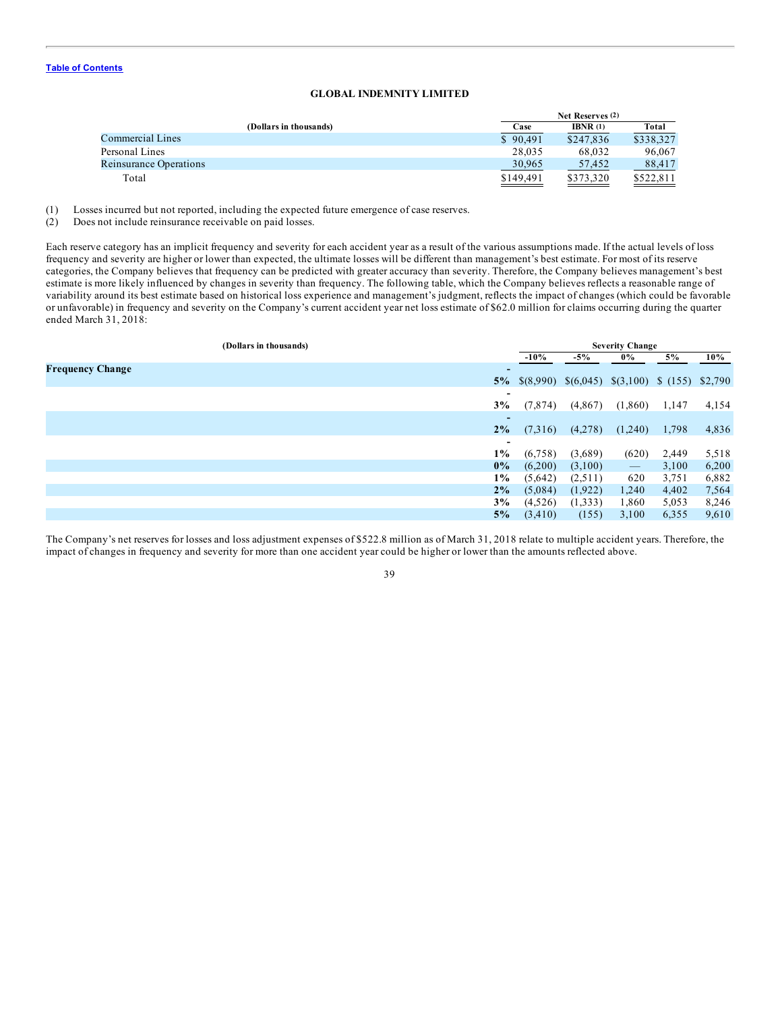# **GLOBAL INDEMNITY LIMITED**

|                               |           | Net Reserves (2) |           |  |  |
|-------------------------------|-----------|------------------|-----------|--|--|
| (Dollars in thousands)        | Case      | IBNR $(1)$       | Total     |  |  |
| Commercial Lines              | \$90.491  | \$247,836        | \$338,327 |  |  |
| Personal Lines                | 28,035    | 68,032           | 96,067    |  |  |
| <b>Reinsurance Operations</b> | 30,965    | 57.452           | 88,417    |  |  |
| Total                         | \$149.491 | \$373.320        | \$522.811 |  |  |

(1) Losses incurred but not reported, including the expected future emergence of case reserves.

Each reserve category has an implicit frequency and severity for each accident year as a result of the various assumptions made. If the actual levels of loss frequency and severity are higher or lower than expected, the ultimate losses will be different than management's best estimate. For most of its reserve categories, the Company believes that frequency can be predicted with greater accuracy than severity. Therefore, the Company believes management's best estimate is more likely influenced by changes in severity than frequency. The following table, which the Company believes reflects a reasonable range of variability around its best estimate based on historical loss experience and management's judgment, reflects the impact of changes (which could be favorable or unfavorable) in frequency and severity on the Company's current accident year net loss estimate of \$62.0 million for claims occurring during the quarter ended March 31, 2018:

| (Dollars in thousands)  |                | <b>Severity Change</b> |           |                                 |       |        |
|-------------------------|----------------|------------------------|-----------|---------------------------------|-------|--------|
|                         |                | $-10%$                 | $-5\%$    | $0\%$                           | 5%    | $10\%$ |
| <b>Frequency Change</b> |                |                        |           |                                 |       |        |
|                         |                | 5% $$(8,990)$          | \$(6,045) | $$(3,100) \$ (155) \$2,790$     |       |        |
|                         |                |                        |           |                                 |       |        |
|                         | 3%             | (7,874)                | (4,867)   | (1,860)                         | 1,147 | 4,154  |
|                         |                |                        |           |                                 |       |        |
|                         | $2\%$          | (7,316)                | (4,278)   | (1,240)                         | 1,798 | 4,836  |
|                         | $\blacksquare$ |                        |           |                                 |       |        |
|                         | $1\%$          | (6,758)                | (3,689)   | (620)                           | 2,449 | 5,518  |
|                         | $0\%$          | (6,200)                | (3,100)   | $\hspace{0.1mm}-\hspace{0.1mm}$ | 3,100 | 6,200  |
|                         | $1\%$          | (5,642)                | (2,511)   | 620                             | 3,751 | 6,882  |
|                         | 2%             | (5,084)                | (1,922)   | 1,240                           | 4,402 | 7,564  |
|                         | 3%             | (4,526)                | (1, 333)  | 1,860                           | 5,053 | 8,246  |
|                         | 5%             | (3,410)                | (155)     | 3,100                           | 6,355 | 9,610  |

The Company's net reserves for losses and loss adjustment expenses of \$522.8 million as of March 31, 2018 relate to multiple accident years. Therefore, the impact of changes in frequency and severity for more than one accident year could be higher or lower than the amounts reflected above.

<sup>(2)</sup> Does not include reinsurance receivable on paid losses.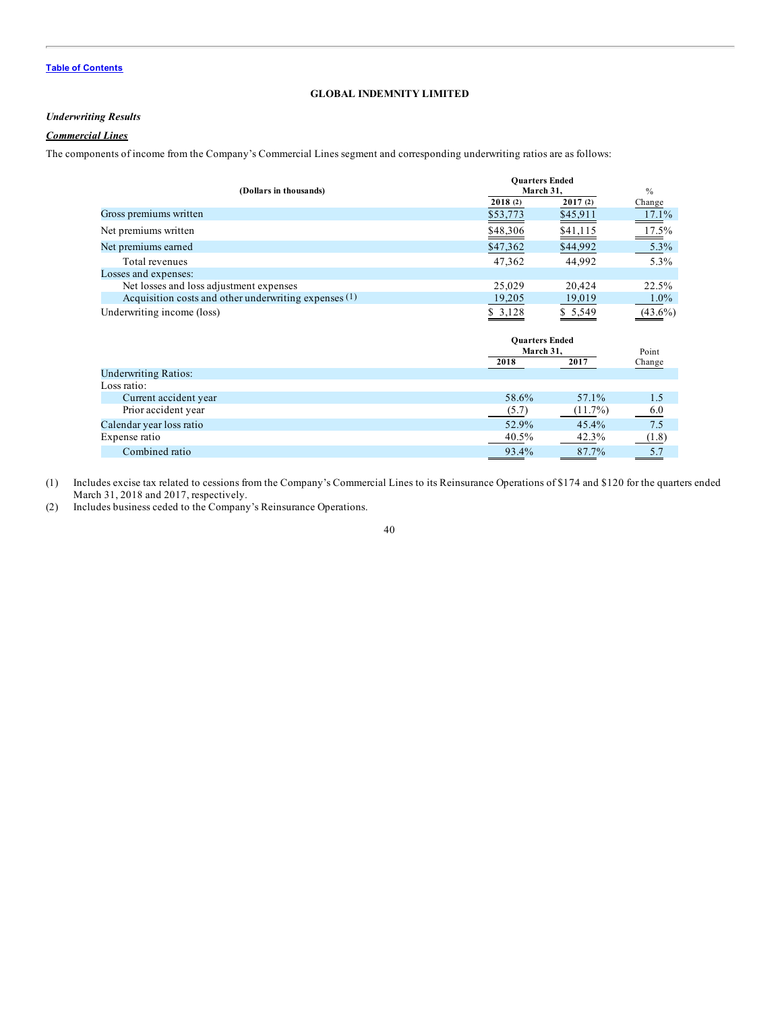# **GLOBAL INDEMNITY LIMITED**

# *Underwriting Results*

# *Commercial Lines*

The components of income from the Company's Commercial Lines segment and corresponding underwriting ratios are as follows:

| (Dollars in thousands)                                  | March 31. | <b>Ouarters Ended</b> | $\frac{0}{0}$        |  |
|---------------------------------------------------------|-----------|-----------------------|----------------------|--|
|                                                         | 2018(2)   | 2017(2)               | Change               |  |
| Gross premiums written                                  | \$53,773  | \$45,911              | 17.1%                |  |
| Net premiums written                                    | \$48,306  | \$41,115              | $17.5\%$             |  |
| Net premiums earned                                     | \$47,362  | \$44,992              | $5.3\%$              |  |
| Total revenues                                          | 47,362    | 44,992                | $5.3\%$              |  |
| Losses and expenses:                                    |           |                       |                      |  |
| Net losses and loss adjustment expenses                 | 25,029    | 20.424                | 22.5%                |  |
| Acquisition costs and other underwriting expenses $(1)$ | 19,205    | 19,019                | $1.0\%$              |  |
| Underwriting income (loss)                              | \$3,128   | \$5,549               | $\frac{(43.6\%)}{2}$ |  |

|                             |       | <b>Ouarters Ended</b><br>March 31, |        | Point |
|-----------------------------|-------|------------------------------------|--------|-------|
|                             | 2018  | 2017                               | Change |       |
| <b>Underwriting Ratios:</b> |       |                                    |        |       |
| Loss ratio:                 |       |                                    |        |       |
| Current accident year       | 58.6% | 57.1%                              | 1.5    |       |
| Prior accident year         | (5.7) | $(11.7\%)$                         | 6.0    |       |
| Calendar year loss ratio    | 52.9% | 45.4%                              | 7.5    |       |
| Expense ratio               | 40.5% | 42.3%                              | (1.8)  |       |
| Combined ratio              | 93.4% | 87.7%                              | 5.7    |       |
|                             |       |                                    |        |       |

(1) Includes excise tax related to cessions from the Company's Commercial Lines to its Reinsurance Operations of \$174 and \$120 for the quarters ended March 31, 2018 and 2017, respectively.

(2) Includes business ceded to the Company's Reinsurance Operations.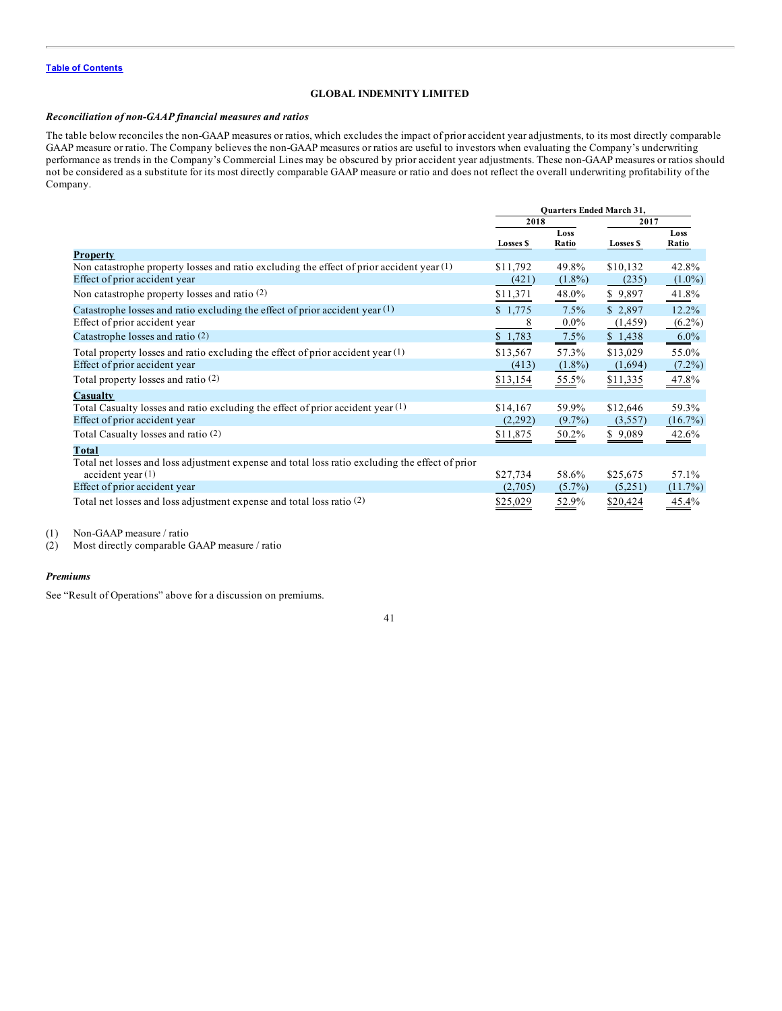# **GLOBAL INDEMNITY LIMITED**

#### *Reconciliation of non-GAAP financial measures and ratios*

The table below reconciles the non-GAAP measures or ratios, which excludes the impact of prior accident year adjustments, to its most directly comparable GAAP measure or ratio. The Company believes the non-GAAP measures or ratios are useful to investors when evaluating the Company's underwriting performance as trends in the Company's Commercial Lines may be obscured by prior accident year adjustments. These non-GAAP measures or ratios should not be considered as a substitute for its most directly comparable GAAP measure or ratio and does not reflect the overall underwriting profitability of the Company.

|                                                                                                                     | Quarters Ended March 31, |           |                  |            |
|---------------------------------------------------------------------------------------------------------------------|--------------------------|-----------|------------------|------------|
|                                                                                                                     | 2018                     |           | 2017             |            |
|                                                                                                                     |                          | Loss      |                  | Loss       |
|                                                                                                                     | <b>Losses \$</b>         | Ratio     | <b>Losses \$</b> | Ratio      |
| <b>Property</b>                                                                                                     |                          |           |                  |            |
| Non catastrophe property losses and ratio excluding the effect of prior accident year $(1)$                         | \$11,792                 | 49.8%     | \$10,132         | 42.8%      |
| Effect of prior accident year                                                                                       | (421)                    | $(1.8\%)$ | (235)            | $(1.0\%)$  |
| Non catastrophe property losses and ratio (2)                                                                       | \$11,371                 | $48.0\%$  | \$9,897          | 41.8%      |
| Catastrophe losses and ratio excluding the effect of prior accident year $(1)$                                      | \$1,775                  | 7.5%      | \$2,897          | 12.2%      |
| Effect of prior accident year                                                                                       | 8                        | $0.0\%$   | (1, 459)         | $(6.2\%)$  |
| Catastrophe losses and ratio $(2)$                                                                                  | \$1,783                  | 7.5%      | \$1,438          | $6.0\%$    |
| Total property losses and ratio excluding the effect of prior accident year $(1)$                                   | \$13,567                 | 57.3%     | \$13,029         | 55.0%      |
| Effect of prior accident year                                                                                       | (413)                    | $(1.8\%)$ | (1,694)          | $(7.2\%)$  |
| Total property losses and ratio (2)                                                                                 | \$13,154                 | 55.5%     | \$11,335         | 47.8%      |
| Casualty                                                                                                            |                          |           |                  |            |
| Total Casualty losses and ratio excluding the effect of prior accident year $(1)$                                   | \$14,167                 | 59.9%     | \$12,646         | 59.3%      |
| Effect of prior accident year                                                                                       | (2,292)                  | $(9.7\%)$ | (3,557)          | $(16.7\%)$ |
| Total Casualty losses and ratio (2)                                                                                 | \$11,875                 | $50.2\%$  | \$9,089          | 42.6%      |
| Total                                                                                                               |                          |           |                  |            |
| Total net losses and loss adjustment expense and total loss ratio excluding the effect of prior<br>accident year(1) | \$27,734                 | 58.6%     | \$25,675         | 57.1%      |
| Effect of prior accident year                                                                                       | (2,705)                  | $(5.7\%)$ | (5,251)          | $(11.7\%)$ |
| Total net losses and loss adjustment expense and total loss ratio (2)                                               | \$25,029                 | 52.9%     | \$20,424         | 45.4%      |

(1) Non-GAAP measure / ratio

(2) Most directly comparable GAAP measure / ratio

# *Premiums*

See "Result of Operations" above for a discussion on premiums.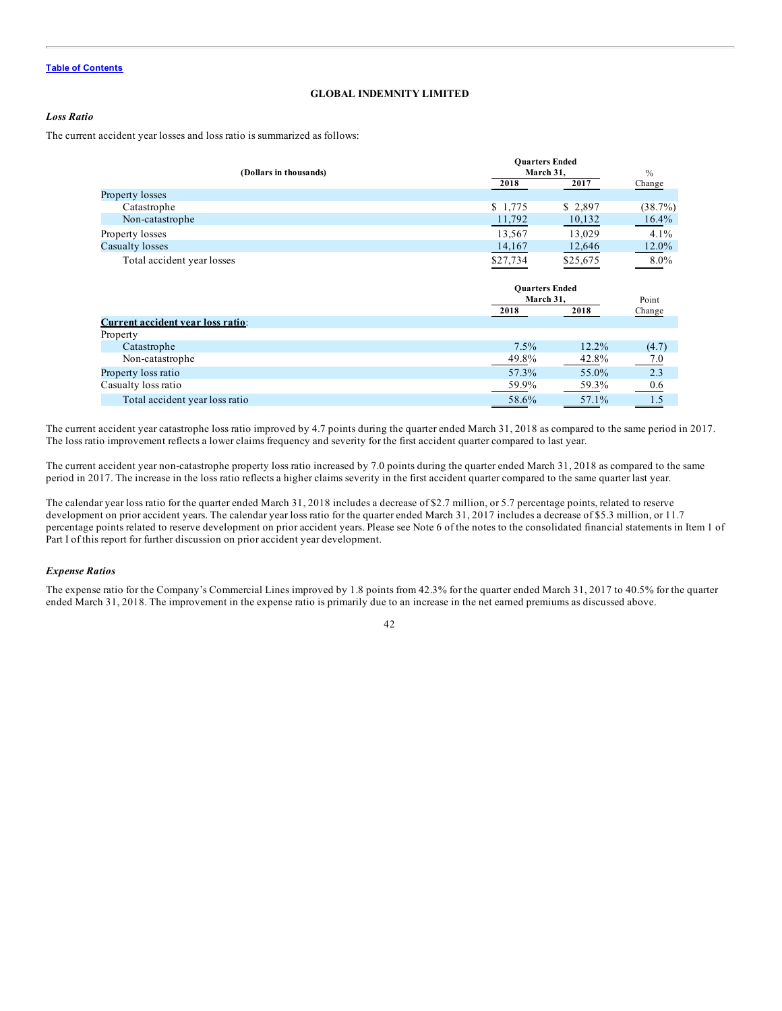#### **GLOBAL INDEMNITY LIMITED**

# *Loss Ratio*

The current accident year losses and loss ratio is summarized as follows:

| (Dollars in thousands)            | <b>Quarters Ended</b><br>March 31, |          | $\frac{0}{0}$ |
|-----------------------------------|------------------------------------|----------|---------------|
|                                   | 2018                               | 2017     | Change        |
| Property losses                   |                                    |          |               |
| Catastrophe                       | \$1,775                            | \$2,897  | (38.7%)       |
| Non-catastrophe                   | 11,792                             | 10,132   | 16.4%         |
| Property losses                   | 13,567                             | 13,029   | $4.1\%$       |
| Casualty losses                   | 14,167                             | 12,646   | 12.0%         |
| Total accident year losses        | \$27,734                           | \$25,675 | $8.0\%$       |
|                                   |                                    |          |               |
|                                   | <b>Ouarters Ended</b><br>March 31, |          | Point         |
|                                   | 2018                               | 2018     | Change        |
| Current accident year loss ratio: |                                    |          |               |
| Property                          |                                    |          |               |
| Catastrophe                       | 7.5%                               | $12.2\%$ | (4.7)         |
| Non-catastrophe                   | 49.8%                              | 42.8%    | 7.0           |
| Property loss ratio               | 57.3%                              | 55.0%    | 2.3           |
| Casualty loss ratio               | 59.9%                              | 59.3%    | 0.6           |

The current accident year catastrophe loss ratio improved by 4.7 points during the quarter ended March 31, 2018 as compared to the same period in 2017. The loss ratio improvement reflects a lower claims frequency and severity for the first accident quarter compared to last year.

The current accident year non-catastrophe property loss ratio increased by 7.0 points during the quarter ended March 31, 2018 as compared to the same period in 2017. The increase in the loss ratio reflects a higher claims severity in the first accident quarter compared to the same quarter last year.

The calendar year loss ratio for the quarter ended March 31, 2018 includes a decrease of \$2.7 million, or 5.7 percentage points, related to reserve development on prior accident years. The calendar year loss ratio for the quarter ended March 31, 2017 includes a decrease of \$5.3 million, or 11.7 percentage points related to reserve development on prior accident years. Please see Note 6 of the notes to the consolidated financial statements in Item 1 of Part I of this report for further discussion on prior accident year development.

# *Expense Ratios*

The expense ratio for the Company's Commercial Lines improved by 1.8 points from 42.3% for the quarter ended March 31, 2017 to 40.5% for the quarter ended March 31, 2018. The improvement in the expense ratio is primarily due to an increase in the net earned premiums as discussed above.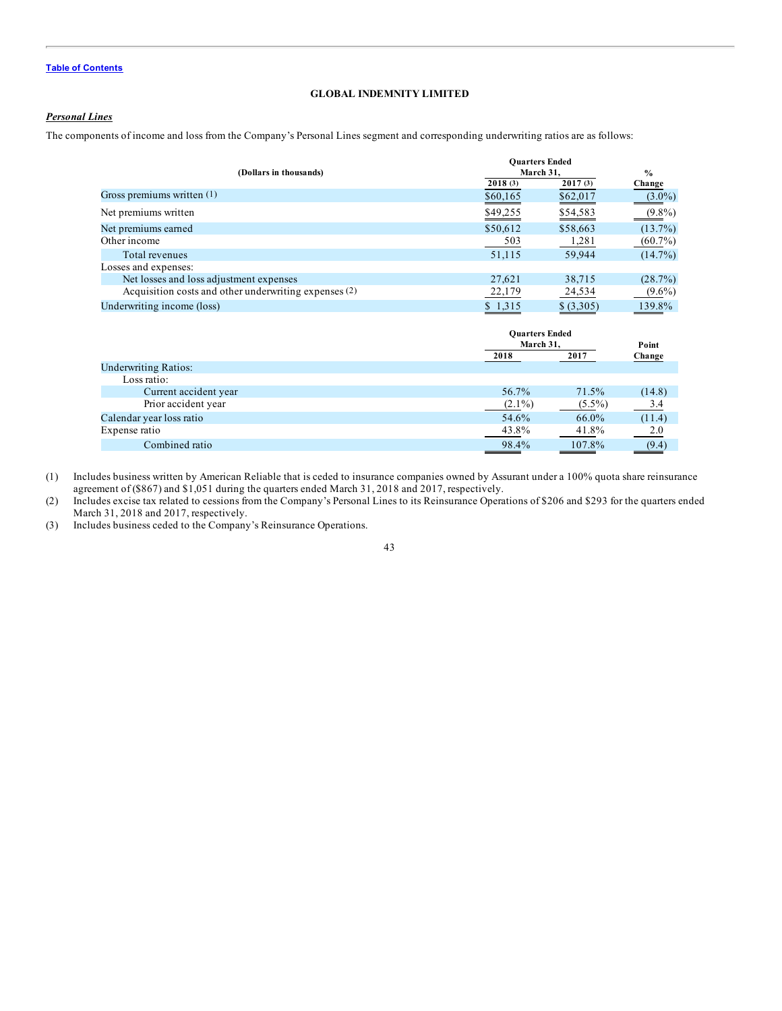# **GLOBAL INDEMNITY LIMITED**

# *Personal Lines*

The components of income and loss from the Company's Personal Lines segment and corresponding underwriting ratios are as follows:

| (Dollars in thousands)                                |          | <b>Ouarters Ended</b><br>March 31, |            |
|-------------------------------------------------------|----------|------------------------------------|------------|
|                                                       | 2018(3)  | 2017(3)                            | Change     |
| Gross premiums written $(1)$                          | \$60,165 | \$62,017                           | $(3.0\%)$  |
| Net premiums written                                  | \$49,255 | \$54,583                           | $(9.8\%)$  |
| Net premiums earned                                   | \$50,612 | \$58,663                           | $(13.7\%)$ |
| Other income                                          | 503      | 1,281                              | $(60.7\%)$ |
| Total revenues                                        | 51,115   | 59,944                             | $(14.7\%)$ |
| Losses and expenses:                                  |          |                                    |            |
| Net losses and loss adjustment expenses               | 27,621   | 38,715                             | (28.7%)    |
| Acquisition costs and other underwriting expenses (2) | 22,179   | 24,534                             | $(9.6\%)$  |
| Underwriting income (loss)                            | \$1,315  | \$ (3,305)                         | 139.8%     |

|                             |           | <b>Ouarters Ended</b><br>March 31, |                 |
|-----------------------------|-----------|------------------------------------|-----------------|
|                             | 2018      | 2017                               | Change          |
| <b>Underwriting Ratios:</b> |           |                                    |                 |
| Loss ratio:                 |           |                                    |                 |
| Current accident year       | 56.7%     | 71.5%                              | (14.8)          |
| Prior accident year         | $(2.1\%)$ | $(5.5\%)$                          | $\frac{3.4}{2}$ |
| Calendar year loss ratio    | 54.6%     | 66.0%                              | (11.4)          |
| Expense ratio               | 43.8%     | 41.8%                              | 2.0             |
| Combined ratio              | 98.4%     | 107.8%                             | (9.4)           |

(1) Includes business written by American Reliable that is ceded to insurance companies owned by Assurant under a 100% quota share reinsurance agreement of (\$867) and \$1,051 during the quarters ended March 31, 2018 and 2017, respectively.

(2) Includes excise tax related to cessions from the Company's Personal Lines to its Reinsurance Operations of \$206 and \$293 for the quarters ended March 31, 2018 and 2017, respectively.

(3) Includes business ceded to the Company's Reinsurance Operations.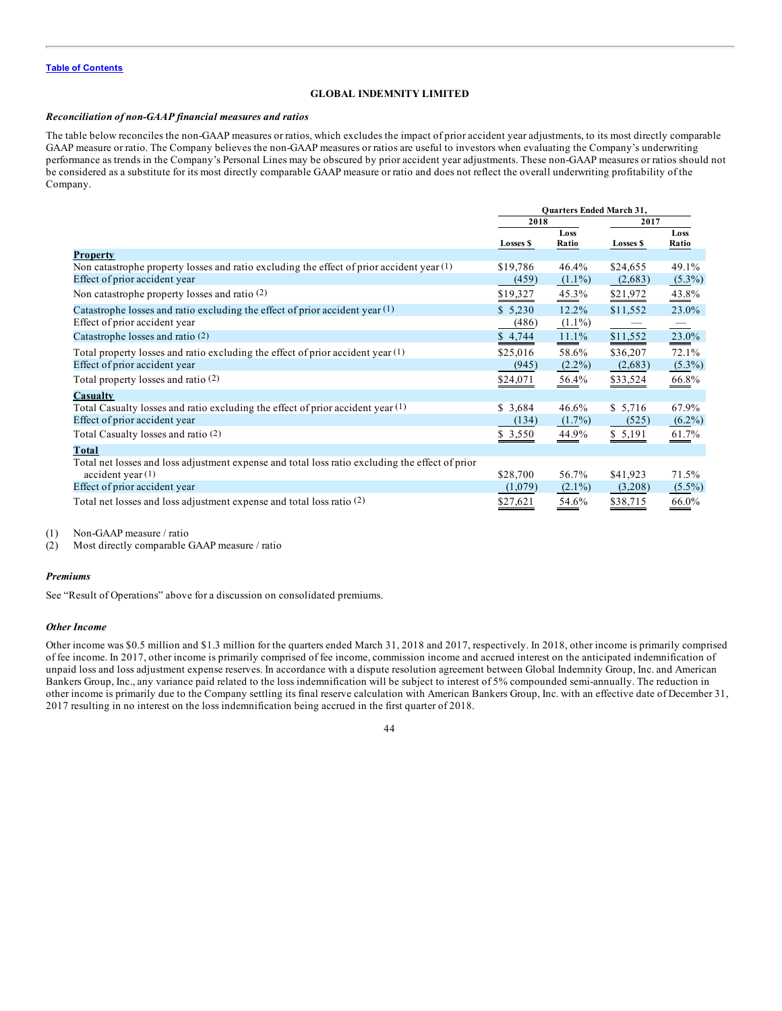#### **GLOBAL INDEMNITY LIMITED**

## *Reconciliation of non-GAAP financial measures and ratios*

The table below reconciles the non-GAAP measures or ratios, which excludes the impact of prior accident year adjustments, to its most directly comparable GAAP measure or ratio. The Company believes the non-GAAP measures or ratios are useful to investors when evaluating the Company's underwriting performance as trends in the Company's Personal Lines may be obscured by prior accident year adjustments. These non-GAAP measures or ratios should not be considered as a substitute for its most directly comparable GAAP measure or ratio and does not reflect the overall underwriting profitability of the Company.

|                                                                                                                          | Quarters Ended March 31, |                         |                  |                    |
|--------------------------------------------------------------------------------------------------------------------------|--------------------------|-------------------------|------------------|--------------------|
|                                                                                                                          | 2018                     |                         | 2017             |                    |
|                                                                                                                          |                          | Loss                    |                  | Loss               |
|                                                                                                                          | Losses \$                | Ratio                   | <b>Losses \$</b> | Ratio              |
| <b>Property</b>                                                                                                          |                          |                         |                  |                    |
| Non catastrophe property losses and ratio excluding the effect of prior accident year $(1)$                              | \$19,786                 | 46.4%                   | \$24,655         | 49.1%              |
| Effect of prior accident year                                                                                            | (459)                    | $(1.1\%)$               | (2,683)          | $(5.3\%)$          |
| Non catastrophe property losses and ratio (2)                                                                            | \$19,327                 | $\frac{45.3\%}{45.3\%}$ | \$21,972         | $\frac{43.8\%}{2}$ |
| Catastrophe losses and ratio excluding the effect of prior accident year $(1)$                                           | \$5,230                  | 12.2%                   | \$11,552         | 23.0%              |
| Effect of prior accident year                                                                                            | (486)                    | $(1.1\%)$               |                  | $\equiv$           |
| Catastrophe losses and ratio $(2)$                                                                                       | \$4,744                  | 11.1%                   | \$11,552         | 23.0%              |
| Total property losses and ratio excluding the effect of prior accident year $(1)$                                        | \$25,016                 | 58.6%                   | \$36,207         | 72.1%              |
| Effect of prior accident year                                                                                            | (945)                    | $(2.2\%)$               | (2,683)          | $(5.3\%)$          |
| Total property losses and ratio (2)                                                                                      | \$24,071                 | 56.4%                   | \$33,524         | $66.8\%$           |
| Casualty                                                                                                                 |                          |                         |                  |                    |
| Total Casualty losses and ratio excluding the effect of prior accident year $(1)$                                        | \$ 3,684                 | 46.6%                   | \$5,716          | 67.9%              |
| Effect of prior accident year                                                                                            | (134)                    | $(1.7\%)$               | (525)            | $(6.2\%)$          |
| Total Casualty losses and ratio (2)                                                                                      | \$3,550                  | 44.9%                   | \$5,191          | $61.7\%$           |
| <b>Total</b>                                                                                                             |                          |                         |                  |                    |
| Total net losses and loss adjustment expense and total loss ratio excluding the effect of prior<br>$accident$ vear $(1)$ | \$28,700                 | 56.7%                   | \$41,923         | 71.5%              |
| Effect of prior accident year                                                                                            | (1,079)                  | $(2.1\%)$               | (3,208)          | $(5.5\%)$          |
| Total net losses and loss adjustment expense and total loss ratio (2)                                                    | \$27,621                 | 54.6%                   | \$38,715         | 66.0%              |

(1) Non-GAAP measure / ratio

(2) Most directly comparable GAAP measure / ratio

#### *Premiums*

See "Result of Operations" above for a discussion on consolidated premiums.

#### *Other Income*

Other income was \$0.5 million and \$1.3 million for the quarters ended March 31, 2018 and 2017, respectively. In 2018, other income is primarily comprised of fee income. In 2017, other income is primarily comprised of fee income, commission income and accrued interest on the anticipated indemnification of unpaid loss and loss adjustment expense reserves. In accordance with a dispute resolution agreement between Global Indemnity Group, Inc. and American Bankers Group, Inc., any variance paid related to the loss indemnification will be subject to interest of 5% compounded semi-annually. The reduction in other income is primarily due to the Company settling its final reserve calculation with American Bankers Group, Inc. with an effective date of December 31, 2017 resulting in no interest on the loss indemnification being accrued in the first quarter of 2018.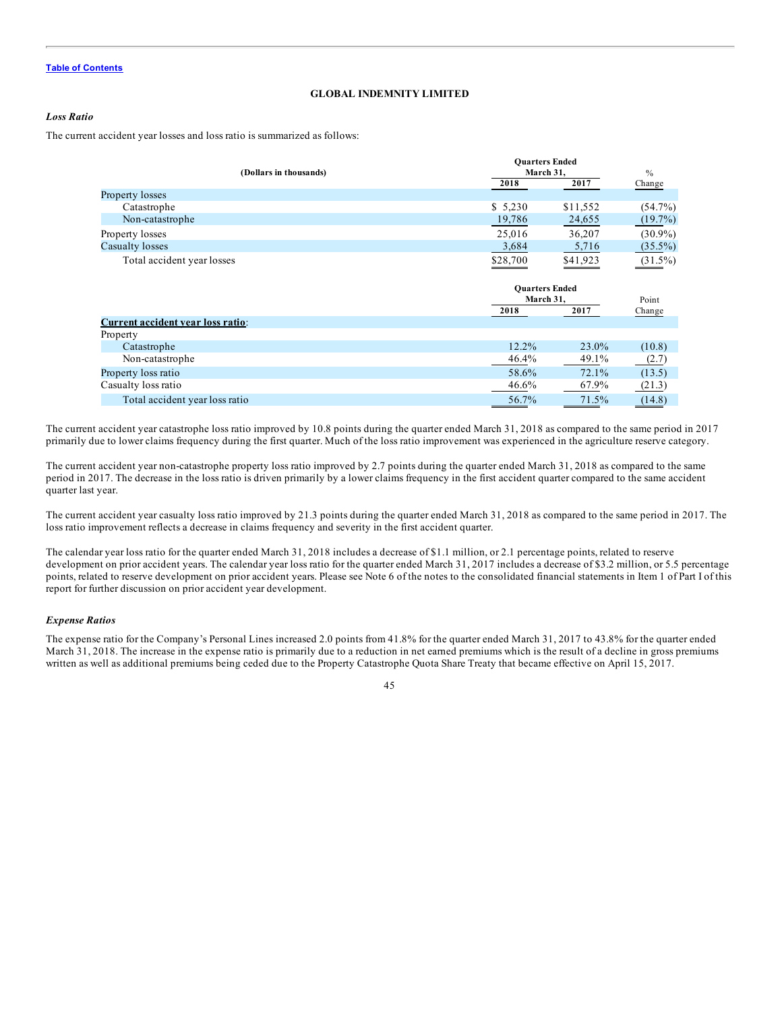#### **GLOBAL INDEMNITY LIMITED**

# *Loss Ratio*

The current accident year losses and loss ratio is summarized as follows:

| (Dollars in thousands)            | <b>Ouarters Ended</b><br>March 31, |          | $\%$       |
|-----------------------------------|------------------------------------|----------|------------|
|                                   | 2018                               | 2017     | Change     |
| Property losses                   |                                    |          |            |
| Catastrophe                       | \$5,230                            | \$11,552 | $(54.7\%)$ |
| Non-catastrophe                   | 19,786                             | 24,655   | $(19.7\%)$ |
| Property losses                   | 25,016                             | 36,207   | $(30.9\%)$ |
| Casualty losses                   | 3,684                              | 5,716    | $(35.5\%)$ |
| Total accident year losses        | \$28,700                           | \$41,923 | $(31.5\%)$ |
|                                   |                                    |          |            |
|                                   |                                    |          |            |
|                                   | <b>Quarters Ended</b>              |          |            |
|                                   | March 31,                          |          | Point      |
|                                   | 2018                               | 2017     | Change     |
| Current accident year loss ratio: |                                    |          |            |
| Property                          |                                    |          |            |
| Catastrophe                       | 12.2%                              | 23.0%    | (10.8)     |
| Non-catastrophe                   | 46.4%                              | 49.1%    | (2.7)      |
| Property loss ratio               | 58.6%                              | 72.1%    | (13.5)     |
| Casualty loss ratio               | 46.6%                              | 67.9%    | (21.3)     |

The current accident year catastrophe loss ratio improved by 10.8 points during the quarter ended March 31, 2018 as compared to the same period in 2017 primarily due to lower claims frequency during the first quarter. Much of the loss ratio improvement was experienced in the agriculture reserve category.

The current accident year non-catastrophe property loss ratio improved by 2.7 points during the quarter ended March 31, 2018 as compared to the same period in 2017. The decrease in the loss ratio is driven primarily by a lower claims frequency in the first accident quarter compared to the same accident quarter last year.

The current accident year casualty loss ratio improved by 21.3 points during the quarter ended March 31, 2018 as compared to the same period in 2017. The loss ratio improvement reflects a decrease in claims frequency and severity in the first accident quarter.

The calendar year loss ratio for the quarter ended March 31, 2018 includes a decrease of \$1.1 million, or 2.1 percentage points, related to reserve development on prior accident years. The calendar year loss ratio for the quarter ended March 31, 2017 includes a decrease of \$3.2 million, or 5.5 percentage points, related to reserve development on prior accident years. Please see Note 6 of the notes to the consolidated financial statements in Item 1 of Part I of this report for further discussion on prior accident year development.

#### *Expense Ratios*

The expense ratio for the Company's Personal Lines increased 2.0 points from 41.8% for the quarter ended March 31, 2017 to 43.8% for the quarter ended March 31, 2018. The increase in the expense ratio is primarily due to a reduction in net earned premiums which is the result of a decline in gross premiums written as well as additional premiums being ceded due to the Property Catastrophe Quota Share Treaty that became effective on April 15, 2017.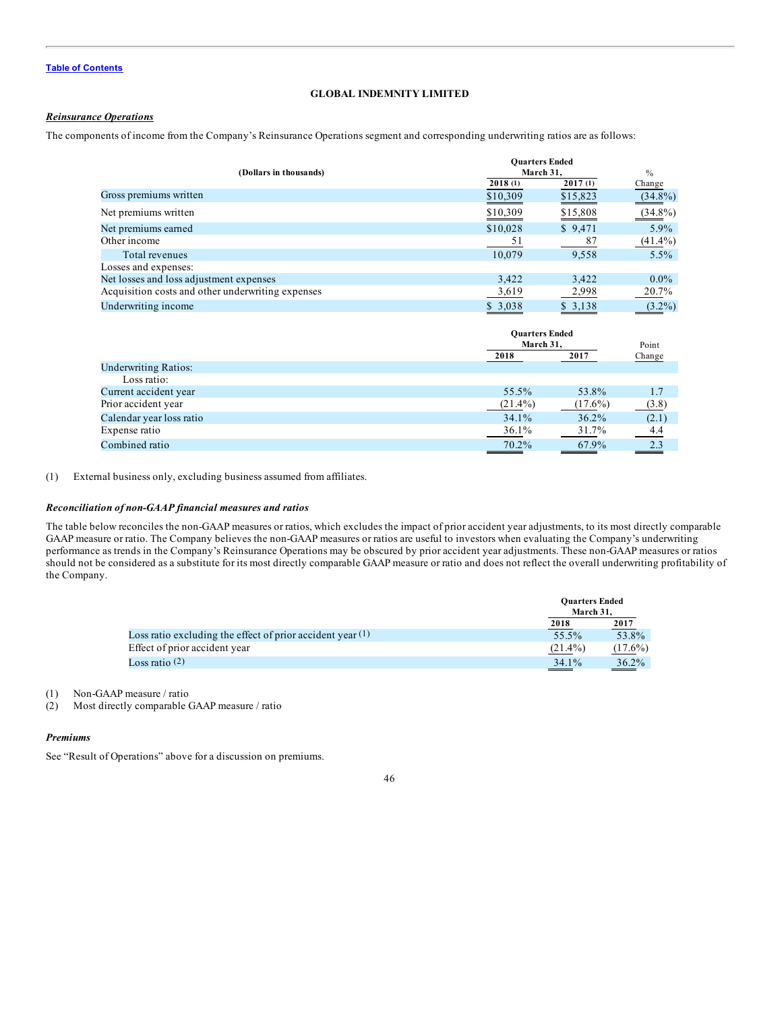#### **GLOBAL INDEMNITY LIMITED**

# *Reinsurance Operations*

The components of income from the Company's Reinsurance Operations segment and corresponding underwriting ratios are as follows:

| (Dollars in thousands)                            |          | <b>Ouarters Ended</b><br>March 31. |            |
|---------------------------------------------------|----------|------------------------------------|------------|
|                                                   | 2018(1)  | 2017(1)                            | Change     |
| Gross premiums written                            | \$10,309 | \$15,823                           | $(34.8\%)$ |
| Net premiums written                              | \$10,309 | \$15,808                           | $(34.8\%)$ |
| Net premiums earned                               | \$10,028 | \$9,471                            | $5.9\%$    |
| Other income                                      | 51       | 87                                 | $(41.4\%)$ |
| Total revenues                                    | 10,079   | 9,558                              | $5.5\%$    |
| Losses and expenses:                              |          |                                    |            |
| Net losses and loss adjustment expenses           | 3,422    | 3,422                              | $0.0\%$    |
| Acquisition costs and other underwriting expenses | 3,619    | 2,998                              | 20.7%      |
| Underwriting income                               | \$3,038  | \$3.138                            | $(3.2\%)$  |

|                             |            | <b>Ouarters Ended</b><br>March 31, |                 |
|-----------------------------|------------|------------------------------------|-----------------|
|                             | 2018       | 2017                               | Point<br>Change |
| <b>Underwriting Ratios:</b> |            |                                    |                 |
| Loss ratio:                 |            |                                    |                 |
| Current accident year       | 55.5%      | 53.8%                              | 1.7             |
| Prior accident year         | $(21.4\%)$ | $(17.6\%)$                         | (3.8)           |
| Calendar year loss ratio    | 34.1%      | 36.2%                              | (2.1)           |
| Expense ratio               | 36.1%      | 31.7%                              | $-4.4$          |
| Combined ratio              | 70.2%      | 67.9%                              | 2.3             |

(1) External business only, excluding business assumed from affiliates.

#### *Reconciliation of non-GAAP financial measures and ratios*

The table below reconciles the non-GAAP measures or ratios, which excludes the impact of prior accident year adjustments, to its most directly comparable GAAP measure or ratio. The Company believes the non-GAAP measures or ratios are useful to investors when evaluating the Company's underwriting performance as trends in the Company's Reinsurance Operations may be obscured by prior accident year adjustments. These non-GAAP measures or ratios should not be considered as a substitute for its most directly comparable GAAP measure or ratio and does not reflect the overall underwriting profitability of the Company.

|                                                              | <b>Ouarters Ended</b><br>March 31. |            |
|--------------------------------------------------------------|------------------------------------|------------|
|                                                              | 2018                               | 2017       |
| Loss ratio excluding the effect of prior accident year $(1)$ | 55.5%                              | 53.8%      |
| Effect of prior accident year                                | $(21.4\%)$                         | $(17.6\%)$ |
| Loss ratio $(2)$                                             | 34.1%                              | $36.2\%$   |

(1) Non-GAAP measure / ratio

(2) Most directly comparable GAAP measure / ratio

#### *Premiums*

See "Result of Operations" above for a discussion on premiums.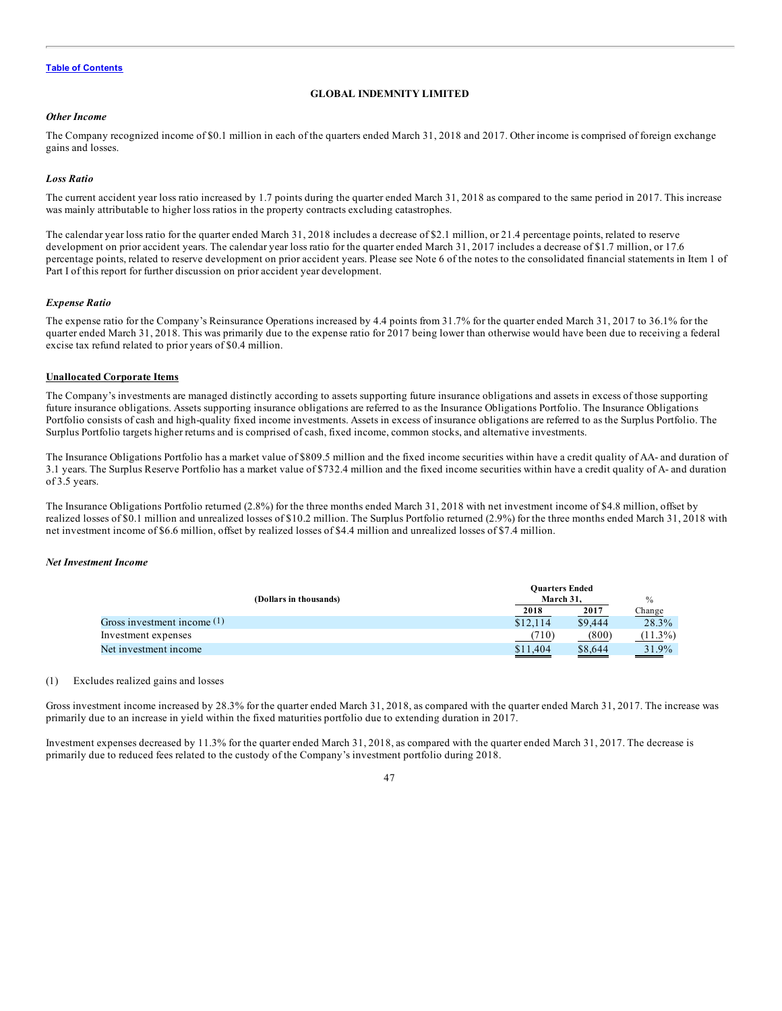#### **GLOBAL INDEMNITY LIMITED**

# *Other Income*

The Company recognized income of \$0.1 million in each of the quarters ended March 31, 2018 and 2017. Other income is comprised of foreign exchange gains and losses.

# *Loss Ratio*

The current accident year loss ratio increased by 1.7 points during the quarter ended March 31, 2018 as compared to the same period in 2017. This increase was mainly attributable to higher loss ratios in the property contracts excluding catastrophes.

The calendar year loss ratio for the quarter ended March 31, 2018 includes a decrease of \$2.1 million, or 21.4 percentage points, related to reserve development on prior accident years. The calendar year loss ratio for the quarter ended March 31, 2017 includes a decrease of \$1.7 million, or 17.6 percentage points, related to reserve development on prior accident years. Please see Note 6 of the notes to the consolidated financial statements in Item 1 of Part I of this report for further discussion on prior accident year development.

# *Expense Ratio*

The expense ratio for the Company's Reinsurance Operations increased by 4.4 points from 31.7% for the quarter ended March 31, 2017 to 36.1% for the quarter ended March 31, 2018. This was primarily due to the expense ratio for 2017 being lower than otherwise would have been due to receiving a federal excise tax refund related to prior years of \$0.4 million.

# **Unallocated Corporate Items**

The Company's investments are managed distinctly according to assets supporting future insurance obligations and assets in excess of those supporting future insurance obligations. Assets supporting insurance obligations are referred to as the Insurance Obligations Portfolio. The Insurance Obligations Portfolio consists of cash and high-quality fixed income investments. Assets in excess of insurance obligations are referred to as the Surplus Portfolio. The Surplus Portfolio targets higher returns and is comprised of cash, fixed income, common stocks, and alternative investments.

The Insurance Obligations Portfolio has a market value of \$809.5 million and the fixed income securities within have a credit quality of AA- and duration of 3.1 years. The Surplus Reserve Portfolio has a market value of \$732.4 million and the fixed income securities within have a credit quality of A- and duration of 3.5 years.

The Insurance Obligations Portfolio returned (2.8%) for the three months ended March 31, 2018 with net investment income of \$4.8 million, offset by realized losses of \$0.1 million and unrealized losses of \$10.2 million. The Surplus Portfolio returned (2.9%) for the three months ended March 31, 2018 with net investment income of \$6.6 million, offset by realized losses of \$4.4 million and unrealized losses of \$7.4 million.

#### *Net Investment Income*

|                               | <b>Ouarters Ended</b> |         |               |
|-------------------------------|-----------------------|---------|---------------|
| (Dollars in thousands)        | March 31.             |         | $\frac{0}{0}$ |
|                               | 2018                  | 2017    | Change        |
| Gross investment income $(1)$ | \$12.114              | \$9,444 | 28.3%         |
| Investment expenses           | (710)                 | (800)   | $(11.3\%)$    |
| Net investment income         | \$11.404              | \$8,644 | 31.9%         |

#### (1) Excludes realized gains and losses

Gross investment income increased by 28.3% for the quarter ended March 31, 2018, as compared with the quarter ended March 31, 2017. The increase was primarily due to an increase in yield within the fixed maturities portfolio due to extending duration in 2017.

Investment expenses decreased by 11.3% for the quarter ended March 31, 2018, as compared with the quarter ended March 31, 2017. The decrease is primarily due to reduced fees related to the custody of the Company's investment portfolio during 2018.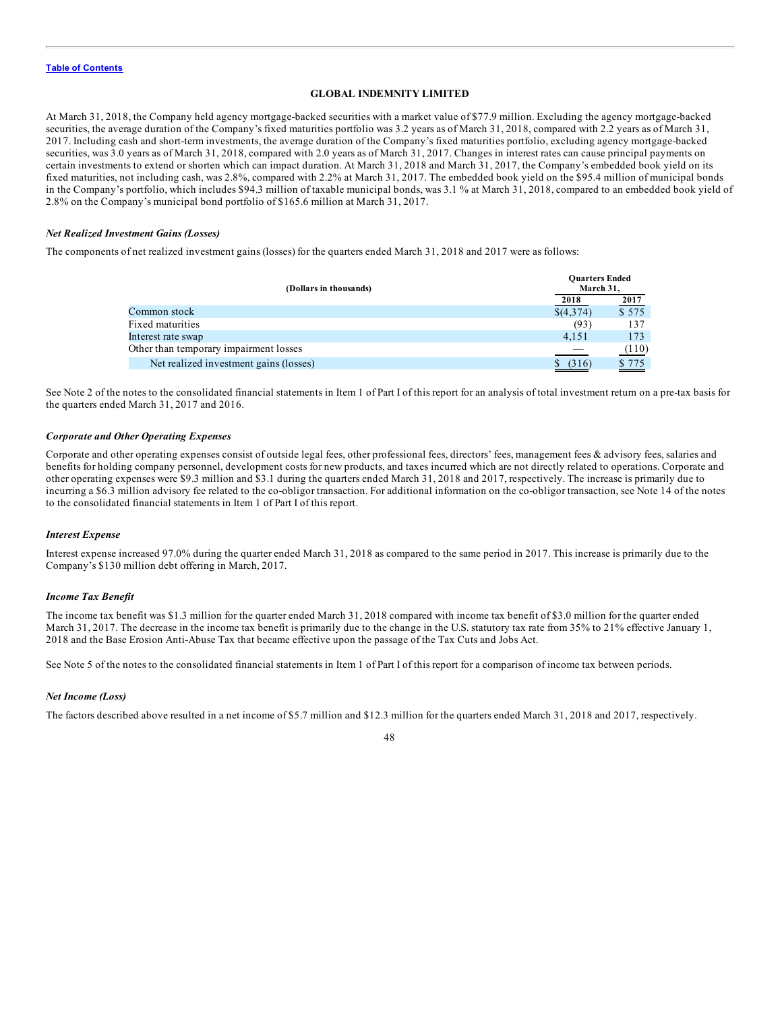At March 31, 2018, the Company held agency mortgage-backed securities with a market value of \$77.9 million. Excluding the agency mortgage-backed securities, the average duration of the Company's fixed maturities portfolio was 3.2 years as of March 31, 2018, compared with 2.2 years as of March 31, 2017. Including cash and short-term investments, the average duration of the Company's fixed maturities portfolio, excluding agency mortgage-backed securities, was 3.0 years as of March 31, 2018, compared with 2.0 years as of March 31, 2017. Changes in interest rates can cause principal payments on certain investments to extend or shorten which can impact duration. At March 31, 2018 and March 31, 2017, the Company's embedded book yield on its fixed maturities, not including cash, was 2.8%, compared with 2.2% at March 31, 2017. The embedded book yield on the \$95.4 million of municipal bonds in the Company's portfolio, which includes \$94.3 million of taxable municipal bonds, was 3.1 % at March 31, 2018, compared to an embedded book yield of 2.8% on the Company's municipal bond portfolio of \$165.6 million at March 31, 2017.

# *Net Realized Investment Gains (Losses)*

The components of net realized investment gains (losses) for the quarters ended March 31, 2018 and 2017 were as follows:

|                                        | <b>Ouarters Ended</b> |                       |
|----------------------------------------|-----------------------|-----------------------|
| (Dollars in thousands)                 | March 31.             |                       |
|                                        | 2018                  |                       |
| Common stock                           | \$(4,374)             | $\frac{2017}{\$ 575}$ |
| Fixed maturities                       | (93)                  | 137                   |
| Interest rate swap                     | 4.151                 | 173                   |
| Other than temporary impairment losses |                       | (110)                 |
| Net realized investment gains (losses) | (316)<br>Ъ            | \$775                 |

See Note 2 of the notes to the consolidated financial statements in Item 1 of Part I of this report for an analysis of total investment return on a pre-tax basis for the quarters ended March 31, 2017 and 2016.

#### *Corporate and Other Operating Expenses*

Corporate and other operating expenses consist of outside legal fees, other professional fees, directors' fees, management fees & advisory fees, salaries and benefits for holding company personnel, development costs for new products, and taxes incurred which are not directly related to operations. Corporate and other operating expenses were \$9.3 million and \$3.1 during the quarters ended March 31, 2018 and 2017, respectively. The increase is primarily due to incurring a \$6.3 million advisory fee related to the co-obligor transaction. For additional information on the co-obligor transaction, see Note 14 of the notes to the consolidated financial statements in Item 1 of Part I of this report.

#### *Interest Expense*

Interest expense increased 97.0% during the quarter ended March 31, 2018 as compared to the same period in 2017. This increase is primarily due to the Company's \$130 million debt offering in March, 2017.

#### *Income Tax Benefit*

The income tax benefit was \$1.3 million for the quarter ended March 31, 2018 compared with income tax benefit of \$3.0 million for the quarter ended March 31, 2017. The decrease in the income tax benefit is primarily due to the change in the U.S. statutory tax rate from 35% to 21% effective January 1, 2018 and the Base Erosion Anti-Abuse Tax that became effective upon the passage of the Tax Cuts and Jobs Act.

See Note 5 of the notes to the consolidated financial statements in Item 1 of Part I of this report for a comparison of income tax between periods.

#### *Net Income (Loss)*

The factors described above resulted in a net income of \$5.7 million and \$12.3 million for the quarters ended March 31, 2018 and 2017, respectively.

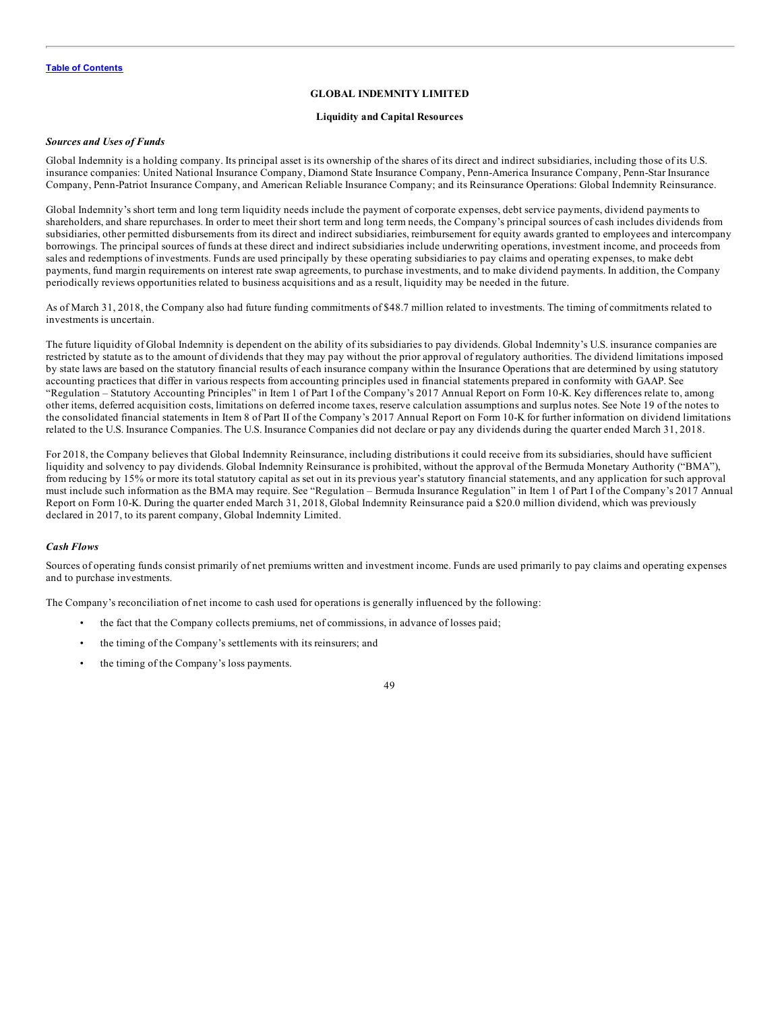# **Liquidity and Capital Resources**

#### *Sources and Uses of Funds*

Global Indemnity is a holding company. Its principal asset is its ownership of the shares of its direct and indirect subsidiaries, including those of its U.S. insurance companies: United National Insurance Company, Diamond State Insurance Company, Penn-America Insurance Company, Penn-Star Insurance Company, Penn-Patriot Insurance Company, and American Reliable Insurance Company; and its Reinsurance Operations: Global Indemnity Reinsurance.

Global Indemnity's short term and long term liquidity needs include the payment of corporate expenses, debt service payments, dividend payments to shareholders, and share repurchases. In order to meet their short term and long term needs, the Company's principal sources of cash includes dividends from subsidiaries, other permitted disbursements from its direct and indirect subsidiaries, reimbursement for equity awards granted to employees and intercompany borrowings. The principal sources of funds at these direct and indirect subsidiaries include underwriting operations, investment income, and proceeds from sales and redemptions of investments. Funds are used principally by these operating subsidiaries to pay claims and operating expenses, to make debt payments, fund margin requirements on interest rate swap agreements, to purchase investments, and to make dividend payments. In addition, the Company periodically reviews opportunities related to business acquisitions and as a result, liquidity may be needed in the future.

As of March 31, 2018, the Company also had future funding commitments of \$48.7 million related to investments. The timing of commitments related to investments is uncertain.

The future liquidity of Global Indemnity is dependent on the ability of its subsidiaries to pay dividends. Global Indemnity's U.S. insurance companies are restricted by statute as to the amount of dividends that they may pay without the prior approval of regulatory authorities. The dividend limitations imposed by state laws are based on the statutory financial results of each insurance company within the Insurance Operations that are determined by using statutory accounting practices that differ in various respects from accounting principles used in financial statements prepared in conformity with GAAP. See "Regulation – Statutory Accounting Principles" in Item 1 of Part I of the Company's 2017 Annual Report on Form 10-K. Key differences relate to, among other items, deferred acquisition costs, limitations on deferred income taxes, reserve calculation assumptions and surplus notes. See Note 19 of the notes to the consolidated financial statements in Item 8 of Part II of the Company's 2017 Annual Report on Form 10-K for further information on dividend limitations related to the U.S. Insurance Companies. The U.S. Insurance Companies did not declare or pay any dividends during the quarter ended March 31, 2018.

For 2018, the Company believes that Global Indemnity Reinsurance, including distributions it could receive from its subsidiaries, should have sufficient liquidity and solvency to pay dividends. Global Indemnity Reinsurance is prohibited, without the approval of the Bermuda Monetary Authority ("BMA"), from reducing by 15% or more its total statutory capital as set out in its previous year's statutory financial statements, and any application for such approval must include such information as the BMA may require. See "Regulation – Bermuda Insurance Regulation" in Item 1 of Part I of the Company's 2017 Annual Report on Form 10-K. During the quarter ended March 31, 2018, Global Indemnity Reinsurance paid a \$20.0 million dividend, which was previously declared in 2017, to its parent company, Global Indemnity Limited.

# *Cash Flows*

Sources of operating funds consist primarily of net premiums written and investment income. Funds are used primarily to pay claims and operating expenses and to purchase investments.

The Company's reconciliation of net income to cash used for operations is generally influenced by the following:

- the fact that the Company collects premiums, net of commissions, in advance of losses paid;
- the timing of the Company's settlements with its reinsurers; and
- the timing of the Company's loss payments.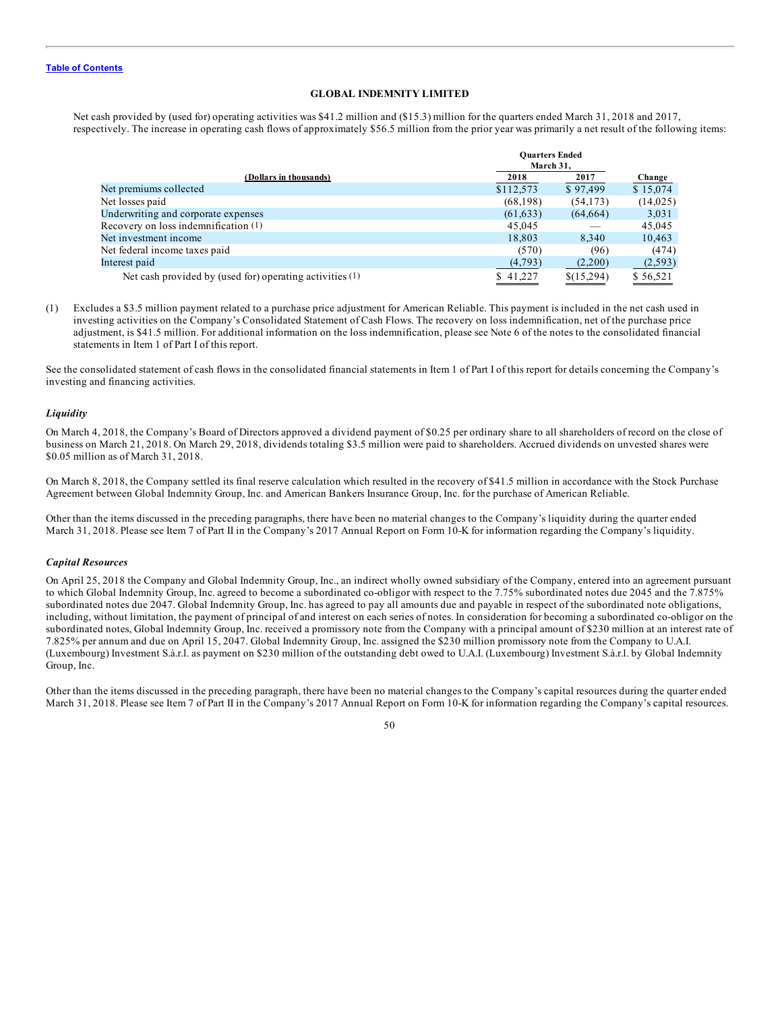#### **GLOBAL INDEMNITY LIMITED**

Net cash provided by (used for) operating activities was \$41.2 million and (\$15.3) million for the quarters ended March 31, 2018 and 2017, respectively. The increase in operating cash flows of approximately \$56.5 million from the prior year was primarily a net result of the following items:

| (Dollars in thousands)                                     |           | <b>Ouarters Ended</b><br>March 31, |          |
|------------------------------------------------------------|-----------|------------------------------------|----------|
|                                                            | 2018      | 2017                               | Change   |
| Net premiums collected                                     | \$112,573 | \$97,499                           | \$15,074 |
| Net losses paid                                            | (68, 198) | (54, 173)                          | (14,025) |
| Underwriting and corporate expenses                        | (61, 633) | (64, 664)                          | 3,031    |
| Recovery on loss indemnification (1)                       | 45,045    |                                    | 45,045   |
| Net investment income                                      | 18.803    | 8.340                              | 10.463   |
| Net federal income taxes paid                              | (570)     | (96)                               | (474)    |
| Interest paid                                              | (4,793)   | (2,200)                            | (2, 593) |
| Net cash provided by (used for) operating activities $(1)$ | \$41.227  | \$(15,294)                         | \$56.521 |

(1) Excludes a \$3.5 million payment related to a purchase price adjustment for American Reliable. This payment is included in the net cash used in investing activities on the Company's Consolidated Statement of Cash Flows. The recovery on loss indemnification, net of the purchase price adjustment, is \$41.5 million. For additional information on the loss indemnification, please see Note 6 of the notes to the consolidated financial statements in Item 1 of Part I of this report.

See the consolidated statement of cash flows in the consolidated financial statements in Item 1 of Part I of this report for details concerning the Company's investing and financing activities.

#### *Liquidity*

On March 4, 2018, the Company's Board of Directors approved a dividend payment of \$0.25 per ordinary share to all shareholders of record on the close of business on March 21, 2018. On March 29, 2018, dividends totaling \$3.5 million were paid to shareholders. Accrued dividends on unvested shares were \$0.05 million as of March 31, 2018.

On March 8, 2018, the Company settled its final reserve calculation which resulted in the recovery of \$41.5 million in accordance with the Stock Purchase Agreement between Global Indemnity Group, Inc. and American Bankers Insurance Group, Inc. for the purchase of American Reliable.

Other than the items discussed in the preceding paragraphs, there have been no material changes to the Company's liquidity during the quarter ended March 31, 2018. Please see Item 7 of Part II in the Company's 2017 Annual Report on Form 10-K for information regarding the Company's liquidity.

#### *Capital Resources*

On April 25, 2018 the Company and Global Indemnity Group, Inc., an indirect wholly owned subsidiary of the Company, entered into an agreement pursuant to which Global Indemnity Group, Inc. agreed to become a subordinated co-obligor with respect to the 7.75% subordinated notes due 2045 and the 7.875% subordinated notes due 2047. Global Indemnity Group, Inc. has agreed to pay all amounts due and payable in respect of the subordinated note obligations, including, without limitation, the payment of principal of and interest on each series of notes. In consideration for becoming a subordinated co-obligor on the subordinated notes, Global Indemnity Group, Inc. received a promissory note from the Company with a principal amount of \$230 million at an interest rate of 7.825% per annum and due on April 15, 2047. Global Indemnity Group, Inc. assigned the \$230 million promissory note from the Company to U.A.I. (Luxembourg) Investment S.à.r.l. as payment on \$230 million of the outstanding debt owed to U.A.I. (Luxembourg) Investment S.à.r.l. by Global Indemnity Group, Inc.

Other than the items discussed in the preceding paragraph, there have been no material changes to the Company's capital resources during the quarter ended March 31, 2018. Please see Item 7 of Part II in the Company's 2017 Annual Report on Form 10-K for information regarding the Company's capital resources.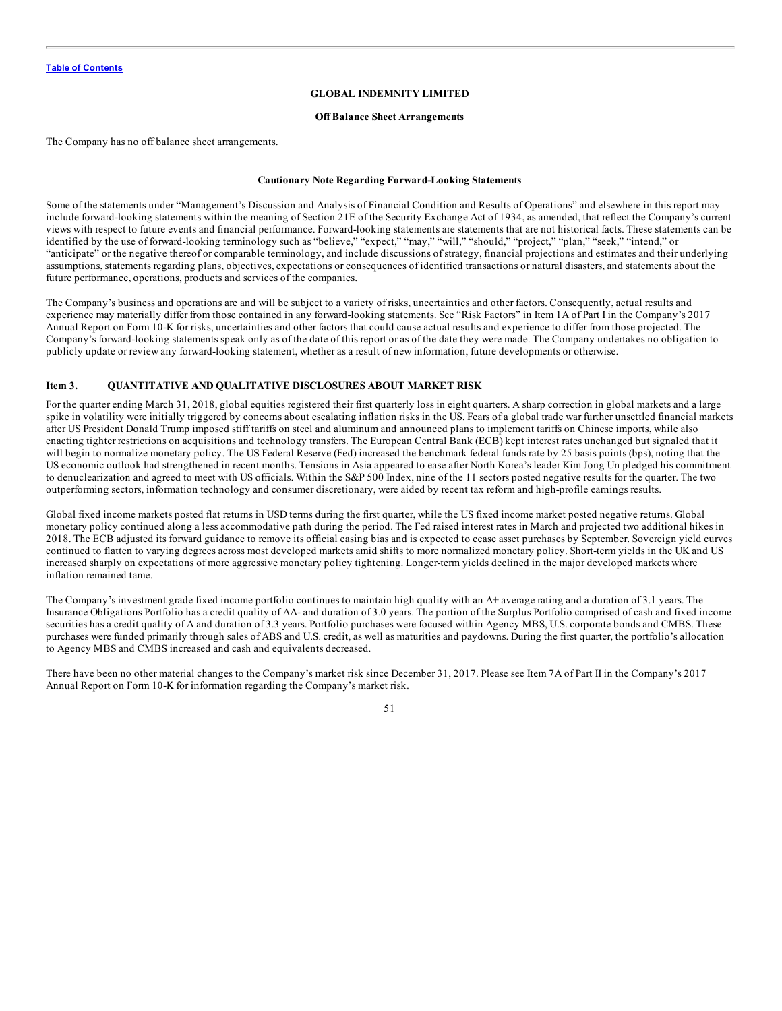# **Off Balance Sheet Arrangements**

<span id="page-51-0"></span>The Company has no off balance sheet arrangements.

#### **Cautionary Note Regarding Forward-Looking Statements**

Some of the statements under "Management's Discussion and Analysis of Financial Condition and Results of Operations" and elsewhere in this report may include forward-looking statements within the meaning of Section 21E of the Security Exchange Act of 1934, as amended, that reflect the Company's current views with respect to future events and financial performance. Forward-looking statements are statements that are not historical facts. These statements can be identified by the use of forward-looking terminology such as "believe," "expect," "may," "will," "should," "project," "plan," "seek," "intend," or "anticipate" or the negative thereof or comparable terminology, and include discussions of strategy, financial projections and estimates and their underlying assumptions, statements regarding plans, objectives, expectations or consequences of identified transactions or natural disasters, and statements about the future performance, operations, products and services of the companies.

The Company's business and operations are and will be subject to a variety of risks, uncertainties and other factors. Consequently, actual results and experience may materially differ from those contained in any forward-looking statements. See "Risk Factors" in Item 1A of Part I in the Company's 2017 Annual Report on Form 10-K for risks, uncertainties and other factors that could cause actual results and experience to differ from those projected. The Company's forward-looking statements speak only as of the date of this report or as of the date they were made. The Company undertakes no obligation to publicly update or review any forward-looking statement, whether as a result of new information, future developments or otherwise.

## **Item 3. QUANTITATIVE AND QUALITATIVE DISCLOSURES ABOUT MARKET RISK**

For the quarter ending March 31, 2018, global equities registered their first quarterly loss in eight quarters. A sharp correction in global markets and a large spike in volatility were initially triggered by concerns about escalating inflation risks in the US. Fears of a global trade war further unsettled financial markets after US President Donald Trump imposed stiff tariffs on steel and aluminum and announced plans to implement tariffs on Chinese imports, while also enacting tighter restrictions on acquisitions and technology transfers. The European Central Bank (ECB) kept interest rates unchanged but signaled that it will begin to normalize monetary policy. The US Federal Reserve (Fed) increased the benchmark federal funds rate by 25 basis points (bps), noting that the US economic outlook had strengthened in recent months. Tensions in Asia appeared to ease after North Korea's leader Kim Jong Un pledged his commitment to denuclearization and agreed to meet with US officials. Within the S&P 500 Index, nine of the 11 sectors posted negative results for the quarter. The two outperforming sectors, information technology and consumer discretionary, were aided by recent tax reform and high-profile earnings results.

Global fixed income markets posted flat returns in USD terms during the first quarter, while the US fixed income market posted negative returns. Global monetary policy continued along a less accommodative path during the period. The Fed raised interest rates in March and projected two additional hikes in 2018. The ECB adjusted its forward guidance to remove its official easing bias and is expected to cease asset purchases by September. Sovereign yield curves continued to flatten to varying degrees across most developed markets amid shifts to more normalized monetary policy. Short-term yields in the UK and US increased sharply on expectations of more aggressive monetary policy tightening. Longer-term yields declined in the major developed markets where inflation remained tame.

The Company's investment grade fixed income portfolio continues to maintain high quality with an A+ average rating and a duration of 3.1 years. The Insurance Obligations Portfolio has a credit quality of AA- and duration of 3.0 years. The portion of the Surplus Portfolio comprised of cash and fixed income securities has a credit quality of A and duration of 3.3 years. Portfolio purchases were focused within Agency MBS, U.S. corporate bonds and CMBS. These purchases were funded primarily through sales of ABS and U.S. credit, as well as maturities and paydowns. During the first quarter, the portfolio's allocation to Agency MBS and CMBS increased and cash and equivalents decreased.

There have been no other material changes to the Company's market risk since December 31, 2017. Please see Item 7A of Part II in the Company's 2017 Annual Report on Form 10-K for information regarding the Company's market risk.

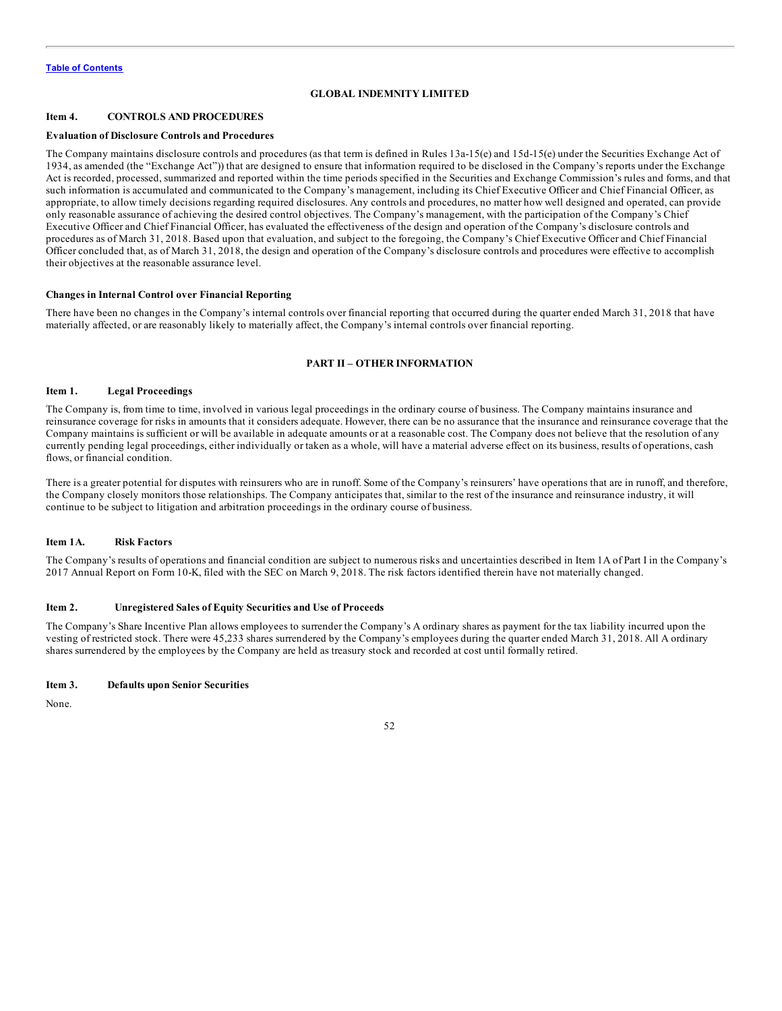# <span id="page-52-0"></span>**Item 4. CONTROLS AND PROCEDURES**

#### **Evaluation of Disclosure Controls and Procedures**

The Company maintains disclosure controls and procedures (as that term is defined in Rules 13a-15(e) and 15d-15(e) under the Securities Exchange Act of 1934, as amended (the "Exchange Act")) that are designed to ensure that information required to be disclosed in the Company's reports under the Exchange Act is recorded, processed, summarized and reported within the time periods specified in the Securities and Exchange Commission's rules and forms, and that such information is accumulated and communicated to the Company's management, including its Chief Executive Officer and Chief Financial Officer, as appropriate, to allow timely decisions regarding required disclosures. Any controls and procedures, no matter how well designed and operated, can provide only reasonable assurance of achieving the desired control objectives. The Company's management, with the participation of the Company's Chief Executive Officer and Chief Financial Officer, has evaluated the effectiveness of the design and operation of the Company's disclosure controls and procedures as of March 31, 2018. Based upon that evaluation, and subject to the foregoing, the Company's Chief Executive Officer and Chief Financial Officer concluded that, as of March 31, 2018, the design and operation of the Company's disclosure controls and procedures were effective to accomplish their objectives at the reasonable assurance level.

#### **Changes in Internal Control over Financial Reporting**

There have been no changes in the Company's internal controls over financial reporting that occurred during the quarter ended March 31, 2018 that have materially affected, or are reasonably likely to materially affect, the Company's internal controls over financial reporting.

#### **PART II – OTHER INFORMATION**

#### **Item 1. Legal Proceedings**

The Company is, from time to time, involved in various legal proceedings in the ordinary course of business. The Company maintains insurance and reinsurance coverage for risks in amounts that it considers adequate. However, there can be no assurance that the insurance and reinsurance coverage that the Company maintains is sufficient or will be available in adequate amounts or at a reasonable cost. The Company does not believe that the resolution of any currently pending legal proceedings, either individually or taken as a whole, will have a material adverse effect on its business, results of operations, cash flows, or financial condition.

There is a greater potential for disputes with reinsurers who are in runoff. Some of the Company's reinsurers' have operations that are in runoff, and therefore, the Company closely monitors those relationships. The Company anticipates that, similar to the rest of the insurance and reinsurance industry, it will continue to be subject to litigation and arbitration proceedings in the ordinary course of business.

# **Item 1A. Risk Factors**

The Company's results of operations and financial condition are subject to numerous risks and uncertainties described in Item 1A of Part I in the Company's 2017 Annual Report on Form 10-K, filed with the SEC on March 9, 2018. The risk factors identified therein have not materially changed.

#### **Item 2. Unregistered Sales of Equity Securities and Use of Proceeds**

The Company's Share Incentive Plan allows employees to surrender the Company's A ordinary shares as payment for the tax liability incurred upon the vesting of restricted stock. There were 45,233 shares surrendered by the Company's employees during the quarter ended March 31, 2018. All A ordinary shares surrendered by the employees by the Company are held as treasury stock and recorded at cost until formally retired.

#### **Item 3. Defaults upon Senior Securities**

None.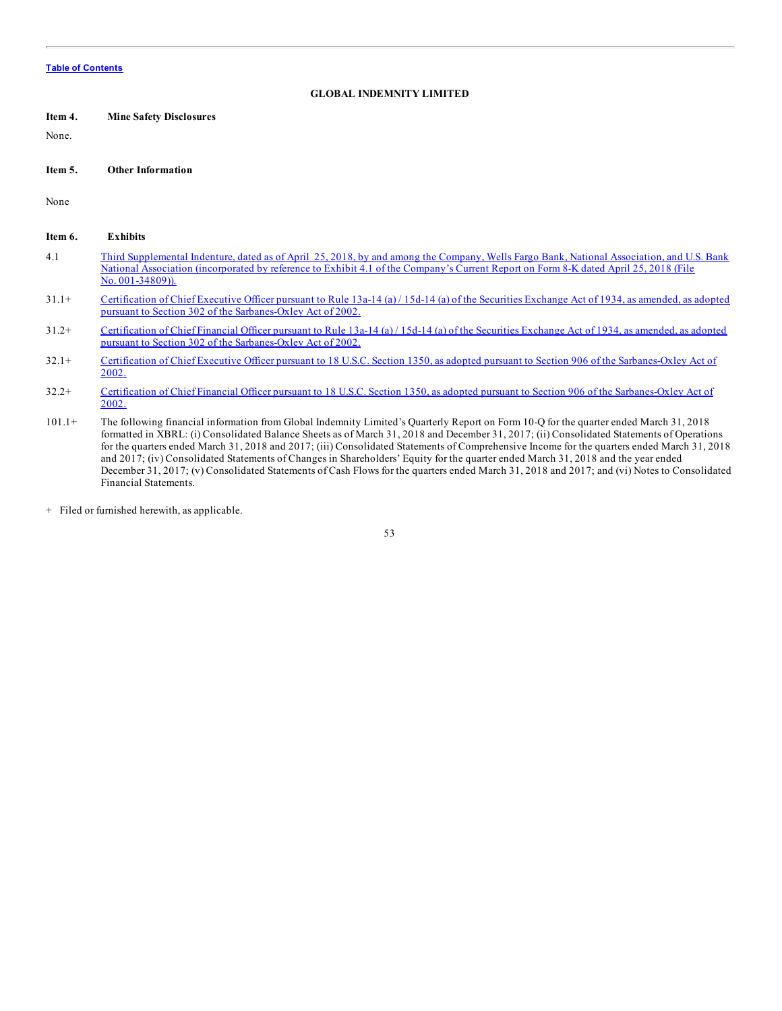### **GLOBAL INDEMNITY LIMITED**

<span id="page-53-0"></span>**Item 4. Mine Safety Disclosures**

None.

**Item 5. Other Information**

None

| <b>Exhibits</b> |
|-----------------|
|                 |

- 4.1 Third [Supplemental](http://www.sec.gov/Archives/edgar/data/1494904/000119312518146668/d546563dex41.htm) Indenture, dated as of April 25, 2018, by and among the Company, Wells Fargo Bank, National Association, and U.S. Bank National Association (incorporated by reference to Exhibit 4.1 of the Company's Current Report on Form 8-K dated April 25, 2018 (File No. 001-34809)).
- 31.1+ Certification of Chief Executive Officer pursuant to Rule 13a-14 (a) / 15d-14 (a) of the Securities Exchange Act of 1934, as amended, as adopted pursuant to Section 302 of the [Sarbanes-Oxley](#page-55-0) Act of 2002.
- 31.2+ Certification of Chief Financial Officer pursuant to Rule 13a-14 (a) / 15d-14 (a) of the Securities Exchange Act of 1934, as amended, as adopted pursuant to Section 302 of the [Sarbanes-Oxley](#page-56-0) Act of 2002.
- 32.1+ Certification of Chief Executive Officer pursuant to 18 U.S.C. Section 1350, as adopted pursuant to Section 906 of the [Sarbanes-Oxley](#page-57-0) Act of 2002.
- 32.2+ Certification of Chief Financial Officer pursuant to 18 U.S.C. Section 1350, as adopted pursuant to Section 906 of the [Sarbanes-Oxley](#page-58-0) Act of 2002.
- 101.1+ The following financial information from Global Indemnity Limited's Quarterly Report on Form 10-Q for the quarter ended March 31, 2018 formatted in XBRL: (i) Consolidated Balance Sheets as of March 31, 2018 and December 31, 2017; (ii) Consolidated Statements of Operations for the quarters ended March 31, 2018 and 2017; (iii) Consolidated Statements of Comprehensive Income for the quarters ended March 31, 2018 and 2017; (iv) Consolidated Statements of Changes in Shareholders' Equity for the quarter ended March 31, 2018 and the year ended December 31, 2017; (v) Consolidated Statements of Cash Flows for the quarters ended March 31, 2018 and 2017; and (vi) Notes to Consolidated Financial Statements.

+ Filed or furnished herewith, as applicable.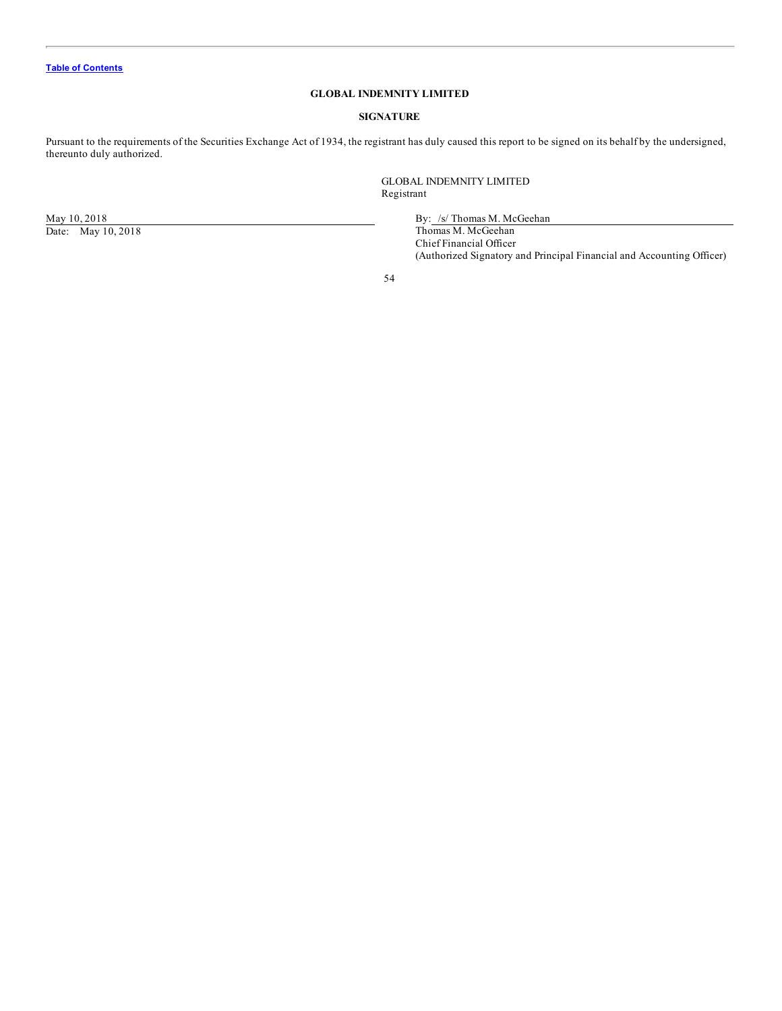# **SIGNATURE**

<span id="page-54-0"></span>Pursuant to the requirements of the Securities Exchange Act of 1934, the registrant has duly caused this report to be signed on its behalf by the undersigned, thereunto duly authorized.

> GLOBAL INDEMNITY LIMITED Registrant

May 10, 2018 By: /s/ Thomas M. McGeehan Bate: May 10, 2018 By: /s/ Thomas M. McGeehan

Thomas M. McGeehan Chief Financial Officer (Authorized Signatory and Principal Financial and Accounting Officer)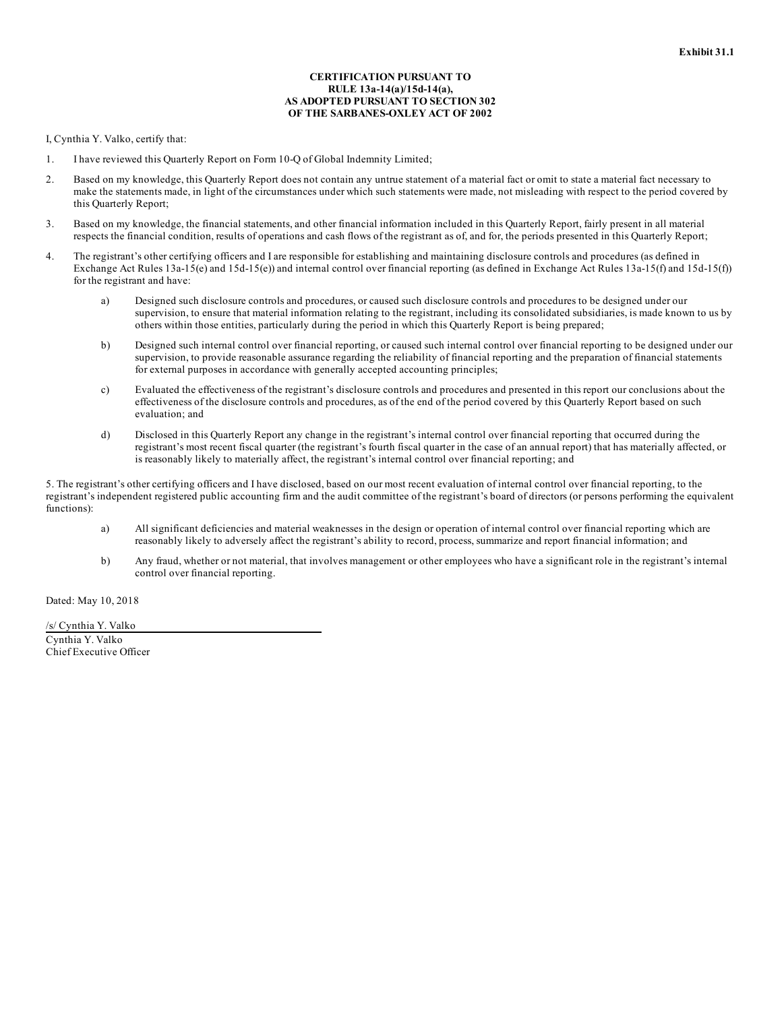# **CERTIFICATION PURSUANT TO RULE 13a-14(a)/15d-14(a), AS ADOPTED PURSUANT TO SECTION 302 OF THE SARBANES-OXLEY ACT OF 2002**

<span id="page-55-0"></span>I, Cynthia Y. Valko, certify that:

- 1. I have reviewed this Quarterly Report on Form 10-Q of Global Indemnity Limited;
- 2. Based on my knowledge, this Quarterly Report does not contain any untrue statement of a material fact or omit to state a material fact necessary to make the statements made, in light of the circumstances under which such statements were made, not misleading with respect to the period covered by this Quarterly Report;
- 3. Based on my knowledge, the financial statements, and other financial information included in this Quarterly Report, fairly present in all material respects the financial condition, results of operations and cash flows of the registrant as of, and for, the periods presented in this Quarterly Report;
- 4. The registrant's other certifying officers and I are responsible for establishing and maintaining disclosure controls and procedures (as defined in Exchange Act Rules 13a-15(e) and 15d-15(e)) and internal control over financial reporting (as defined in Exchange Act Rules 13a-15(f) and 15d-15(f)) for the registrant and have:
	- a) Designed such disclosure controls and procedures, or caused such disclosure controls and procedures to be designed under our supervision, to ensure that material information relating to the registrant, including its consolidated subsidiaries, is made known to us by others within those entities, particularly during the period in which this Quarterly Report is being prepared;
	- b) Designed such internal control over financial reporting, or caused such internal control over financial reporting to be designed under our supervision, to provide reasonable assurance regarding the reliability of financial reporting and the preparation of financial statements for external purposes in accordance with generally accepted accounting principles;
	- c) Evaluated the effectiveness of the registrant's disclosure controls and procedures and presented in this report our conclusions about the effectiveness of the disclosure controls and procedures, as of the end of the period covered by this Quarterly Report based on such evaluation; and
	- d) Disclosed in this Quarterly Report any change in the registrant's internal control over financial reporting that occurred during the registrant's most recent fiscal quarter (the registrant's fourth fiscal quarter in the case of an annual report) that has materially affected, or is reasonably likely to materially affect, the registrant's internal control over financial reporting; and

5. The registrant's other certifying officers and I have disclosed, based on our most recent evaluation of internal control over financial reporting, to the registrant's independent registered public accounting firm and the audit committee of the registrant's board of directors (or persons performing the equivalent functions):

- a) All significant deficiencies and material weaknesses in the design or operation of internal control over financial reporting which are reasonably likely to adversely affect the registrant's ability to record, process, summarize and report financial information; and
- b) Any fraud, whether or not material, that involves management or other employees who have a significant role in the registrant's internal control over financial reporting.

Dated: May 10, 2018

/s/ Cynthia Y. Valko

Cynthia Y. Valko Chief Executive Officer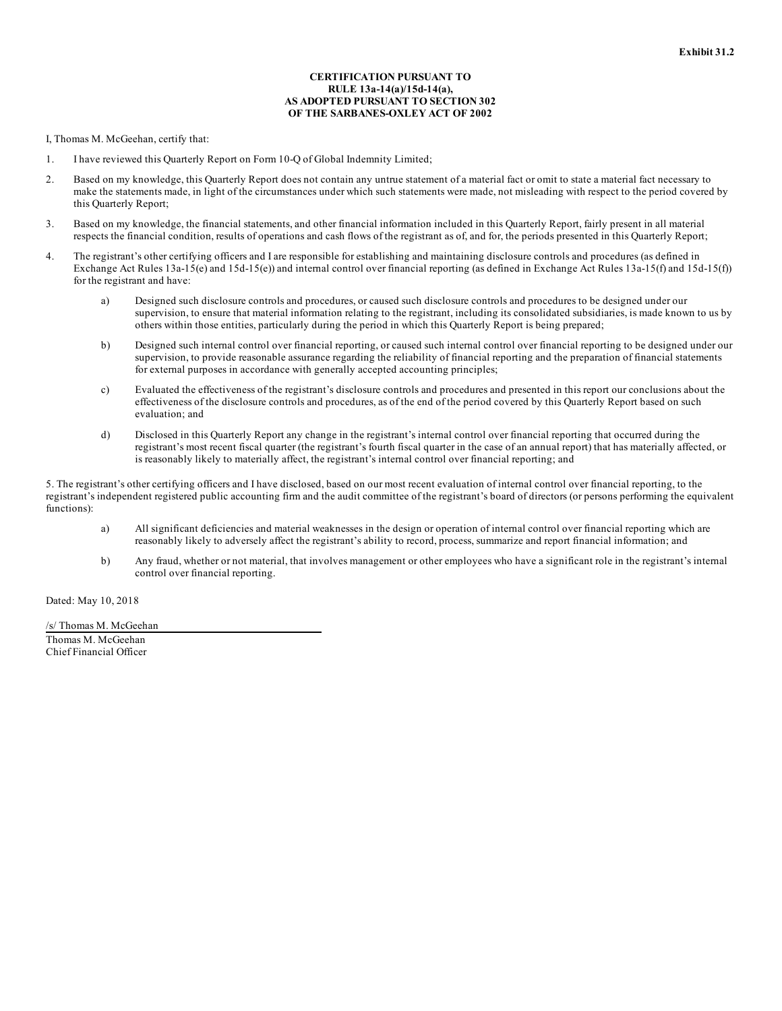# **CERTIFICATION PURSUANT TO RULE 13a-14(a)/15d-14(a), AS ADOPTED PURSUANT TO SECTION 302 OF THE SARBANES-OXLEY ACT OF 2002**

<span id="page-56-0"></span>I, Thomas M. McGeehan, certify that:

- 1. I have reviewed this Quarterly Report on Form 10-Q of Global Indemnity Limited;
- 2. Based on my knowledge, this Quarterly Report does not contain any untrue statement of a material fact or omit to state a material fact necessary to make the statements made, in light of the circumstances under which such statements were made, not misleading with respect to the period covered by this Quarterly Report;
- 3. Based on my knowledge, the financial statements, and other financial information included in this Quarterly Report, fairly present in all material respects the financial condition, results of operations and cash flows of the registrant as of, and for, the periods presented in this Quarterly Report;
- 4. The registrant's other certifying officers and I are responsible for establishing and maintaining disclosure controls and procedures (as defined in Exchange Act Rules 13a-15(e) and 15d-15(e)) and internal control over financial reporting (as defined in Exchange Act Rules 13a-15(f) and 15d-15(f)) for the registrant and have:
	- a) Designed such disclosure controls and procedures, or caused such disclosure controls and procedures to be designed under our supervision, to ensure that material information relating to the registrant, including its consolidated subsidiaries, is made known to us by others within those entities, particularly during the period in which this Quarterly Report is being prepared;
	- b) Designed such internal control over financial reporting, or caused such internal control over financial reporting to be designed under our supervision, to provide reasonable assurance regarding the reliability of financial reporting and the preparation of financial statements for external purposes in accordance with generally accepted accounting principles;
	- c) Evaluated the effectiveness of the registrant's disclosure controls and procedures and presented in this report our conclusions about the effectiveness of the disclosure controls and procedures, as of the end of the period covered by this Quarterly Report based on such evaluation; and
	- d) Disclosed in this Quarterly Report any change in the registrant's internal control over financial reporting that occurred during the registrant's most recent fiscal quarter (the registrant's fourth fiscal quarter in the case of an annual report) that has materially affected, or is reasonably likely to materially affect, the registrant's internal control over financial reporting; and

5. The registrant's other certifying officers and I have disclosed, based on our most recent evaluation of internal control over financial reporting, to the registrant's independent registered public accounting firm and the audit committee of the registrant's board of directors (or persons performing the equivalent functions):

- a) All significant deficiencies and material weaknesses in the design or operation of internal control over financial reporting which are reasonably likely to adversely affect the registrant's ability to record, process, summarize and report financial information; and
- b) Any fraud, whether or not material, that involves management or other employees who have a significant role in the registrant's internal control over financial reporting.

Dated: May 10, 2018

/s/ Thomas M. McGeehan

Thomas M. McGeehan Chief Financial Officer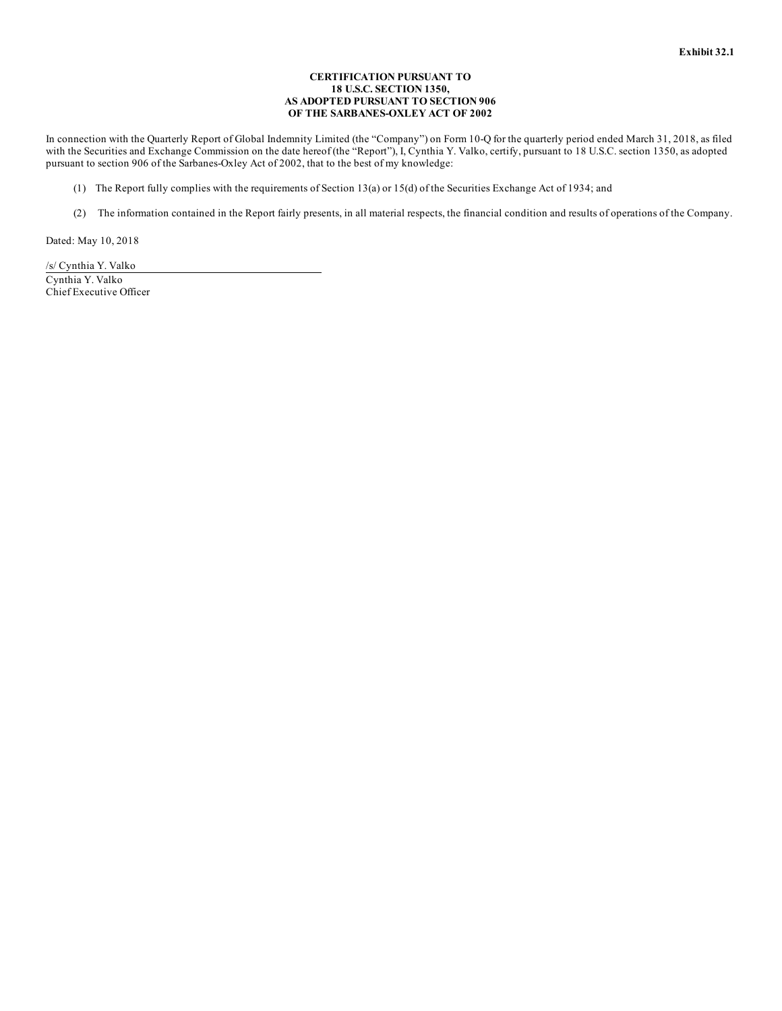# **CERTIFICATION PURSUANT TO 18 U.S.C. SECTION 1350, AS ADOPTED PURSUANT TO SECTION 906 OF THE SARBANES-OXLEY ACT OF 2002**

<span id="page-57-0"></span>In connection with the Quarterly Report of Global Indemnity Limited (the "Company") on Form 10-Q for the quarterly period ended March 31, 2018, as filed with the Securities and Exchange Commission on the date hereof (the "Report"), I, Cynthia Y. Valko, certify, pursuant to 18 U.S.C. section 1350, as adopted pursuant to section 906 of the Sarbanes-Oxley Act of 2002, that to the best of my knowledge:

(1) The Report fully complies with the requirements of Section 13(a) or 15(d) of the Securities Exchange Act of 1934; and

(2) The information contained in the Report fairly presents, in all material respects, the financial condition and results of operations of the Company.

Dated: May 10, 2018

/s/ Cynthia Y. Valko Cynthia Y. Valko Chief Executive Officer